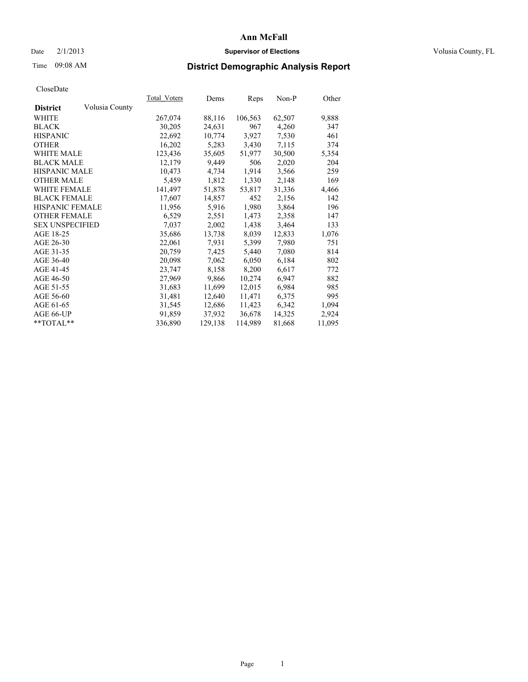### Date  $2/1/2013$  **Supervisor of Elections Supervisor of Elections** Volusia County, FL

### Time 09:08 AM **District Demographic Analysis Report**

|                        |                | Total Voters | Dems    | <b>Reps</b> | Non-P  | Other  |
|------------------------|----------------|--------------|---------|-------------|--------|--------|
| <b>District</b>        | Volusia County |              |         |             |        |        |
| WHITE                  |                | 267,074      | 88,116  | 106,563     | 62,507 | 9,888  |
| <b>BLACK</b>           |                | 30,205       | 24,631  | 967         | 4,260  | 347    |
| <b>HISPANIC</b>        |                | 22,692       | 10,774  | 3,927       | 7,530  | 461    |
| <b>OTHER</b>           |                | 16,202       | 5,283   | 3,430       | 7,115  | 374    |
| <b>WHITE MALE</b>      |                | 123,436      | 35,605  | 51,977      | 30,500 | 5,354  |
| <b>BLACK MALE</b>      |                | 12,179       | 9,449   | 506         | 2,020  | 204    |
| <b>HISPANIC MALE</b>   |                | 10,473       | 4,734   | 1,914       | 3,566  | 259    |
| <b>OTHER MALE</b>      |                | 5,459        | 1,812   | 1,330       | 2,148  | 169    |
| <b>WHITE FEMALE</b>    |                | 141,497      | 51,878  | 53,817      | 31,336 | 4,466  |
| <b>BLACK FEMALE</b>    |                | 17,607       | 14,857  | 452         | 2,156  | 142    |
| <b>HISPANIC FEMALE</b> |                | 11,956       | 5,916   | 1,980       | 3,864  | 196    |
| <b>OTHER FEMALE</b>    |                | 6,529        | 2,551   | 1,473       | 2,358  | 147    |
| <b>SEX UNSPECIFIED</b> |                | 7,037        | 2,002   | 1,438       | 3,464  | 133    |
| AGE 18-25              |                | 35,686       | 13,738  | 8,039       | 12,833 | 1,076  |
| AGE 26-30              |                | 22,061       | 7.931   | 5,399       | 7,980  | 751    |
| AGE 31-35              |                | 20,759       | 7,425   | 5,440       | 7,080  | 814    |
| AGE 36-40              |                | 20,098       | 7,062   | 6,050       | 6,184  | 802    |
| AGE 41-45              |                | 23,747       | 8,158   | 8,200       | 6,617  | 772    |
| AGE 46-50              |                | 27,969       | 9,866   | 10,274      | 6,947  | 882    |
| AGE 51-55              |                | 31,683       | 11,699  | 12,015      | 6,984  | 985    |
| AGE 56-60              |                | 31,481       | 12,640  | 11,471      | 6,375  | 995    |
| AGE 61-65              |                | 31,545       | 12,686  | 11,423      | 6,342  | 1,094  |
| AGE 66-UP              |                | 91,859       | 37,932  | 36,678      | 14,325 | 2,924  |
| $*$ TOTAL $*$          |                | 336,890      | 129,138 | 114,989     | 81,668 | 11,095 |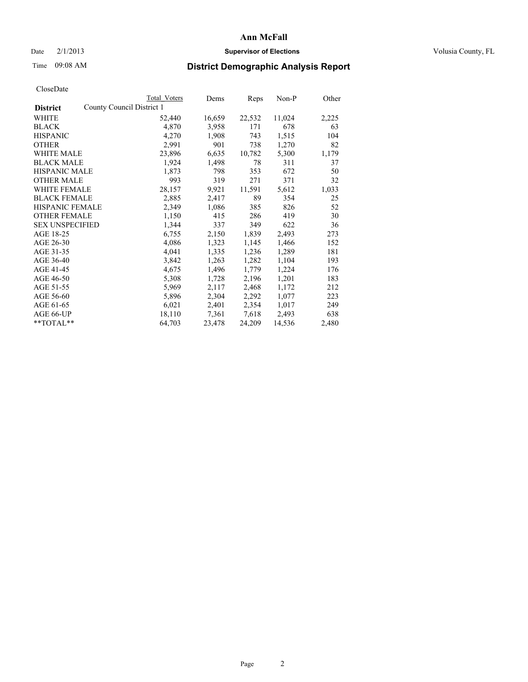### Date  $2/1/2013$  **Supervisor of Elections Supervisor of Elections** Volusia County, FL

## Time 09:08 AM **District Demographic Analysis Report**

|                                              | Total Voters | Dems   | <b>Reps</b> | Non-P  | Other |
|----------------------------------------------|--------------|--------|-------------|--------|-------|
| County Council District 1<br><b>District</b> |              |        |             |        |       |
| WHITE                                        | 52,440       | 16,659 | 22,532      | 11,024 | 2,225 |
| <b>BLACK</b>                                 | 4,870        | 3,958  | 171         | 678    | 63    |
| <b>HISPANIC</b>                              | 4,270        | 1,908  | 743         | 1,515  | 104   |
| <b>OTHER</b>                                 | 2,991        | 901    | 738         | 1,270  | 82    |
| WHITE MALE                                   | 23,896       | 6,635  | 10,782      | 5,300  | 1,179 |
| <b>BLACK MALE</b>                            | 1,924        | 1,498  | 78          | 311    | 37    |
| <b>HISPANIC MALE</b>                         | 1,873        | 798    | 353         | 672    | 50    |
| <b>OTHER MALE</b>                            | 993          | 319    | 271         | 371    | 32    |
| <b>WHITE FEMALE</b>                          | 28,157       | 9,921  | 11,591      | 5,612  | 1,033 |
| <b>BLACK FEMALE</b>                          | 2,885        | 2,417  | 89          | 354    | 25    |
| <b>HISPANIC FEMALE</b>                       | 2,349        | 1,086  | 385         | 826    | 52    |
| <b>OTHER FEMALE</b>                          | 1,150        | 415    | 286         | 419    | 30    |
| <b>SEX UNSPECIFIED</b>                       | 1,344        | 337    | 349         | 622    | 36    |
| AGE 18-25                                    | 6,755        | 2,150  | 1,839       | 2,493  | 273   |
| AGE 26-30                                    | 4,086        | 1,323  | 1,145       | 1,466  | 152   |
| AGE 31-35                                    | 4,041        | 1,335  | 1,236       | 1,289  | 181   |
| AGE 36-40                                    | 3,842        | 1,263  | 1,282       | 1,104  | 193   |
| AGE 41-45                                    | 4,675        | 1,496  | 1,779       | 1,224  | 176   |
| AGE 46-50                                    | 5,308        | 1,728  | 2,196       | 1,201  | 183   |
| AGE 51-55                                    | 5,969        | 2,117  | 2,468       | 1,172  | 212   |
| AGE 56-60                                    | 5,896        | 2,304  | 2,292       | 1,077  | 223   |
| AGE 61-65                                    | 6,021        | 2,401  | 2,354       | 1,017  | 249   |
| AGE 66-UP                                    | 18,110       | 7,361  | 7,618       | 2,493  | 638   |
| $*$ $TOTAL**$                                | 64,703       | 23,478 | 24,209      | 14,536 | 2,480 |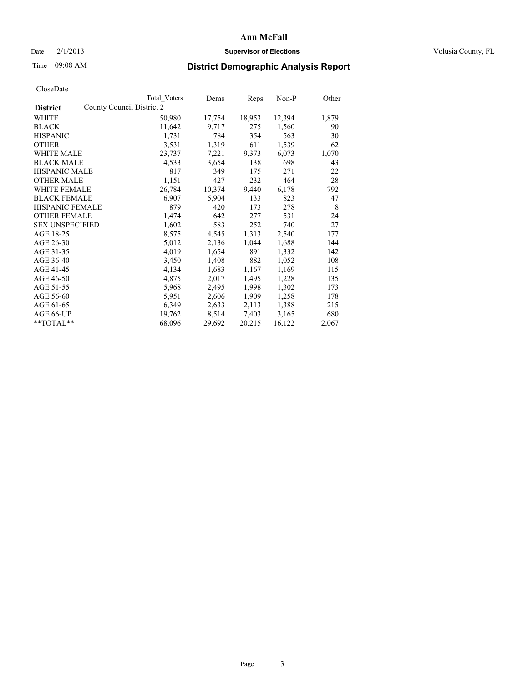### Date  $2/1/2013$  **Supervisor of Elections Supervisor of Elections** Volusia County, FL

# Time 09:08 AM **District Demographic Analysis Report**

|                                              | Total Voters | Dems   | <b>Reps</b> | Non-P  | Other |
|----------------------------------------------|--------------|--------|-------------|--------|-------|
| County Council District 2<br><b>District</b> |              |        |             |        |       |
| <b>WHITE</b>                                 | 50,980       | 17,754 | 18,953      | 12,394 | 1,879 |
| <b>BLACK</b>                                 | 11,642       | 9,717  | 275         | 1,560  | 90    |
| <b>HISPANIC</b>                              | 1,731        | 784    | 354         | 563    | 30    |
| <b>OTHER</b>                                 | 3,531        | 1,319  | 611         | 1,539  | 62    |
| <b>WHITE MALE</b>                            | 23,737       | 7,221  | 9,373       | 6,073  | 1,070 |
| <b>BLACK MALE</b>                            | 4,533        | 3,654  | 138         | 698    | 43    |
| <b>HISPANIC MALE</b>                         | 817          | 349    | 175         | 271    | 22    |
| <b>OTHER MALE</b>                            | 1,151        | 427    | 232         | 464    | 28    |
| <b>WHITE FEMALE</b>                          | 26,784       | 10,374 | 9,440       | 6,178  | 792   |
| <b>BLACK FEMALE</b>                          | 6,907        | 5,904  | 133         | 823    | 47    |
| <b>HISPANIC FEMALE</b>                       | 879          | 420    | 173         | 278    | 8     |
| <b>OTHER FEMALE</b>                          | 1,474        | 642    | 277         | 531    | 24    |
| <b>SEX UNSPECIFIED</b>                       | 1,602        | 583    | 252         | 740    | 27    |
| AGE 18-25                                    | 8,575        | 4,545  | 1,313       | 2,540  | 177   |
| AGE 26-30                                    | 5,012        | 2,136  | 1,044       | 1,688  | 144   |
| AGE 31-35                                    | 4,019        | 1,654  | 891         | 1,332  | 142   |
| AGE 36-40                                    | 3,450        | 1,408  | 882         | 1,052  | 108   |
| AGE 41-45                                    | 4,134        | 1,683  | 1,167       | 1,169  | 115   |
| AGE 46-50                                    | 4,875        | 2,017  | 1,495       | 1,228  | 135   |
| AGE 51-55                                    | 5,968        | 2,495  | 1,998       | 1,302  | 173   |
| AGE 56-60                                    | 5,951        | 2,606  | 1,909       | 1,258  | 178   |
| AGE 61-65                                    | 6,349        | 2,633  | 2,113       | 1,388  | 215   |
| AGE 66-UP                                    | 19,762       | 8,514  | 7,403       | 3,165  | 680   |
| $*$ $TOTAL**$                                | 68,096       | 29,692 | 20,215      | 16,122 | 2,067 |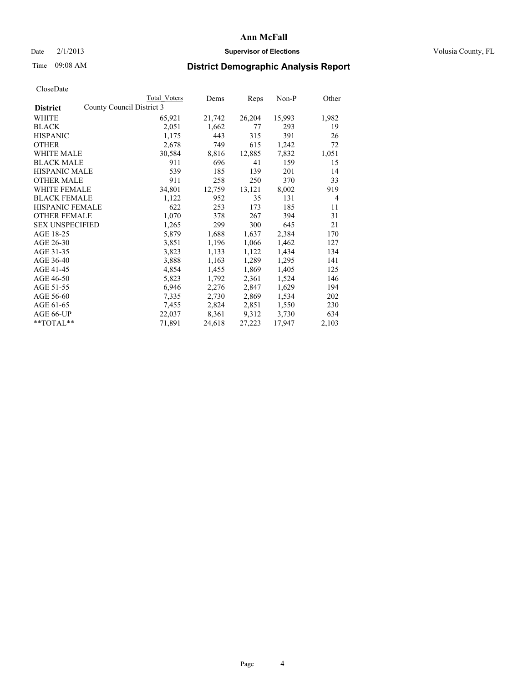### Date  $2/1/2013$  **Supervisor of Elections Supervisor of Elections** Volusia County, FL

## Time 09:08 AM **District Demographic Analysis Report**

| Total Voters              | Dems   | Reps   | Non-P  | Other          |
|---------------------------|--------|--------|--------|----------------|
| County Council District 3 |        |        |        |                |
| 65,921                    | 21,742 | 26,204 | 15,993 | 1,982          |
| 2,051                     | 1,662  | 77     | 293    | 19             |
| 1,175                     | 443    | 315    | 391    | 26             |
| 2,678                     | 749    | 615    | 1,242  | 72             |
| 30,584                    | 8,816  | 12,885 | 7,832  | 1,051          |
| 911                       | 696    | 41     | 159    | 15             |
| 539                       | 185    | 139    | 201    | 14             |
| 911                       | 258    | 250    | 370    | 33             |
| 34,801                    | 12,759 | 13,121 | 8,002  | 919            |
| 1,122                     | 952    | 35     | 131    | $\overline{4}$ |
| 622                       | 253    | 173    | 185    | 11             |
| 1,070                     | 378    | 267    | 394    | 31             |
| 1,265                     | 299    | 300    | 645    | 21             |
| 5,879                     | 1,688  | 1,637  | 2,384  | 170            |
| 3,851                     | 1,196  | 1,066  | 1,462  | 127            |
| 3,823                     | 1,133  | 1,122  | 1,434  | 134            |
| 3,888                     | 1,163  | 1,289  | 1,295  | 141            |
| 4,854                     | 1,455  | 1,869  | 1,405  | 125            |
| 5,823                     | 1,792  | 2,361  | 1,524  | 146            |
| 6,946                     | 2,276  | 2,847  | 1,629  | 194            |
| 7,335                     | 2,730  | 2,869  | 1,534  | 202            |
| 7,455                     | 2,824  | 2,851  | 1,550  | 230            |
| 22,037                    | 8,361  | 9,312  | 3,730  | 634            |
| 71,891                    | 24,618 | 27,223 | 17,947 | 2,103          |
|                           |        |        |        |                |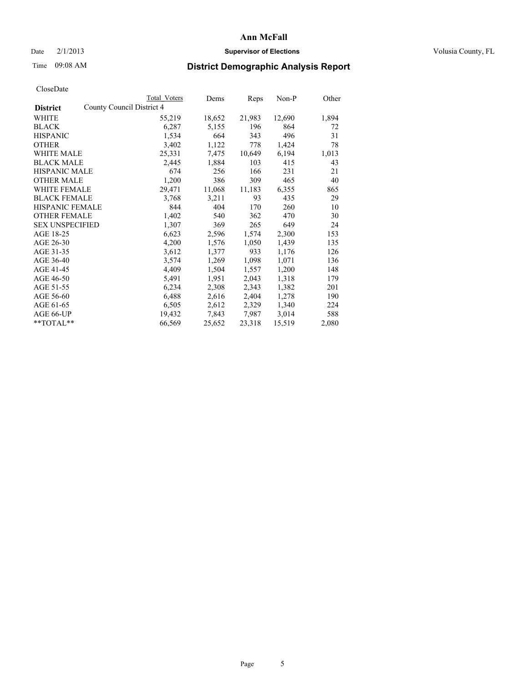### Date  $2/1/2013$  **Supervisor of Elections Supervisor of Elections** Volusia County, FL

### Time 09:08 AM **District Demographic Analysis Report**

| <b>Total Voters</b>       | Dems   | Reps   | Non-P  | Other |
|---------------------------|--------|--------|--------|-------|
| County Council District 4 |        |        |        |       |
| 55,219                    | 18,652 | 21,983 | 12,690 | 1,894 |
| 6,287                     | 5,155  | 196    | 864    | 72    |
| 1,534                     | 664    | 343    | 496    | 31    |
| 3,402                     | 1,122  | 778    | 1,424  | 78    |
| 25,331                    | 7,475  | 10,649 | 6,194  | 1,013 |
| 2,445                     | 1,884  | 103    | 415    | 43    |
| 674                       | 256    | 166    | 231    | 21    |
| 1,200                     | 386    | 309    | 465    | 40    |
| 29,471                    | 11,068 | 11,183 | 6,355  | 865   |
| 3,768                     | 3,211  | 93     | 435    | 29    |
| 844                       | 404    | 170    | 260    | 10    |
| 1,402                     | 540    | 362    | 470    | 30    |
| 1,307                     | 369    | 265    | 649    | 24    |
| 6,623                     | 2,596  | 1,574  | 2,300  | 153   |
| 4,200                     | 1,576  | 1,050  | 1,439  | 135   |
| 3,612                     | 1,377  | 933    | 1,176  | 126   |
| 3,574                     | 1,269  | 1,098  | 1,071  | 136   |
| 4,409                     | 1,504  | 1,557  | 1,200  | 148   |
| 5,491                     | 1,951  | 2,043  | 1,318  | 179   |
| 6,234                     | 2,308  | 2,343  | 1,382  | 201   |
| 6,488                     | 2,616  | 2,404  | 1,278  | 190   |
| 6,505                     | 2,612  | 2,329  | 1,340  | 224   |
| 19,432                    | 7,843  | 7,987  | 3,014  | 588   |
| 66,569                    | 25,652 | 23,318 | 15,519 | 2,080 |
|                           |        |        |        |       |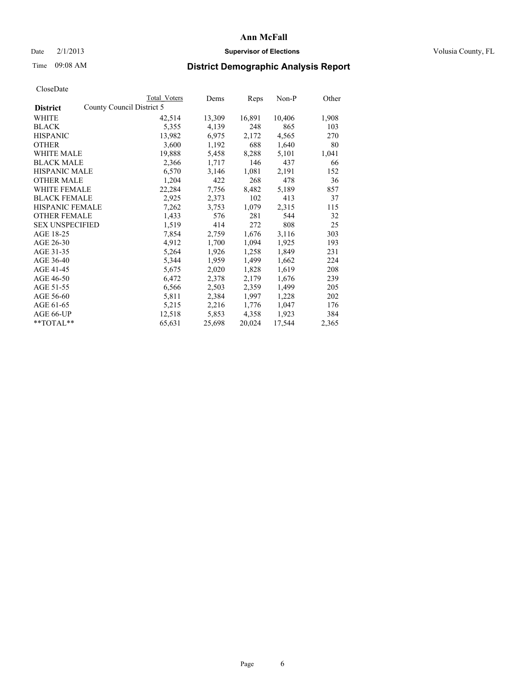### Date  $2/1/2013$  **Supervisor of Elections Supervisor of Elections** Volusia County, FL

### Time 09:08 AM **District Demographic Analysis Report**

|                        |                           | <b>Total Voters</b> | Dems   | <b>Reps</b> | $Non-P$ | Other |
|------------------------|---------------------------|---------------------|--------|-------------|---------|-------|
| <b>District</b>        | County Council District 5 |                     |        |             |         |       |
| WHITE                  |                           | 42,514              | 13,309 | 16,891      | 10,406  | 1,908 |
| <b>BLACK</b>           |                           | 5,355               | 4,139  | 248         | 865     | 103   |
| <b>HISPANIC</b>        |                           | 13,982              | 6,975  | 2,172       | 4,565   | 270   |
| <b>OTHER</b>           |                           | 3,600               | 1,192  | 688         | 1,640   | 80    |
| WHITE MALE             |                           | 19,888              | 5,458  | 8,288       | 5,101   | 1,041 |
| <b>BLACK MALE</b>      |                           | 2,366               | 1,717  | 146         | 437     | 66    |
| <b>HISPANIC MALE</b>   |                           | 6,570               | 3,146  | 1,081       | 2,191   | 152   |
| <b>OTHER MALE</b>      |                           | 1,204               | 422    | 268         | 478     | 36    |
| <b>WHITE FEMALE</b>    |                           | 22,284              | 7.756  | 8,482       | 5,189   | 857   |
| <b>BLACK FEMALE</b>    |                           | 2,925               | 2,373  | 102         | 413     | 37    |
| <b>HISPANIC FEMALE</b> |                           | 7,262               | 3,753  | 1,079       | 2,315   | 115   |
| <b>OTHER FEMALE</b>    |                           | 1,433               | 576    | 281         | 544     | 32    |
| <b>SEX UNSPECIFIED</b> |                           | 1,519               | 414    | 272         | 808     | 25    |
| AGE 18-25              |                           | 7,854               | 2,759  | 1,676       | 3,116   | 303   |
| AGE 26-30              |                           | 4,912               | 1,700  | 1,094       | 1,925   | 193   |
| AGE 31-35              |                           | 5,264               | 1,926  | 1,258       | 1,849   | 231   |
| AGE 36-40              |                           | 5,344               | 1,959  | 1,499       | 1,662   | 224   |
| AGE 41-45              |                           | 5,675               | 2,020  | 1,828       | 1,619   | 208   |
| AGE 46-50              |                           | 6,472               | 2,378  | 2,179       | 1,676   | 239   |
| AGE 51-55              |                           | 6,566               | 2,503  | 2,359       | 1,499   | 205   |
| AGE 56-60              |                           | 5,811               | 2,384  | 1,997       | 1,228   | 202   |
| AGE 61-65              |                           | 5,215               | 2,216  | 1,776       | 1,047   | 176   |
| AGE 66-UP              |                           | 12,518              | 5,853  | 4,358       | 1,923   | 384   |
| **TOTAL**              |                           | 65,631              | 25,698 | 20,024      | 17,544  | 2,365 |
|                        |                           |                     |        |             |         |       |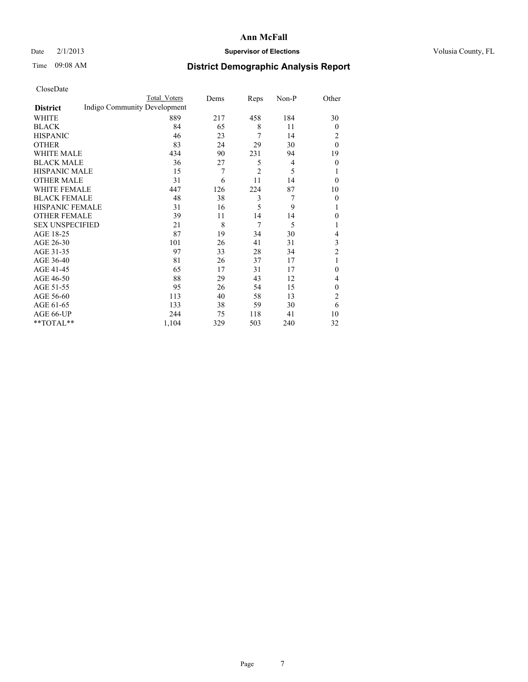### Date  $2/1/2013$  **Supervisor of Elections Supervisor of Elections** Volusia County, FL

# Time 09:08 AM **District Demographic Analysis Report**

|                        |                              | Total Voters | Dems | Reps           | Non-P | Other          |
|------------------------|------------------------------|--------------|------|----------------|-------|----------------|
| <b>District</b>        | Indigo Community Development |              |      |                |       |                |
| WHITE                  |                              | 889          | 217  | 458            | 184   | 30             |
| <b>BLACK</b>           |                              | 84           | 65   | 8              | 11    | $\overline{0}$ |
| <b>HISPANIC</b>        |                              | 46           | 23   | 7              | 14    | 2              |
| <b>OTHER</b>           |                              | 83           | 24   | 29             | 30    | $\theta$       |
| WHITE MALE             |                              | 434          | 90   | 231            | 94    | 19             |
| <b>BLACK MALE</b>      |                              | 36           | 27   | 5              | 4     | $\mathbf{0}$   |
| <b>HISPANIC MALE</b>   |                              | 15           | 7    | $\overline{2}$ | 5     | 1              |
| <b>OTHER MALE</b>      |                              | 31           | 6    | 11             | 14    | $\theta$       |
| <b>WHITE FEMALE</b>    |                              | 447          | 126  | 224            | 87    | 10             |
| <b>BLACK FEMALE</b>    |                              | 48           | 38   | 3              | 7     | $\theta$       |
| <b>HISPANIC FEMALE</b> |                              | 31           | 16   | 5              | 9     | 1              |
| <b>OTHER FEMALE</b>    |                              | 39           | 11   | 14             | 14    | $\theta$       |
| <b>SEX UNSPECIFIED</b> |                              | 21           | 8    | 7              | 5     | 1              |
| AGE 18-25              |                              | 87           | 19   | 34             | 30    | 4              |
| AGE 26-30              |                              | 101          | 26   | 41             | 31    | 3              |
| AGE 31-35              |                              | 97           | 33   | 28             | 34    | $\overline{2}$ |
| AGE 36-40              |                              | 81           | 26   | 37             | 17    | 1              |
| AGE 41-45              |                              | 65           | 17   | 31             | 17    | $\theta$       |
| AGE 46-50              |                              | 88           | 29   | 43             | 12    | 4              |
| AGE 51-55              |                              | 95           | 26   | 54             | 15    | $\theta$       |
| AGE 56-60              |                              | 113          | 40   | 58             | 13    | $\overline{2}$ |
| AGE 61-65              |                              | 133          | 38   | 59             | 30    | 6              |
| AGE 66-UP              |                              | 244          | 75   | 118            | 41    | 10             |
| **TOTAL**              |                              | 1,104        | 329  | 503            | 240   | 32             |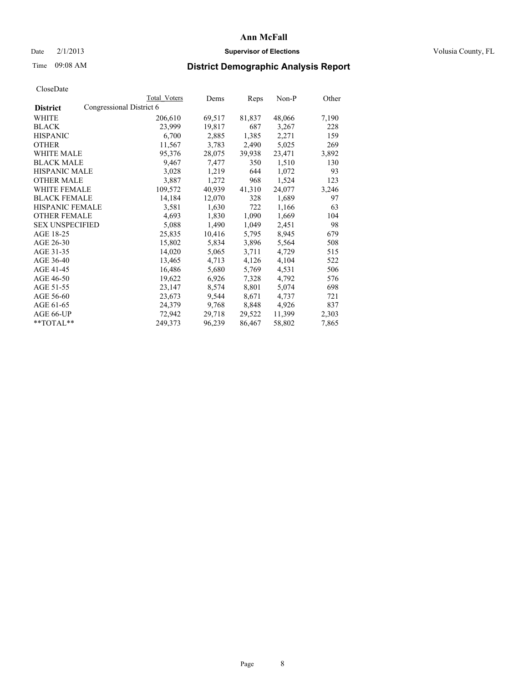### Date  $2/1/2013$  **Supervisor of Elections Supervisor of Elections** Volusia County, FL

# Time 09:08 AM **District Demographic Analysis Report**

|                                             | Total Voters | Dems   | Reps   | Non-P  | Other |
|---------------------------------------------|--------------|--------|--------|--------|-------|
| Congressional District 6<br><b>District</b> |              |        |        |        |       |
| WHITE                                       | 206,610      | 69,517 | 81,837 | 48,066 | 7,190 |
| <b>BLACK</b>                                | 23,999       | 19,817 | 687    | 3,267  | 228   |
| <b>HISPANIC</b>                             | 6,700        | 2,885  | 1,385  | 2,271  | 159   |
| <b>OTHER</b>                                | 11,567       | 3,783  | 2,490  | 5,025  | 269   |
| WHITE MALE                                  | 95,376       | 28,075 | 39,938 | 23,471 | 3,892 |
| <b>BLACK MALE</b>                           | 9,467        | 7,477  | 350    | 1,510  | 130   |
| <b>HISPANIC MALE</b>                        | 3,028        | 1,219  | 644    | 1,072  | 93    |
| <b>OTHER MALE</b>                           | 3,887        | 1,272  | 968    | 1,524  | 123   |
| WHITE FEMALE                                | 109,572      | 40,939 | 41,310 | 24,077 | 3,246 |
| <b>BLACK FEMALE</b>                         | 14,184       | 12,070 | 328    | 1,689  | 97    |
| <b>HISPANIC FEMALE</b>                      | 3,581        | 1,630  | 722    | 1,166  | 63    |
| <b>OTHER FEMALE</b>                         | 4,693        | 1,830  | 1,090  | 1,669  | 104   |
| <b>SEX UNSPECIFIED</b>                      | 5,088        | 1,490  | 1,049  | 2,451  | 98    |
| AGE 18-25                                   | 25,835       | 10,416 | 5,795  | 8,945  | 679   |
| AGE 26-30                                   | 15,802       | 5,834  | 3,896  | 5,564  | 508   |
| AGE 31-35                                   | 14,020       | 5,065  | 3,711  | 4,729  | 515   |
| AGE 36-40                                   | 13,465       | 4,713  | 4,126  | 4,104  | 522   |
| AGE 41-45                                   | 16,486       | 5,680  | 5,769  | 4,531  | 506   |
| AGE 46-50                                   | 19,622       | 6,926  | 7,328  | 4,792  | 576   |
| AGE 51-55                                   | 23,147       | 8,574  | 8,801  | 5,074  | 698   |
| AGE 56-60                                   | 23,673       | 9,544  | 8,671  | 4,737  | 721   |
| AGE 61-65                                   | 24,379       | 9,768  | 8,848  | 4,926  | 837   |
| AGE 66-UP                                   | 72,942       | 29,718 | 29,522 | 11,399 | 2,303 |
| $*$ TOTAL $*$                               | 249,373      | 96,239 | 86,467 | 58,802 | 7,865 |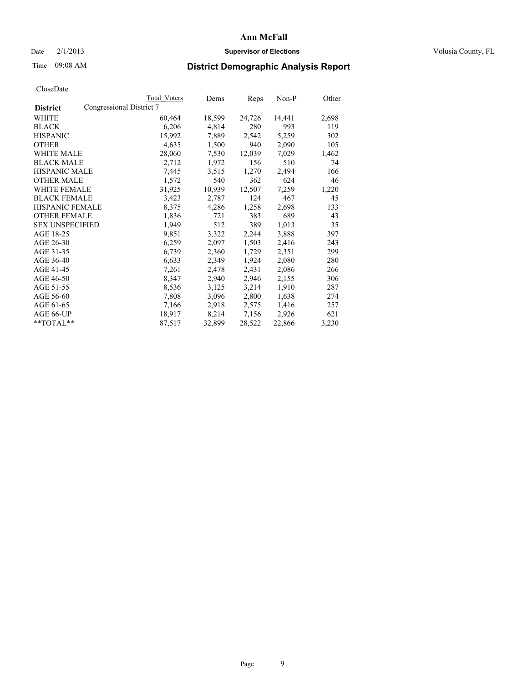### Date  $2/1/2013$  **Supervisor of Elections Supervisor of Elections** Volusia County, FL

# Time 09:08 AM **District Demographic Analysis Report**

|                        |                          | <b>Total Voters</b> | Dems   | <b>Reps</b> | Non-P  | Other |
|------------------------|--------------------------|---------------------|--------|-------------|--------|-------|
| <b>District</b>        | Congressional District 7 |                     |        |             |        |       |
| WHITE                  |                          | 60,464              | 18,599 | 24,726      | 14,441 | 2,698 |
| <b>BLACK</b>           |                          | 6,206               | 4,814  | 280         | 993    | 119   |
| <b>HISPANIC</b>        |                          | 15,992              | 7,889  | 2,542       | 5,259  | 302   |
| <b>OTHER</b>           |                          | 4,635               | 1,500  | 940         | 2,090  | 105   |
| <b>WHITE MALE</b>      |                          | 28,060              | 7,530  | 12,039      | 7,029  | 1,462 |
| <b>BLACK MALE</b>      |                          | 2,712               | 1,972  | 156         | 510    | 74    |
| <b>HISPANIC MALE</b>   |                          | 7,445               | 3,515  | 1,270       | 2,494  | 166   |
| <b>OTHER MALE</b>      |                          | 1,572               | 540    | 362         | 624    | 46    |
| <b>WHITE FEMALE</b>    |                          | 31,925              | 10,939 | 12,507      | 7,259  | 1,220 |
| <b>BLACK FEMALE</b>    |                          | 3,423               | 2,787  | 124         | 467    | 45    |
| <b>HISPANIC FEMALE</b> |                          | 8,375               | 4,286  | 1,258       | 2,698  | 133   |
| <b>OTHER FEMALE</b>    |                          | 1,836               | 721    | 383         | 689    | 43    |
| <b>SEX UNSPECIFIED</b> |                          | 1,949               | 512    | 389         | 1,013  | 35    |
| AGE 18-25              |                          | 9,851               | 3,322  | 2,244       | 3,888  | 397   |
| AGE 26-30              |                          | 6,259               | 2,097  | 1,503       | 2,416  | 243   |
| AGE 31-35              |                          | 6,739               | 2,360  | 1,729       | 2,351  | 299   |
| AGE 36-40              |                          | 6,633               | 2,349  | 1,924       | 2,080  | 280   |
| AGE 41-45              |                          | 7,261               | 2,478  | 2,431       | 2,086  | 266   |
| AGE 46-50              |                          | 8,347               | 2,940  | 2,946       | 2,155  | 306   |
| AGE 51-55              |                          | 8,536               | 3,125  | 3,214       | 1,910  | 287   |
| AGE 56-60              |                          | 7,808               | 3,096  | 2,800       | 1,638  | 274   |
| AGE 61-65              |                          | 7,166               | 2,918  | 2,575       | 1,416  | 257   |
| AGE 66-UP              |                          | 18,917              | 8,214  | 7,156       | 2,926  | 621   |
| $*$ $TOTAL**$          |                          | 87,517              | 32,899 | 28,522      | 22,866 | 3,230 |
|                        |                          |                     |        |             |        |       |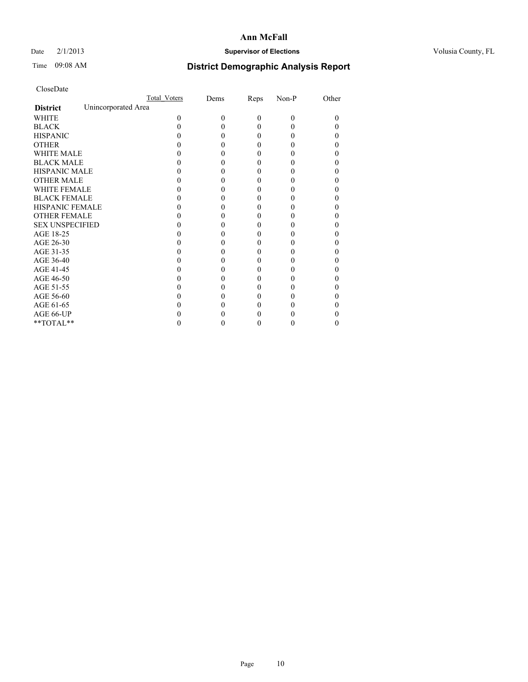### Date  $2/1/2013$  **Supervisor of Elections Supervisor of Elections** Volusia County, FL

# Time 09:08 AM **District Demographic Analysis Report**

|                                        | Total Voters | Dems | Reps     | Non-P    | Other |
|----------------------------------------|--------------|------|----------|----------|-------|
| Unincorporated Area<br><b>District</b> |              |      |          |          |       |
| <b>WHITE</b>                           | 0            | 0    | $\theta$ | $\Omega$ | 0     |
| <b>BLACK</b>                           |              |      | 0        | 0        |       |
| <b>HISPANIC</b>                        |              |      | 0        | 0        |       |
| <b>OTHER</b>                           |              |      |          |          |       |
| <b>WHITE MALE</b>                      |              |      |          |          |       |
| <b>BLACK MALE</b>                      |              |      | 0        |          |       |
| <b>HISPANIC MALE</b>                   |              |      |          |          |       |
| <b>OTHER MALE</b>                      |              |      | 0        |          |       |
| <b>WHITE FEMALE</b>                    |              |      |          |          |       |
| <b>BLACK FEMALE</b>                    |              |      | 0        |          |       |
| HISPANIC FEMALE                        |              |      |          |          |       |
| <b>OTHER FEMALE</b>                    |              |      |          |          |       |
| <b>SEX UNSPECIFIED</b>                 |              |      |          |          |       |
| AGE 18-25                              |              |      |          |          |       |
| AGE 26-30                              |              |      |          |          |       |
| AGE 31-35                              |              |      |          |          |       |
| AGE 36-40                              |              |      | 0        |          |       |
| AGE 41-45                              |              |      |          |          |       |
| AGE 46-50                              |              |      |          |          |       |
| AGE 51-55                              |              |      |          |          |       |
| AGE 56-60                              |              |      |          |          |       |
| AGE 61-65                              |              |      |          |          |       |
| AGE 66-UP                              |              |      |          |          |       |
| $**TOTAL**$                            |              |      | 0        | 0        | 0     |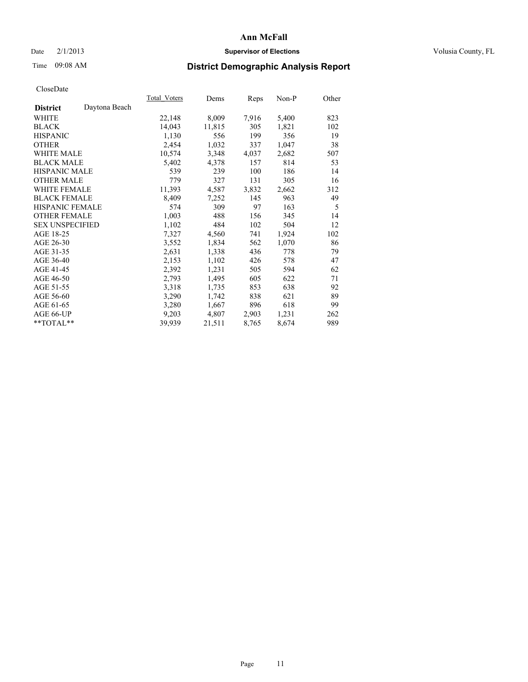### Date  $2/1/2013$  **Supervisor of Elections Supervisor of Elections** Volusia County, FL

# Time 09:08 AM **District Demographic Analysis Report**

|                        |               | Total Voters | Dems   | Reps  | Non-P | Other |
|------------------------|---------------|--------------|--------|-------|-------|-------|
| <b>District</b>        | Daytona Beach |              |        |       |       |       |
| <b>WHITE</b>           |               | 22,148       | 8,009  | 7,916 | 5,400 | 823   |
| <b>BLACK</b>           |               | 14,043       | 11,815 | 305   | 1,821 | 102   |
| <b>HISPANIC</b>        |               | 1,130        | 556    | 199   | 356   | 19    |
| <b>OTHER</b>           |               | 2,454        | 1,032  | 337   | 1,047 | 38    |
| <b>WHITE MALE</b>      |               | 10,574       | 3,348  | 4,037 | 2,682 | 507   |
| <b>BLACK MALE</b>      |               | 5,402        | 4,378  | 157   | 814   | 53    |
| <b>HISPANIC MALE</b>   |               | 539          | 239    | 100   | 186   | 14    |
| <b>OTHER MALE</b>      |               | 779          | 327    | 131   | 305   | 16    |
| <b>WHITE FEMALE</b>    |               | 11,393       | 4,587  | 3,832 | 2,662 | 312   |
| <b>BLACK FEMALE</b>    |               | 8,409        | 7,252  | 145   | 963   | 49    |
| HISPANIC FEMALE        |               | 574          | 309    | 97    | 163   | 5     |
| <b>OTHER FEMALE</b>    |               | 1,003        | 488    | 156   | 345   | 14    |
| <b>SEX UNSPECIFIED</b> |               | 1,102        | 484    | 102   | 504   | 12    |
| AGE 18-25              |               | 7,327        | 4,560  | 741   | 1,924 | 102   |
| AGE 26-30              |               | 3,552        | 1,834  | 562   | 1,070 | 86    |
| AGE 31-35              |               | 2,631        | 1,338  | 436   | 778   | 79    |
| AGE 36-40              |               | 2,153        | 1,102  | 426   | 578   | 47    |
| AGE 41-45              |               | 2,392        | 1,231  | 505   | 594   | 62    |
| AGE 46-50              |               | 2,793        | 1,495  | 605   | 622   | 71    |
| AGE 51-55              |               | 3,318        | 1,735  | 853   | 638   | 92    |
| AGE 56-60              |               | 3,290        | 1,742  | 838   | 621   | 89    |
| AGE 61-65              |               | 3,280        | 1,667  | 896   | 618   | 99    |
| AGE 66-UP              |               | 9,203        | 4,807  | 2,903 | 1,231 | 262   |
| $*$ $TOTAL**$          |               | 39,939       | 21,511 | 8,765 | 8,674 | 989   |
|                        |               |              |        |       |       |       |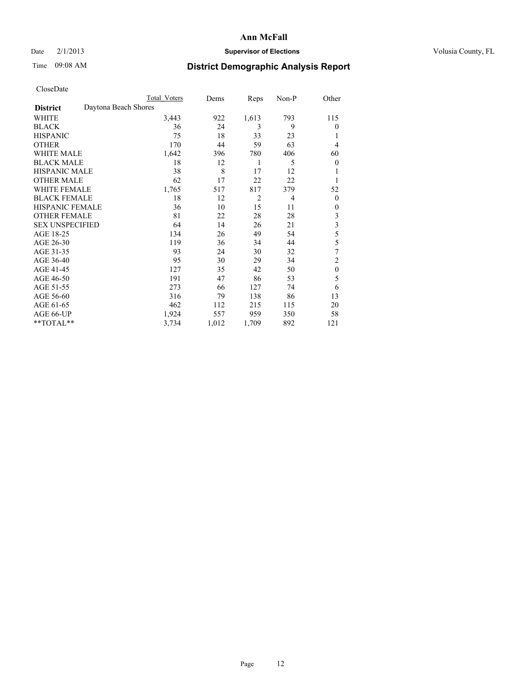### Date  $2/1/2013$  **Supervisor of Elections** Volusia County, FL

## Time 09:08 AM **District Demographic Analysis Report**

| UTOSUDatu              |                      |                     |       |       |       |                         |
|------------------------|----------------------|---------------------|-------|-------|-------|-------------------------|
|                        |                      | <b>Total Voters</b> | Dems  | Reps  | Non-P | Other                   |
| <b>District</b>        | Daytona Beach Shores |                     |       |       |       |                         |
| <b>WHITE</b>           |                      | 3,443               | 922   | 1,613 | 793   | 115                     |
| <b>BLACK</b>           |                      | 36                  | 24    | 3     | 9     | $\overline{0}$          |
| <b>HISPANIC</b>        |                      | 75                  | 18    | 33    | 23    |                         |
| <b>OTHER</b>           |                      | 170                 | 44    | 59    | 63    | $\overline{4}$          |
| WHITE MALE             |                      | 1,642               | 396   | 780   | 406   | 60                      |
| <b>BLACK MALE</b>      |                      | 18                  | 12    | 1     | 5     | $\theta$                |
| <b>HISPANIC MALE</b>   |                      | 38                  | 8     | 17    | 12    | 1                       |
| <b>OTHER MALE</b>      |                      | 62                  | 17    | 22    | 22    | 1                       |
| WHITE FEMALE           |                      | 1,765               | 517   | 817   | 379   | 52                      |
| <b>BLACK FEMALE</b>    |                      | 18                  | 12    | 2     | 4     | $\overline{0}$          |
| <b>HISPANIC FEMALE</b> |                      | 36                  | 10    | 15    | 11    | $\overline{0}$          |
| <b>OTHER FEMALE</b>    |                      | 81                  | 22    | 28    | 28    | 3                       |
| <b>SEX UNSPECIFIED</b> |                      | 64                  | 14    | 26    | 21    | $\overline{\mathbf{3}}$ |
| AGE 18-25              |                      | 134                 | 26    | 49    | 54    | 5                       |
| AGE 26-30              |                      | 119                 | 36    | 34    | 44    | 5                       |
| AGE 31-35              |                      | 93                  | 24    | 30    | 32    | 7                       |
| AGE 36-40              |                      | 95                  | 30    | 29    | 34    | $\overline{c}$          |
| AGE 41-45              |                      | 127                 | 35    | 42    | 50    | $\mathbf{0}$            |
| AGE 46-50              |                      | 191                 | 47    | 86    | 53    | 5                       |
| AGE 51-55              |                      | 273                 | 66    | 127   | 74    | 6                       |
| AGE 56-60              |                      | 316                 | 79    | 138   | 86    | 13                      |
| AGE 61-65              |                      | 462                 | 112   | 215   | 115   | 20                      |
| AGE 66-UP              |                      | 1,924               | 557   | 959   | 350   | 58                      |
| **TOTAL**              |                      | 3,734               | 1,012 | 1,709 | 892   | 121                     |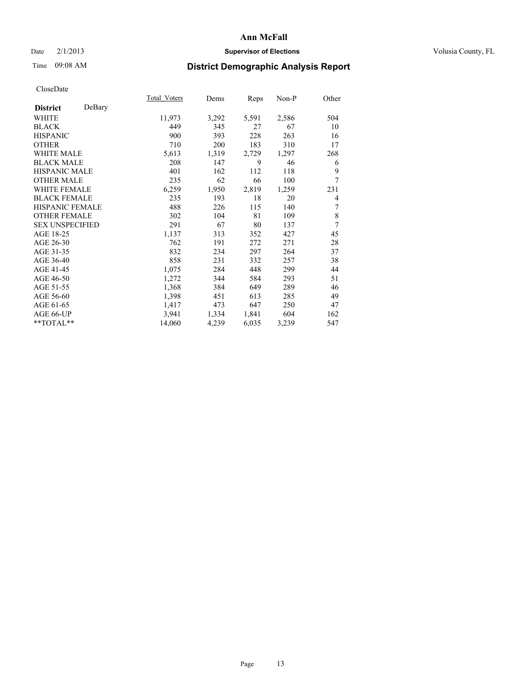### Date  $2/1/2013$  **Supervisor of Elections** Volusia County, FL

## Time 09:08 AM **District Demographic Analysis Report**

|                        |        | Total Voters | Dems  | Reps  | Non-P | Other |
|------------------------|--------|--------------|-------|-------|-------|-------|
| <b>District</b>        | DeBary |              |       |       |       |       |
| WHITE                  |        | 11,973       | 3,292 | 5,591 | 2,586 | 504   |
| <b>BLACK</b>           |        | 449          | 345   | 27    | 67    | 10    |
| <b>HISPANIC</b>        |        | 900          | 393   | 228   | 263   | 16    |
| <b>OTHER</b>           |        | 710          | 200   | 183   | 310   | 17    |
| WHITE MALE             |        | 5,613        | 1,319 | 2,729 | 1,297 | 268   |
| <b>BLACK MALE</b>      |        | 208          | 147   | 9     | 46    | 6     |
| <b>HISPANIC MALE</b>   |        | 401          | 162   | 112   | 118   | 9     |
| <b>OTHER MALE</b>      |        | 235          | 62    | 66    | 100   | 7     |
| <b>WHITE FEMALE</b>    |        | 6,259        | 1,950 | 2,819 | 1,259 | 231   |
| <b>BLACK FEMALE</b>    |        | 235          | 193   | 18    | 20    | 4     |
| <b>HISPANIC FEMALE</b> |        | 488          | 226   | 115   | 140   | 7     |
| <b>OTHER FEMALE</b>    |        | 302          | 104   | 81    | 109   | 8     |
| <b>SEX UNSPECIFIED</b> |        | 291          | 67    | 80    | 137   | 7     |
| AGE 18-25              |        | 1,137        | 313   | 352   | 427   | 45    |
| AGE 26-30              |        | 762          | 191   | 272   | 271   | 28    |
| AGE 31-35              |        | 832          | 234   | 297   | 264   | 37    |
| AGE 36-40              |        | 858          | 231   | 332   | 257   | 38    |
| AGE 41-45              |        | 1,075        | 284   | 448   | 299   | 44    |
| AGE 46-50              |        | 1,272        | 344   | 584   | 293   | 51    |
| AGE 51-55              |        | 1,368        | 384   | 649   | 289   | 46    |
| AGE 56-60              |        | 1,398        | 451   | 613   | 285   | 49    |
| AGE 61-65              |        | 1,417        | 473   | 647   | 250   | 47    |
| AGE 66-UP              |        | 3,941        | 1,334 | 1,841 | 604   | 162   |
| **TOTAL**              |        | 14,060       | 4,239 | 6,035 | 3,239 | 547   |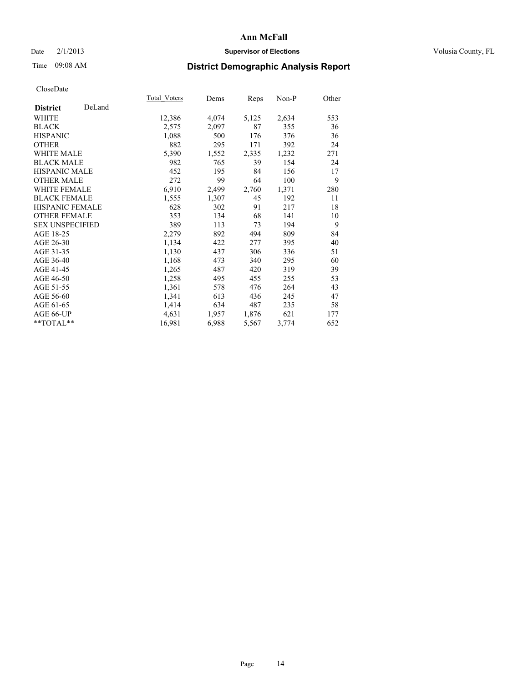### Date  $2/1/2013$  **Supervisor of Elections** Volusia County, FL

# Time 09:08 AM **District Demographic Analysis Report**

|                        |        | <b>Total Voters</b> | Dems  | <b>Reps</b> | Non-P | Other |
|------------------------|--------|---------------------|-------|-------------|-------|-------|
| <b>District</b>        | DeLand |                     |       |             |       |       |
| WHITE                  |        | 12,386              | 4,074 | 5,125       | 2,634 | 553   |
| <b>BLACK</b>           |        | 2,575               | 2,097 | 87          | 355   | 36    |
| <b>HISPANIC</b>        |        | 1,088               | 500   | 176         | 376   | 36    |
| <b>OTHER</b>           |        | 882                 | 295   | 171         | 392   | 24    |
| <b>WHITE MALE</b>      |        | 5,390               | 1,552 | 2,335       | 1,232 | 271   |
| <b>BLACK MALE</b>      |        | 982                 | 765   | 39          | 154   | 24    |
| <b>HISPANIC MALE</b>   |        | 452                 | 195   | 84          | 156   | 17    |
| <b>OTHER MALE</b>      |        | 272                 | 99    | 64          | 100   | 9     |
| WHITE FEMALE           |        | 6,910               | 2,499 | 2,760       | 1,371 | 280   |
| <b>BLACK FEMALE</b>    |        | 1,555               | 1,307 | 45          | 192   | 11    |
| HISPANIC FEMALE        |        | 628                 | 302   | 91          | 217   | 18    |
| <b>OTHER FEMALE</b>    |        | 353                 | 134   | 68          | 141   | 10    |
| <b>SEX UNSPECIFIED</b> |        | 389                 | 113   | 73          | 194   | 9     |
| AGE 18-25              |        | 2,279               | 892   | 494         | 809   | 84    |
| AGE 26-30              |        | 1,134               | 422   | 277         | 395   | 40    |
| AGE 31-35              |        | 1,130               | 437   | 306         | 336   | 51    |
| AGE 36-40              |        | 1,168               | 473   | 340         | 295   | 60    |
| AGE 41-45              |        | 1,265               | 487   | 420         | 319   | 39    |
| AGE 46-50              |        | 1,258               | 495   | 455         | 255   | 53    |
| AGE 51-55              |        | 1,361               | 578   | 476         | 264   | 43    |
| AGE 56-60              |        | 1,341               | 613   | 436         | 245   | 47    |
| AGE 61-65              |        | 1,414               | 634   | 487         | 235   | 58    |
| AGE 66-UP              |        | 4,631               | 1,957 | 1,876       | 621   | 177   |
| **TOTAL**              |        | 16,981              | 6,988 | 5,567       | 3,774 | 652   |
|                        |        |                     |       |             |       |       |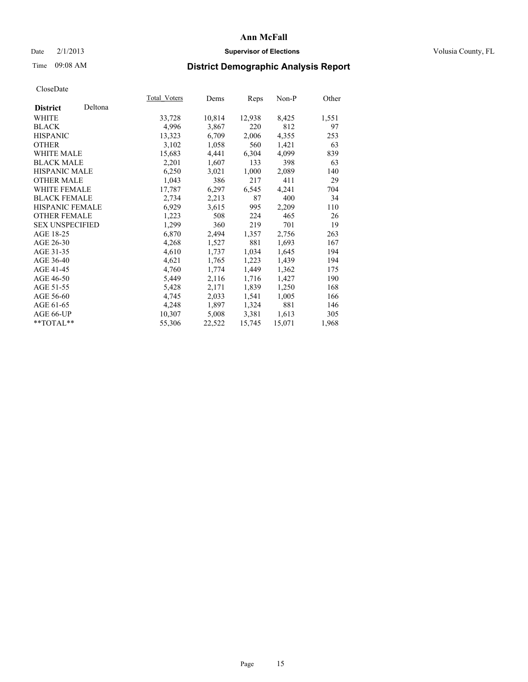### Date  $2/1/2013$  **Supervisor of Elections Supervisor of Elections** Volusia County, FL

# Time 09:08 AM **District Demographic Analysis Report**

|                        |         | Total Voters | Dems   | Reps   | Non-P  | Other |
|------------------------|---------|--------------|--------|--------|--------|-------|
| <b>District</b>        | Deltona |              |        |        |        |       |
| WHITE                  |         | 33,728       | 10,814 | 12,938 | 8,425  | 1,551 |
| <b>BLACK</b>           |         | 4,996        | 3,867  | 220    | 812    | 97    |
| <b>HISPANIC</b>        |         | 13,323       | 6,709  | 2,006  | 4,355  | 253   |
| <b>OTHER</b>           |         | 3,102        | 1,058  | 560    | 1,421  | 63    |
| WHITE MALE             |         | 15,683       | 4,441  | 6,304  | 4,099  | 839   |
| <b>BLACK MALE</b>      |         | 2,201        | 1,607  | 133    | 398    | 63    |
| <b>HISPANIC MALE</b>   |         | 6,250        | 3,021  | 1,000  | 2,089  | 140   |
| <b>OTHER MALE</b>      |         | 1,043        | 386    | 217    | 411    | 29    |
| WHITE FEMALE           |         | 17,787       | 6,297  | 6,545  | 4,241  | 704   |
| <b>BLACK FEMALE</b>    |         | 2,734        | 2,213  | 87     | 400    | 34    |
| <b>HISPANIC FEMALE</b> |         | 6,929        | 3,615  | 995    | 2,209  | 110   |
| <b>OTHER FEMALE</b>    |         | 1,223        | 508    | 224    | 465    | 26    |
| <b>SEX UNSPECIFIED</b> |         | 1,299        | 360    | 219    | 701    | 19    |
| AGE 18-25              |         | 6,870        | 2,494  | 1,357  | 2,756  | 263   |
| AGE 26-30              |         | 4,268        | 1,527  | 881    | 1,693  | 167   |
| AGE 31-35              |         | 4,610        | 1,737  | 1,034  | 1,645  | 194   |
| AGE 36-40              |         | 4,621        | 1,765  | 1,223  | 1,439  | 194   |
| AGE 41-45              |         | 4,760        | 1,774  | 1,449  | 1,362  | 175   |
| AGE 46-50              |         | 5,449        | 2,116  | 1,716  | 1,427  | 190   |
| AGE 51-55              |         | 5,428        | 2,171  | 1,839  | 1,250  | 168   |
| AGE 56-60              |         | 4,745        | 2,033  | 1,541  | 1,005  | 166   |
| AGE 61-65              |         | 4,248        | 1,897  | 1,324  | 881    | 146   |
| AGE 66-UP              |         | 10,307       | 5,008  | 3,381  | 1,613  | 305   |
| $*$ TOTAL $*$          |         | 55,306       | 22,522 | 15,745 | 15,071 | 1,968 |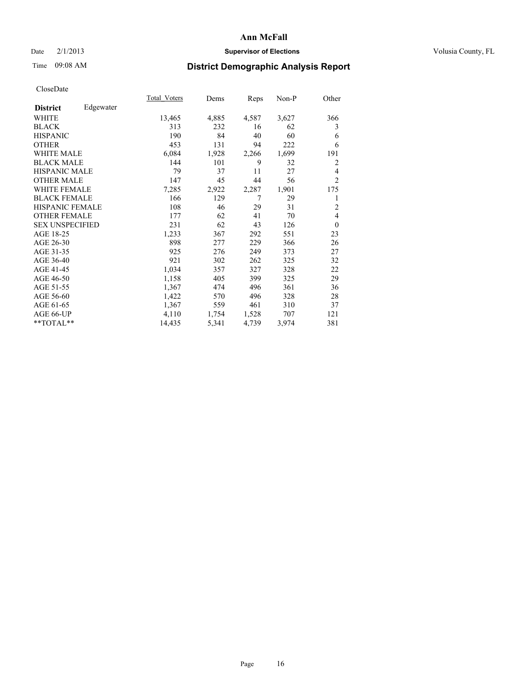### Date  $2/1/2013$  **Supervisor of Elections** Volusia County, FL

## Time 09:08 AM **District Demographic Analysis Report**

|                        |           | Total Voters | Dems  | Reps  | Non-P | Other          |
|------------------------|-----------|--------------|-------|-------|-------|----------------|
| <b>District</b>        | Edgewater |              |       |       |       |                |
| WHITE                  |           | 13,465       | 4,885 | 4,587 | 3,627 | 366            |
| <b>BLACK</b>           |           | 313          | 232   | 16    | 62    | 3              |
| <b>HISPANIC</b>        |           | 190          | 84    | 40    | 60    | 6              |
| <b>OTHER</b>           |           | 453          | 131   | 94    | 222   | 6              |
| WHITE MALE             |           | 6,084        | 1,928 | 2,266 | 1,699 | 191            |
| <b>BLACK MALE</b>      |           | 144          | 101   | 9     | 32    | $\overline{2}$ |
| <b>HISPANIC MALE</b>   |           | 79           | 37    | 11    | 27    | 4              |
| <b>OTHER MALE</b>      |           | 147          | 45    | 44    | 56    | $\overline{2}$ |
| <b>WHITE FEMALE</b>    |           | 7,285        | 2,922 | 2,287 | 1,901 | 175            |
| <b>BLACK FEMALE</b>    |           | 166          | 129   | 7     | 29    | 1              |
| <b>HISPANIC FEMALE</b> |           | 108          | 46    | 29    | 31    | $\overline{c}$ |
| <b>OTHER FEMALE</b>    |           | 177          | 62    | 41    | 70    | $\overline{4}$ |
| <b>SEX UNSPECIFIED</b> |           | 231          | 62    | 43    | 126   | $\theta$       |
| AGE 18-25              |           | 1,233        | 367   | 292   | 551   | 23             |
| AGE 26-30              |           | 898          | 277   | 229   | 366   | 26             |
| AGE 31-35              |           | 925          | 276   | 249   | 373   | 27             |
| AGE 36-40              |           | 921          | 302   | 262   | 325   | 32             |
| AGE 41-45              |           | 1,034        | 357   | 327   | 328   | 22             |
| AGE 46-50              |           | 1,158        | 405   | 399   | 325   | 29             |
| AGE 51-55              |           | 1,367        | 474   | 496   | 361   | 36             |
| AGE 56-60              |           | 1,422        | 570   | 496   | 328   | 28             |
| AGE 61-65              |           | 1,367        | 559   | 461   | 310   | 37             |
| AGE 66-UP              |           | 4,110        | 1,754 | 1,528 | 707   | 121            |
| **TOTAL**              |           | 14,435       | 5,341 | 4,739 | 3,974 | 381            |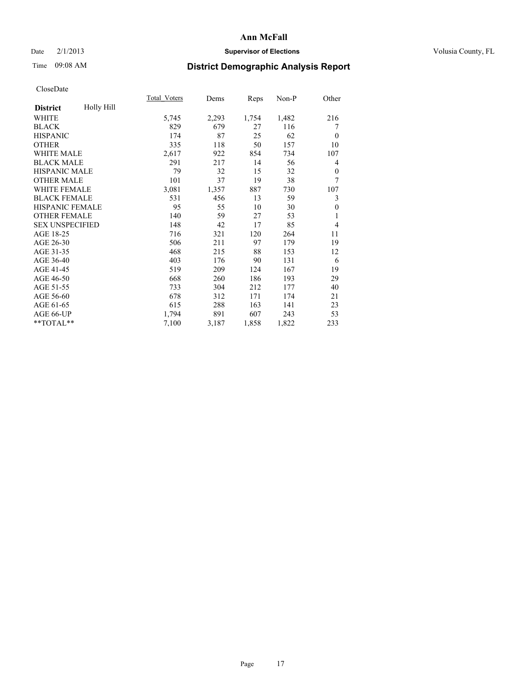### Date  $2/1/2013$  **Supervisor of Elections Supervisor of Elections** Volusia County, FL

# Time 09:08 AM **District Demographic Analysis Report**

| <b>Total Voters</b> | Dems  | Reps  | $Non-P$ | Other            |
|---------------------|-------|-------|---------|------------------|
|                     |       |       |         |                  |
| 5,745               | 2,293 | 1,754 | 1,482   | 216              |
| 829                 | 679   | 27    | 116     | 7                |
| 174                 | 87    | 25    | 62      | $\theta$         |
| 335                 | 118   | 50    | 157     | 10               |
| 2,617               | 922   | 854   | 734     | 107              |
| 291                 | 217   | 14    | 56      | 4                |
| 79                  | 32    | 15    | 32      | $\theta$         |
| 101                 | 37    | 19    | 38      | 7                |
| 3,081               | 1,357 | 887   | 730     | 107              |
| 531                 | 456   | 13    | 59      | 3                |
| 95                  | 55    | 10    | 30      | $\boldsymbol{0}$ |
| 140                 | 59    | 27    | 53      | 1                |
| 148                 | 42    | 17    | 85      | $\overline{4}$   |
| 716                 | 321   | 120   | 264     | 11               |
| 506                 | 211   | 97    | 179     | 19               |
| 468                 | 215   | 88    | 153     | 12               |
| 403                 | 176   | 90    | 131     | 6                |
| 519                 | 209   | 124   | 167     | 19               |
| 668                 | 260   | 186   | 193     | 29               |
| 733                 | 304   | 212   | 177     | 40               |
| 678                 | 312   | 171   | 174     | 21               |
| 615                 | 288   | 163   | 141     | 23               |
| 1,794               | 891   | 607   | 243     | 53               |
| 7,100               | 3,187 | 1,858 | 1,822   | 233              |
|                     |       |       |         |                  |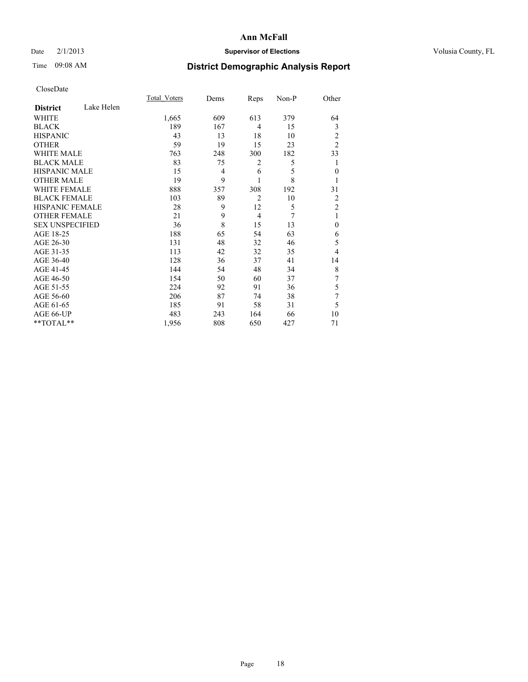### Date  $2/1/2013$  **Supervisor of Elections** Volusia County, FL

# Time 09:08 AM **District Demographic Analysis Report**

|                        |            | Total Voters | Dems | Reps           | Non-P | Other          |
|------------------------|------------|--------------|------|----------------|-------|----------------|
| <b>District</b>        | Lake Helen |              |      |                |       |                |
| WHITE                  |            | 1,665        | 609  | 613            | 379   | 64             |
| <b>BLACK</b>           |            | 189          | 167  | 4              | 15    | 3              |
| <b>HISPANIC</b>        |            | 43           | 13   | 18             | 10    | $\overline{2}$ |
| <b>OTHER</b>           |            | 59           | 19   | 15             | 23    | $\overline{2}$ |
| <b>WHITE MALE</b>      |            | 763          | 248  | 300            | 182   | 33             |
| <b>BLACK MALE</b>      |            | 83           | 75   | 2              | 5     | 1              |
| <b>HISPANIC MALE</b>   |            | 15           | 4    | 6              | 5     | $\overline{0}$ |
| <b>OTHER MALE</b>      |            | 19           | 9    | 1              | 8     | 1              |
| <b>WHITE FEMALE</b>    |            | 888          | 357  | 308            | 192   | 31             |
| <b>BLACK FEMALE</b>    |            | 103          | 89   | $\overline{2}$ | 10    | $\overline{2}$ |
| HISPANIC FEMALE        |            | 28           | 9    | 12             | 5     | $\overline{c}$ |
| <b>OTHER FEMALE</b>    |            | 21           | 9    | $\overline{4}$ | 7     | 1              |
| <b>SEX UNSPECIFIED</b> |            | 36           | 8    | 15             | 13    | $\theta$       |
| AGE 18-25              |            | 188          | 65   | 54             | 63    | 6              |
| AGE 26-30              |            | 131          | 48   | 32             | 46    | 5              |
| AGE 31-35              |            | 113          | 42   | 32             | 35    | 4              |
| AGE 36-40              |            | 128          | 36   | 37             | 41    | 14             |
| AGE 41-45              |            | 144          | 54   | 48             | 34    | 8              |
| AGE 46-50              |            | 154          | 50   | 60             | 37    | 7              |
| AGE 51-55              |            | 224          | 92   | 91             | 36    | 5              |
| AGE 56-60              |            | 206          | 87   | 74             | 38    | 7              |
| AGE 61-65              |            | 185          | 91   | 58             | 31    | 5              |
| AGE 66-UP              |            | 483          | 243  | 164            | 66    | 10             |
| **TOTAL**              |            | 1,956        | 808  | 650            | 427   | 71             |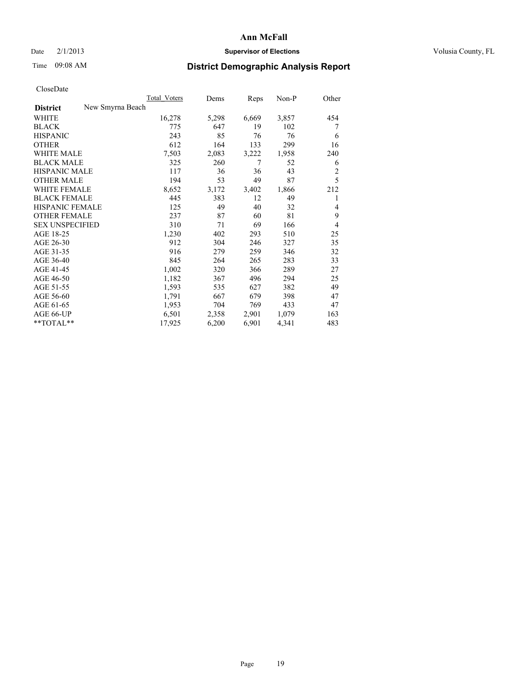### Date  $2/1/2013$  **Supervisor of Elections Supervisor of Elections** Volusia County, FL

### Time 09:08 AM **District Demographic Analysis Report**

|                                     | <b>Total Voters</b> | Dems  | Reps  | Non-P | Other          |
|-------------------------------------|---------------------|-------|-------|-------|----------------|
| New Smyrna Beach<br><b>District</b> |                     |       |       |       |                |
| <b>WHITE</b>                        | 16,278              | 5,298 | 6,669 | 3,857 | 454            |
| <b>BLACK</b>                        | 775                 | 647   | 19    | 102   | 7              |
| <b>HISPANIC</b>                     | 243                 | 85    | 76    | 76    | 6              |
| <b>OTHER</b>                        | 612                 | 164   | 133   | 299   | 16             |
| <b>WHITE MALE</b>                   | 7,503               | 2,083 | 3,222 | 1,958 | 240            |
| <b>BLACK MALE</b>                   | 325                 | 260   | 7     | 52    | 6              |
| <b>HISPANIC MALE</b>                | 117                 | 36    | 36    | 43    | $\overline{c}$ |
| <b>OTHER MALE</b>                   | 194                 | 53    | 49    | 87    | 5              |
| <b>WHITE FEMALE</b>                 | 8,652               | 3,172 | 3,402 | 1,866 | 212            |
| <b>BLACK FEMALE</b>                 | 445                 | 383   | 12    | 49    |                |
| <b>HISPANIC FEMALE</b>              | 125                 | 49    | 40    | 32    | 4              |
| <b>OTHER FEMALE</b>                 | 237                 | 87    | 60    | 81    | 9              |
| <b>SEX UNSPECIFIED</b>              | 310                 | 71    | 69    | 166   | $\overline{4}$ |
| AGE 18-25                           | 1,230               | 402   | 293   | 510   | 25             |
| AGE 26-30                           | 912                 | 304   | 246   | 327   | 35             |
| AGE 31-35                           | 916                 | 279   | 259   | 346   | 32             |
| AGE 36-40                           | 845                 | 264   | 265   | 283   | 33             |
| AGE 41-45                           | 1,002               | 320   | 366   | 289   | 27             |
| AGE 46-50                           | 1,182               | 367   | 496   | 294   | 25             |
| AGE 51-55                           | 1,593               | 535   | 627   | 382   | 49             |
| AGE 56-60                           | 1,791               | 667   | 679   | 398   | 47             |
| AGE 61-65                           | 1,953               | 704   | 769   | 433   | 47             |
| AGE 66-UP                           | 6,501               | 2,358 | 2,901 | 1,079 | 163            |
| **TOTAL**                           | 17,925              | 6,200 | 6,901 | 4,341 | 483            |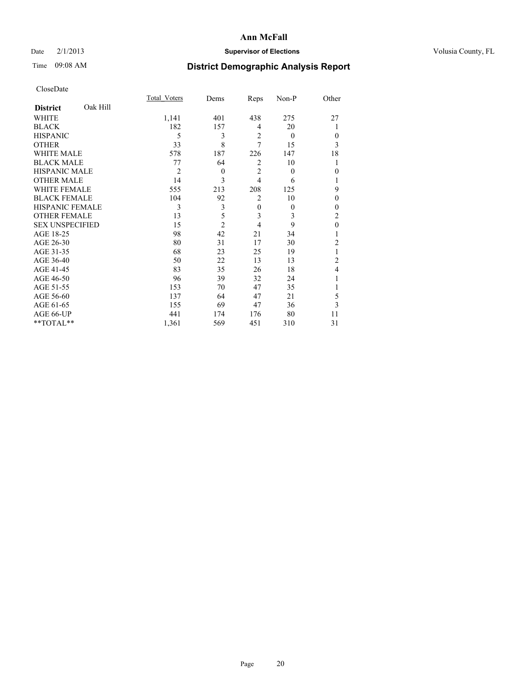### Date  $2/1/2013$  **Supervisor of Elections** Volusia County, FL

# Time 09:08 AM **District Demographic Analysis Report**

|                        |          | <b>Total Voters</b> | Dems           | Reps           | Non-P    | Other            |
|------------------------|----------|---------------------|----------------|----------------|----------|------------------|
| <b>District</b>        | Oak Hill |                     |                |                |          |                  |
| <b>WHITE</b>           |          | 1,141               | 401            | 438            | 275      | 27               |
| <b>BLACK</b>           |          | 182                 | 157            | 4              | 20       |                  |
| <b>HISPANIC</b>        |          | 5                   | 3              | $\overline{2}$ | $\theta$ | $\theta$         |
| <b>OTHER</b>           |          | 33                  | 8              | 7              | 15       | 3                |
| <b>WHITE MALE</b>      |          | 578                 | 187            | 226            | 147      | 18               |
| <b>BLACK MALE</b>      |          | 77                  | 64             | $\overline{2}$ | 10       |                  |
| <b>HISPANIC MALE</b>   |          | $\overline{2}$      | $\theta$       | $\overline{2}$ | $\theta$ | $\boldsymbol{0}$ |
| <b>OTHER MALE</b>      |          | 14                  | 3              | $\overline{4}$ | 6        |                  |
| <b>WHITE FEMALE</b>    |          | 555                 | 213            | 208            | 125      | 9                |
| <b>BLACK FEMALE</b>    |          | 104                 | 92             | $\overline{2}$ | 10       | $\theta$         |
| HISPANIC FEMALE        |          | 3                   | 3              | $\mathbf{0}$   | $\theta$ | $\theta$         |
| <b>OTHER FEMALE</b>    |          | 13                  | 5              | 3              | 3        | 2                |
| <b>SEX UNSPECIFIED</b> |          | 15                  | $\overline{c}$ | $\overline{4}$ | 9        | $\mathbf{0}$     |
| AGE 18-25              |          | 98                  | 42             | 21             | 34       |                  |
| AGE 26-30              |          | 80                  | 31             | 17             | 30       | $\overline{c}$   |
| AGE 31-35              |          | 68                  | 23             | 25             | 19       |                  |
| AGE 36-40              |          | 50                  | 22             | 13             | 13       | $\overline{c}$   |
| AGE 41-45              |          | 83                  | 35             | 26             | 18       | 4                |
| AGE 46-50              |          | 96                  | 39             | 32             | 24       | 1                |
| AGE 51-55              |          | 153                 | 70             | 47             | 35       |                  |
| AGE 56-60              |          | 137                 | 64             | 47             | 21       | 5                |
| AGE 61-65              |          | 155                 | 69             | 47             | 36       | 3                |
| AGE 66-UP              |          | 441                 | 174            | 176            | 80       | 11               |
| **TOTAL**              |          | 1,361               | 569            | 451            | 310      | 31               |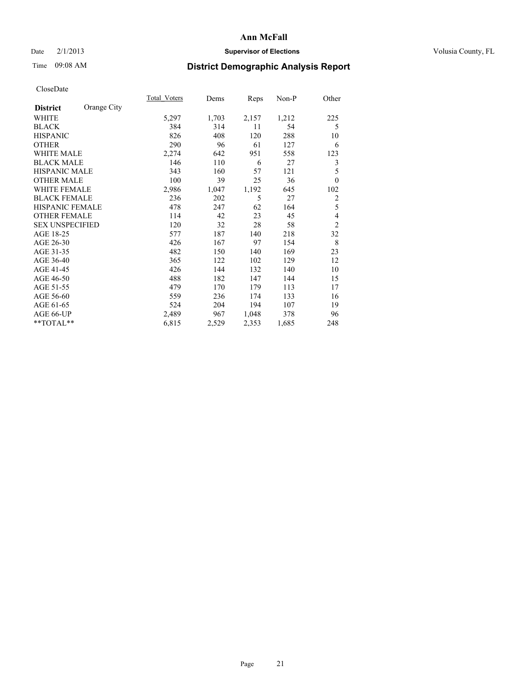### Date  $2/1/2013$  **Supervisor of Elections** Volusia County, FL

# Time 09:08 AM **District Demographic Analysis Report**

|                        |             | Total Voters | Dems  | Reps  | Non-P | Other          |
|------------------------|-------------|--------------|-------|-------|-------|----------------|
| <b>District</b>        | Orange City |              |       |       |       |                |
| WHITE                  |             | 5,297        | 1,703 | 2,157 | 1,212 | 225            |
| <b>BLACK</b>           |             | 384          | 314   | 11    | 54    | 5              |
| <b>HISPANIC</b>        |             | 826          | 408   | 120   | 288   | 10             |
| <b>OTHER</b>           |             | 290          | 96    | 61    | 127   | 6              |
| <b>WHITE MALE</b>      |             | 2,274        | 642   | 951   | 558   | 123            |
| <b>BLACK MALE</b>      |             | 146          | 110   | 6     | 27    | 3              |
| <b>HISPANIC MALE</b>   |             | 343          | 160   | 57    | 121   | 5              |
| <b>OTHER MALE</b>      |             | 100          | 39    | 25    | 36    | $\theta$       |
| <b>WHITE FEMALE</b>    |             | 2,986        | 1,047 | 1,192 | 645   | 102            |
| <b>BLACK FEMALE</b>    |             | 236          | 202   | 5     | 27    | 2              |
| <b>HISPANIC FEMALE</b> |             | 478          | 247   | 62    | 164   | 5              |
| <b>OTHER FEMALE</b>    |             | 114          | 42    | 23    | 45    | 4              |
| <b>SEX UNSPECIFIED</b> |             | 120          | 32    | 28    | 58    | $\overline{c}$ |
| AGE 18-25              |             | 577          | 187   | 140   | 218   | 32             |
| AGE 26-30              |             | 426          | 167   | 97    | 154   | 8              |
| AGE 31-35              |             | 482          | 150   | 140   | 169   | 23             |
| AGE 36-40              |             | 365          | 122   | 102   | 129   | 12             |
| AGE 41-45              |             | 426          | 144   | 132   | 140   | 10             |
| AGE 46-50              |             | 488          | 182   | 147   | 144   | 15             |
| AGE 51-55              |             | 479          | 170   | 179   | 113   | 17             |
| AGE 56-60              |             | 559          | 236   | 174   | 133   | 16             |
| AGE 61-65              |             | 524          | 204   | 194   | 107   | 19             |
| AGE 66-UP              |             | 2,489        | 967   | 1,048 | 378   | 96             |
| **TOTAL**              |             | 6,815        | 2,529 | 2,353 | 1,685 | 248            |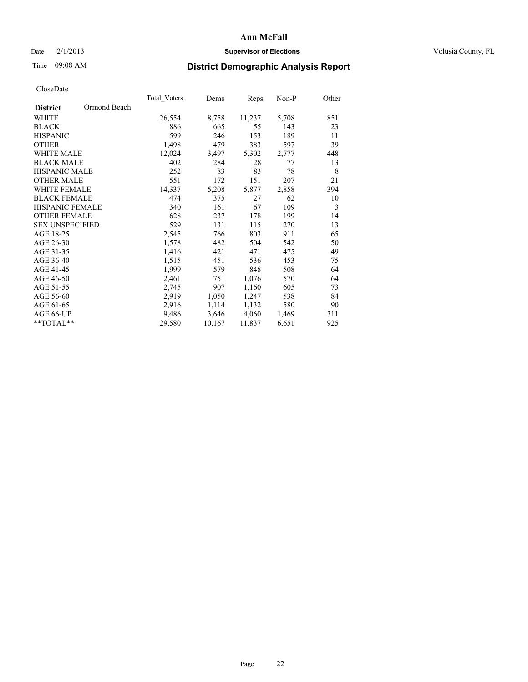### Date  $2/1/2013$  **Supervisor of Elections** Volusia County, FL

# Time 09:08 AM **District Demographic Analysis Report**

| <b>Total Voters</b> | Dems   | Reps   | Non-P | Other |
|---------------------|--------|--------|-------|-------|
|                     |        |        |       |       |
| 26,554              | 8,758  | 11,237 | 5,708 | 851   |
| 886                 | 665    | 55     | 143   | 23    |
| 599                 | 246    | 153    | 189   | 11    |
| 1,498               | 479    | 383    | 597   | 39    |
| 12,024              | 3,497  | 5,302  | 2,777 | 448   |
| 402                 | 284    | 28     | 77    | 13    |
| 252                 | 83     | 83     | 78    | 8     |
| 551                 | 172    | 151    | 207   | 21    |
| 14,337              | 5,208  | 5,877  | 2,858 | 394   |
| 474                 | 375    | 27     | 62    | 10    |
| 340                 | 161    | 67     | 109   | 3     |
| 628                 | 237    | 178    | 199   | 14    |
| 529                 | 131    | 115    | 270   | 13    |
| 2,545               | 766    | 803    | 911   | 65    |
| 1,578               | 482    | 504    | 542   | 50    |
| 1,416               | 421    | 471    | 475   | 49    |
| 1,515               | 451    | 536    | 453   | 75    |
| 1,999               | 579    | 848    | 508   | 64    |
| 2,461               | 751    | 1,076  | 570   | 64    |
| 2,745               | 907    | 1,160  | 605   | 73    |
| 2,919               | 1,050  | 1,247  | 538   | 84    |
| 2,916               | 1,114  | 1,132  | 580   | 90    |
| 9,486               | 3,646  | 4,060  | 1,469 | 311   |
| 29,580              | 10,167 | 11,837 | 6,651 | 925   |
|                     |        |        |       |       |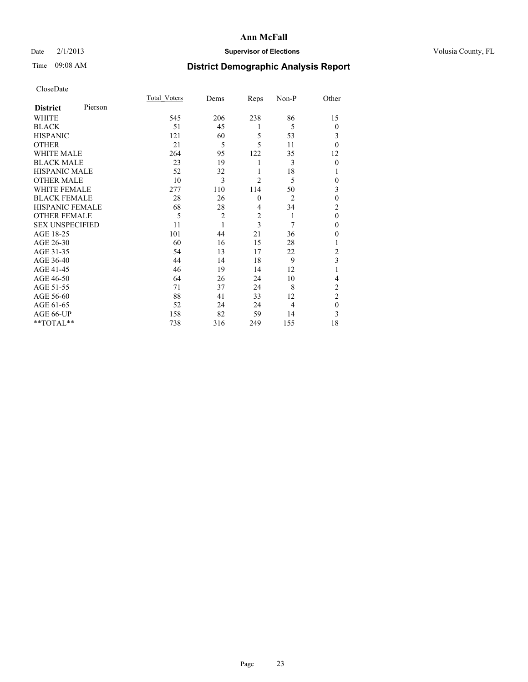### Date  $2/1/2013$  **Supervisor of Elections** Volusia County, FL

# Time 09:08 AM **District Demographic Analysis Report**

|                        |         | Total Voters | Dems           | Reps           | Non-P          | Other          |
|------------------------|---------|--------------|----------------|----------------|----------------|----------------|
| <b>District</b>        | Pierson |              |                |                |                |                |
| WHITE                  |         | 545          | 206            | 238            | 86             | 15             |
| <b>BLACK</b>           |         | 51           | 45             | 1              | 5              | $\theta$       |
| <b>HISPANIC</b>        |         | 121          | 60             | 5              | 53             | 3              |
| <b>OTHER</b>           |         | 21           | 5              | 5              | 11             | $\theta$       |
| WHITE MALE             |         | 264          | 95             | 122            | 35             | 12             |
| <b>BLACK MALE</b>      |         | 23           | 19             | 1              | 3              | $\theta$       |
| <b>HISPANIC MALE</b>   |         | 52           | 32             | 1              | 18             | 1              |
| <b>OTHER MALE</b>      |         | 10           | 3              | $\overline{2}$ | 5              | 0              |
| <b>WHITE FEMALE</b>    |         | 277          | 110            | 114            | 50             | 3              |
| <b>BLACK FEMALE</b>    |         | 28           | 26             | $\mathbf{0}$   | $\overline{2}$ | $\mathbf{0}$   |
| <b>HISPANIC FEMALE</b> |         | 68           | 28             | 4              | 34             | $\overline{c}$ |
| <b>OTHER FEMALE</b>    |         | 5            | $\overline{c}$ | $\overline{c}$ | 1              | $\theta$       |
| <b>SEX UNSPECIFIED</b> |         | 11           | 1              | 3              | 7              | $\mathbf{0}$   |
| AGE 18-25              |         | 101          | 44             | 21             | 36             | $\theta$       |
| AGE 26-30              |         | 60           | 16             | 15             | 28             | 1              |
| AGE 31-35              |         | 54           | 13             | 17             | 22             | $\overline{c}$ |
| AGE 36-40              |         | 44           | 14             | 18             | 9              | 3              |
| AGE 41-45              |         | 46           | 19             | 14             | 12             |                |
| AGE 46-50              |         | 64           | 26             | 24             | 10             | 4              |
| AGE 51-55              |         | 71           | 37             | 24             | 8              | $\overline{c}$ |
| AGE 56-60              |         | 88           | 41             | 33             | 12             | $\overline{c}$ |
| AGE 61-65              |         | 52           | 24             | 24             | 4              | $\mathbf{0}$   |
| AGE 66-UP              |         | 158          | 82             | 59             | 14             | 3              |
| **TOTAL**              |         | 738          | 316            | 249            | 155            | 18             |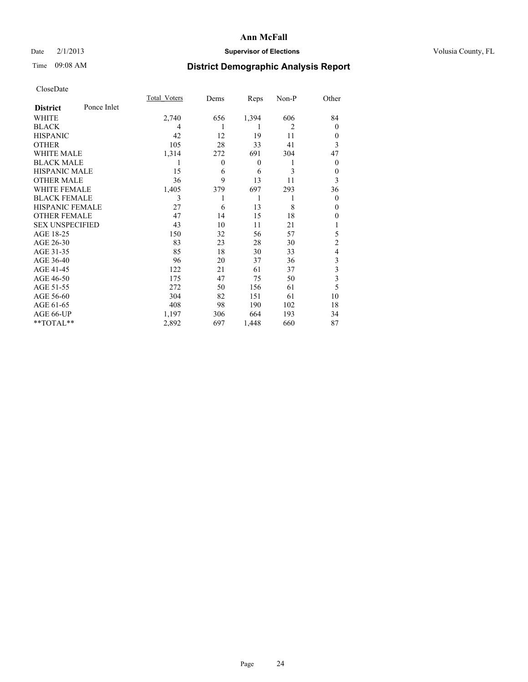### Date  $2/1/2013$  **Supervisor of Elections** Volusia County, FL

## Time 09:08 AM **District Demographic Analysis Report**

|                        |             | Total Voters | Dems         | Reps     | Non-P | Other          |
|------------------------|-------------|--------------|--------------|----------|-------|----------------|
| <b>District</b>        | Ponce Inlet |              |              |          |       |                |
| WHITE                  |             | 2,740        | 656          | 1,394    | 606   | 84             |
| <b>BLACK</b>           |             | 4            |              | 1        | 2     | $\Omega$       |
| <b>HISPANIC</b>        |             | 42           | 12           | 19       | 11    | $\Omega$       |
| <b>OTHER</b>           |             | 105          | 28           | 33       | 41    | 3              |
| WHITE MALE             |             | 1,314        | 272          | 691      | 304   | 47             |
| <b>BLACK MALE</b>      |             | 1            | $\mathbf{0}$ | $\theta$ | 1     | $\overline{0}$ |
| <b>HISPANIC MALE</b>   |             | 15           | 6            | 6        | 3     | 0              |
| <b>OTHER MALE</b>      |             | 36           | 9            | 13       | 11    | 3              |
| <b>WHITE FEMALE</b>    |             | 1,405        | 379          | 697      | 293   | 36             |
| <b>BLACK FEMALE</b>    |             | 3            |              | 1        | 1     | $\overline{0}$ |
| <b>HISPANIC FEMALE</b> |             | 27           | 6            | 13       | 8     | $\Omega$       |
| <b>OTHER FEMALE</b>    |             | 47           | 14           | 15       | 18    | $\theta$       |
| <b>SEX UNSPECIFIED</b> |             | 43           | 10           | 11       | 21    |                |
| AGE 18-25              |             | 150          | 32           | 56       | 57    | 5              |
| AGE 26-30              |             | 83           | 23           | 28       | 30    | $\overline{2}$ |
| AGE 31-35              |             | 85           | 18           | 30       | 33    | 4              |
| AGE 36-40              |             | 96           | 20           | 37       | 36    | 3              |
| AGE 41-45              |             | 122          | 21           | 61       | 37    | 3              |
| AGE 46-50              |             | 175          | 47           | 75       | 50    | 3              |
| AGE 51-55              |             | 272          | 50           | 156      | 61    | 5              |
| AGE 56-60              |             | 304          | 82           | 151      | 61    | 10             |
| AGE 61-65              |             | 408          | 98           | 190      | 102   | 18             |
| AGE 66-UP              |             | 1,197        | 306          | 664      | 193   | 34             |
| **TOTAL**              |             | 2,892        | 697          | 1,448    | 660   | 87             |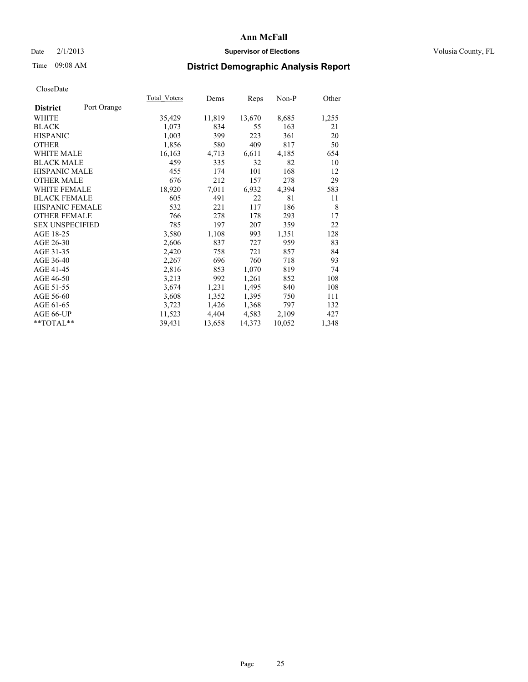### Date  $2/1/2013$  **Supervisor of Elections** Volusia County, FL

# Time 09:08 AM **District Demographic Analysis Report**

|                        |             | Total Voters | Dems   | Reps   | Non-P  | Other |
|------------------------|-------------|--------------|--------|--------|--------|-------|
| <b>District</b>        | Port Orange |              |        |        |        |       |
| WHITE                  |             | 35,429       | 11,819 | 13,670 | 8,685  | 1,255 |
| <b>BLACK</b>           |             | 1,073        | 834    | 55     | 163    | 21    |
| <b>HISPANIC</b>        |             | 1,003        | 399    | 223    | 361    | 20    |
| <b>OTHER</b>           |             | 1,856        | 580    | 409    | 817    | 50    |
| WHITE MALE             |             | 16,163       | 4,713  | 6,611  | 4,185  | 654   |
| <b>BLACK MALE</b>      |             | 459          | 335    | 32     | 82     | 10    |
| <b>HISPANIC MALE</b>   |             | 455          | 174    | 101    | 168    | 12    |
| <b>OTHER MALE</b>      |             | 676          | 212    | 157    | 278    | 29    |
| <b>WHITE FEMALE</b>    |             | 18,920       | 7.011  | 6,932  | 4,394  | 583   |
| <b>BLACK FEMALE</b>    |             | 605          | 491    | 22     | 81     | 11    |
| HISPANIC FEMALE        |             | 532          | 221    | 117    | 186    | 8     |
| <b>OTHER FEMALE</b>    |             | 766          | 278    | 178    | 293    | 17    |
| <b>SEX UNSPECIFIED</b> |             | 785          | 197    | 207    | 359    | 22    |
| AGE 18-25              |             | 3,580        | 1,108  | 993    | 1,351  | 128   |
| AGE 26-30              |             | 2,606        | 837    | 727    | 959    | 83    |
| AGE 31-35              |             | 2,420        | 758    | 721    | 857    | 84    |
| AGE 36-40              |             | 2,267        | 696    | 760    | 718    | 93    |
| AGE 41-45              |             | 2,816        | 853    | 1,070  | 819    | 74    |
| AGE 46-50              |             | 3,213        | 992    | 1,261  | 852    | 108   |
| AGE 51-55              |             | 3,674        | 1,231  | 1,495  | 840    | 108   |
| AGE 56-60              |             | 3,608        | 1,352  | 1,395  | 750    | 111   |
| AGE 61-65              |             | 3,723        | 1,426  | 1,368  | 797    | 132   |
| AGE 66-UP              |             | 11,523       | 4,404  | 4,583  | 2,109  | 427   |
| **TOTAL**              |             | 39,431       | 13,658 | 14,373 | 10,052 | 1,348 |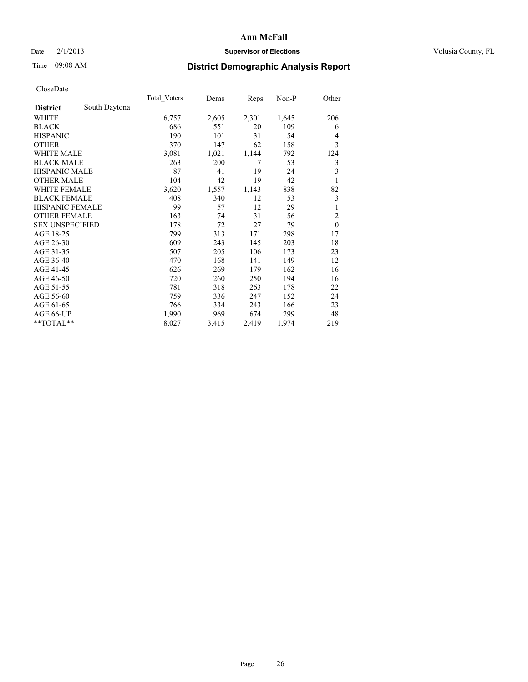### Date  $2/1/2013$  **Supervisor of Elections** Volusia County, FL

# Time 09:08 AM **District Demographic Analysis Report**

| <b>Total Voters</b> | Dems  | Reps  | $Non-P$ | Other          |
|---------------------|-------|-------|---------|----------------|
|                     |       |       |         |                |
| 6,757               | 2,605 | 2,301 | 1,645   | 206            |
| 686                 | 551   | 20    | 109     | 6              |
| 190                 | 101   | 31    | 54      | 4              |
| 370                 | 147   | 62    | 158     | 3              |
| 3,081               | 1,021 | 1,144 | 792     | 124            |
| 263                 | 200   | 7     | 53      | 3              |
| 87                  | 41    | 19    | 24      | 3              |
| 104                 | 42    | 19    | 42      | 1              |
| 3,620               | 1,557 | 1,143 | 838     | 82             |
| 408                 | 340   | 12    | 53      | 3              |
| 99                  | 57    | 12    | 29      | 1              |
| 163                 | 74    | 31    | 56      | $\overline{c}$ |
| 178                 | 72    | 27    | 79      | $\mathbf{0}$   |
| 799                 | 313   | 171   | 298     | 17             |
| 609                 | 243   | 145   | 203     | 18             |
| 507                 | 205   | 106   | 173     | 23             |
| 470                 | 168   | 141   | 149     | 12             |
| 626                 | 269   | 179   | 162     | 16             |
| 720                 | 260   | 250   | 194     | 16             |
| 781                 | 318   | 263   | 178     | 22             |
| 759                 | 336   | 247   | 152     | 24             |
| 766                 | 334   | 243   | 166     | 23             |
| 1,990               | 969   | 674   | 299     | 48             |
| 8,027               | 3,415 | 2,419 | 1,974   | 219            |
|                     |       |       |         |                |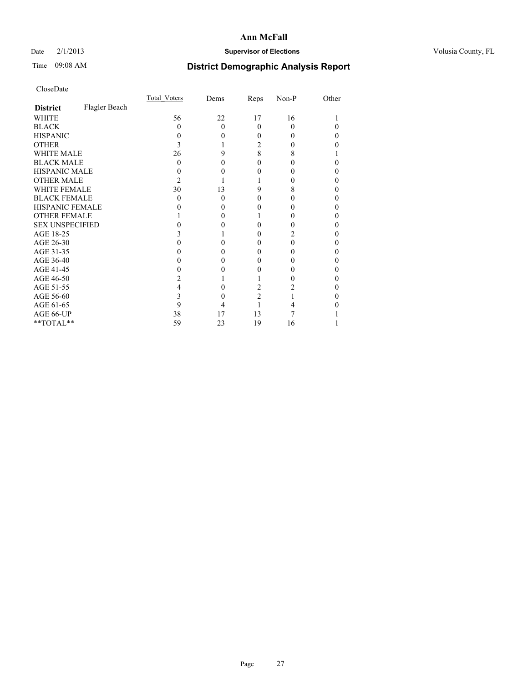### Date  $2/1/2013$  **Supervisor of Elections** Volusia County, FL

# Time 09:08 AM **District Demographic Analysis Report**

|                        |               | Total Voters | Dems     | Reps           | Non-P    | Other |
|------------------------|---------------|--------------|----------|----------------|----------|-------|
| <b>District</b>        | Flagler Beach |              |          |                |          |       |
| <b>WHITE</b>           |               | 56           | 22       | 17             | 16       |       |
| <b>BLACK</b>           |               | 0            | $\Omega$ | $\Omega$       | $\theta$ |       |
| <b>HISPANIC</b>        |               | 0            | 0        | 0              |          | 0     |
| <b>OTHER</b>           |               |              |          | 2              |          |       |
| <b>WHITE MALE</b>      |               | 26           | 9        | 8              | 8        |       |
| <b>BLACK MALE</b>      |               | 0            | 0        | 0              |          | 0     |
| <b>HISPANIC MALE</b>   |               |              |          | 0              |          | 0     |
| <b>OTHER MALE</b>      |               | 2            |          |                |          | 0     |
| <b>WHITE FEMALE</b>    |               | 30           | 13       | 9              | 8        |       |
| <b>BLACK FEMALE</b>    |               | 0            | $\Omega$ | 0              | 0        | 0     |
| <b>HISPANIC FEMALE</b> |               |              | $\theta$ |                |          |       |
| <b>OTHER FEMALE</b>    |               |              | 0        |                |          | 0     |
| <b>SEX UNSPECIFIED</b> |               |              |          | 0              |          | 0     |
| AGE 18-25              |               |              |          | 0              |          | 0     |
| AGE 26-30              |               |              |          | 0              | 0        | 0     |
| AGE 31-35              |               |              |          | 0              |          |       |
| AGE 36-40              |               |              | $\theta$ | 0              |          | 0     |
| AGE 41-45              |               |              |          |                |          | 0     |
| AGE 46-50              |               |              |          |                |          | 0     |
| AGE 51-55              |               |              |          | 2              |          |       |
| AGE 56-60              |               |              | 0        | $\overline{c}$ |          | 0     |
| AGE 61-65              |               | 9            | 4        |                |          |       |
| AGE 66-UP              |               | 38           | 17       | 13             |          |       |
| **TOTAL**              |               | 59           | 23       | 19             | 16       |       |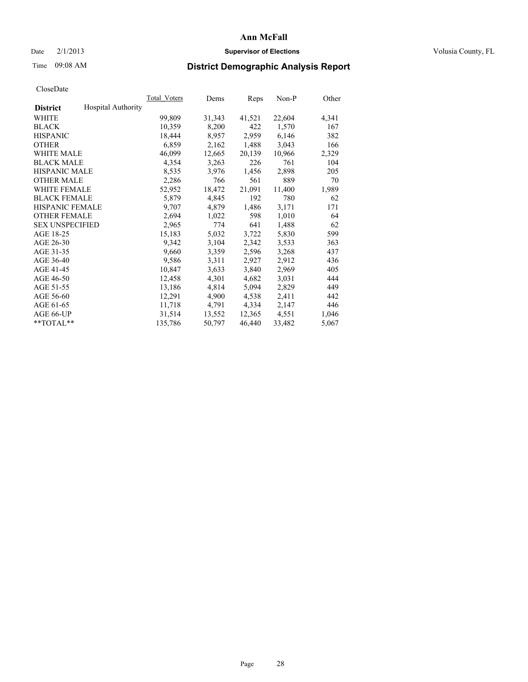### Date  $2/1/2013$  **Supervisor of Elections Supervisor of Elections** Volusia County, FL

# Time 09:08 AM **District Demographic Analysis Report**

|                        |                           | Total Voters | Dems   | Reps   | Non-P  | Other |
|------------------------|---------------------------|--------------|--------|--------|--------|-------|
| <b>District</b>        | <b>Hospital Authority</b> |              |        |        |        |       |
| <b>WHITE</b>           |                           | 99,809       | 31,343 | 41,521 | 22,604 | 4,341 |
| <b>BLACK</b>           |                           | 10,359       | 8,200  | 422    | 1,570  | 167   |
| <b>HISPANIC</b>        |                           | 18,444       | 8,957  | 2,959  | 6,146  | 382   |
| <b>OTHER</b>           |                           | 6,859        | 2,162  | 1,488  | 3,043  | 166   |
| <b>WHITE MALE</b>      |                           | 46,099       | 12,665 | 20,139 | 10,966 | 2,329 |
| <b>BLACK MALE</b>      |                           | 4,354        | 3,263  | 226    | 761    | 104   |
| <b>HISPANIC MALE</b>   |                           | 8,535        | 3,976  | 1,456  | 2,898  | 205   |
| <b>OTHER MALE</b>      |                           | 2,286        | 766    | 561    | 889    | 70    |
| <b>WHITE FEMALE</b>    |                           | 52,952       | 18,472 | 21,091 | 11,400 | 1,989 |
| <b>BLACK FEMALE</b>    |                           | 5,879        | 4,845  | 192    | 780    | 62    |
| <b>HISPANIC FEMALE</b> |                           | 9,707        | 4,879  | 1,486  | 3,171  | 171   |
| <b>OTHER FEMALE</b>    |                           | 2,694        | 1,022  | 598    | 1,010  | 64    |
| <b>SEX UNSPECIFIED</b> |                           | 2,965        | 774    | 641    | 1,488  | 62    |
| AGE 18-25              |                           | 15,183       | 5,032  | 3,722  | 5,830  | 599   |
| AGE 26-30              |                           | 9,342        | 3,104  | 2,342  | 3,533  | 363   |
| AGE 31-35              |                           | 9,660        | 3,359  | 2,596  | 3,268  | 437   |
| AGE 36-40              |                           | 9,586        | 3,311  | 2,927  | 2,912  | 436   |
| AGE 41-45              |                           | 10,847       | 3,633  | 3,840  | 2,969  | 405   |
| AGE 46-50              |                           | 12,458       | 4,301  | 4,682  | 3,031  | 444   |
| AGE 51-55              |                           | 13,186       | 4,814  | 5,094  | 2,829  | 449   |
| AGE 56-60              |                           | 12,291       | 4,900  | 4,538  | 2,411  | 442   |
| AGE 61-65              |                           | 11,718       | 4,791  | 4,334  | 2,147  | 446   |
| AGE 66-UP              |                           | 31,514       | 13,552 | 12,365 | 4,551  | 1,046 |
| $*$ $TOTAL**$          |                           | 135,786      | 50,797 | 46,440 | 33,482 | 5,067 |
|                        |                           |              |        |        |        |       |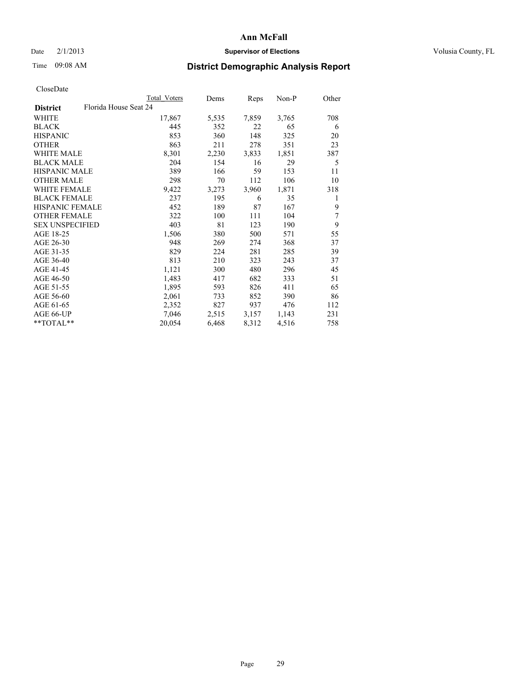### Date  $2/1/2013$  **Supervisor of Elections** Volusia County, FL

# Time 09:08 AM **District Demographic Analysis Report**

|                                          | Total Voters | Dems  | Reps  | $Non-P$ | Other |
|------------------------------------------|--------------|-------|-------|---------|-------|
| Florida House Seat 24<br><b>District</b> |              |       |       |         |       |
| WHITE                                    | 17,867       | 5,535 | 7,859 | 3,765   | 708   |
| <b>BLACK</b>                             | 445          | 352   | 22    | 65      | 6     |
| <b>HISPANIC</b>                          | 853          | 360   | 148   | 325     | 20    |
| <b>OTHER</b>                             | 863          | 211   | 278   | 351     | 23    |
| WHITE MALE                               | 8,301        | 2,230 | 3,833 | 1,851   | 387   |
| <b>BLACK MALE</b>                        | 204          | 154   | 16    | 29      | 5     |
| <b>HISPANIC MALE</b>                     | 389          | 166   | 59    | 153     | 11    |
| <b>OTHER MALE</b>                        | 298          | 70    | 112   | 106     | 10    |
| WHITE FEMALE                             | 9,422        | 3,273 | 3,960 | 1,871   | 318   |
| <b>BLACK FEMALE</b>                      | 237          | 195   | 6     | 35      | 1     |
| HISPANIC FEMALE                          | 452          | 189   | 87    | 167     | 9     |
| <b>OTHER FEMALE</b>                      | 322          | 100   | 111   | 104     | 7     |
| <b>SEX UNSPECIFIED</b>                   | 403          | 81    | 123   | 190     | 9     |
| AGE 18-25                                | 1,506        | 380   | 500   | 571     | 55    |
| AGE 26-30                                | 948          | 269   | 274   | 368     | 37    |
| AGE 31-35                                | 829          | 224   | 281   | 285     | 39    |
| AGE 36-40                                | 813          | 210   | 323   | 243     | 37    |
| AGE 41-45                                | 1,121        | 300   | 480   | 296     | 45    |
| AGE 46-50                                | 1,483        | 417   | 682   | 333     | 51    |
| AGE 51-55                                | 1,895        | 593   | 826   | 411     | 65    |
| AGE 56-60                                | 2,061        | 733   | 852   | 390     | 86    |
| AGE 61-65                                | 2,352        | 827   | 937   | 476     | 112   |
| AGE 66-UP                                | 7,046        | 2,515 | 3,157 | 1,143   | 231   |
| **TOTAL**                                | 20,054       | 6,468 | 8,312 | 4,516   | 758   |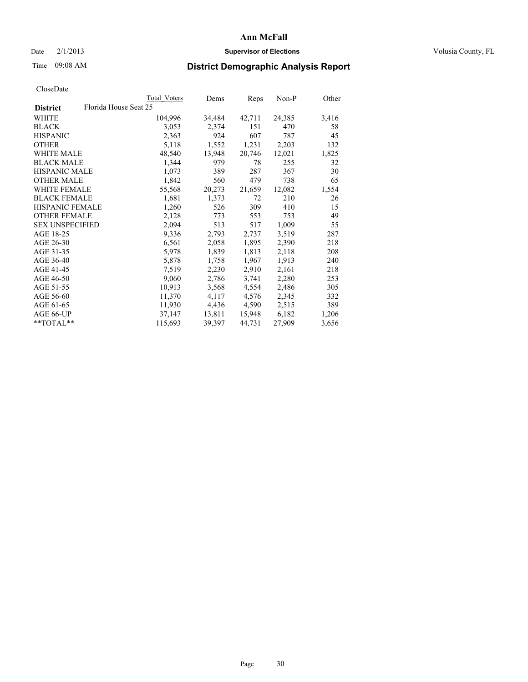### Date  $2/1/2013$  **Supervisor of Elections Supervisor of Elections** Volusia County, FL

# Time 09:08 AM **District Demographic Analysis Report**

|                                          | Total Voters | Dems   | Reps   | Non-P  | Other |
|------------------------------------------|--------------|--------|--------|--------|-------|
| Florida House Seat 25<br><b>District</b> |              |        |        |        |       |
| WHITE                                    | 104,996      | 34,484 | 42,711 | 24,385 | 3,416 |
| <b>BLACK</b>                             | 3,053        | 2,374  | 151    | 470    | 58    |
| <b>HISPANIC</b>                          | 2,363        | 924    | 607    | 787    | 45    |
| <b>OTHER</b>                             | 5,118        | 1,552  | 1,231  | 2,203  | 132   |
| <b>WHITE MALE</b>                        | 48,540       | 13,948 | 20,746 | 12,021 | 1,825 |
| <b>BLACK MALE</b>                        | 1,344        | 979    | 78     | 255    | 32    |
| <b>HISPANIC MALE</b>                     | 1,073        | 389    | 287    | 367    | 30    |
| <b>OTHER MALE</b>                        | 1,842        | 560    | 479    | 738    | 65    |
| WHITE FEMALE                             | 55,568       | 20,273 | 21,659 | 12,082 | 1,554 |
| <b>BLACK FEMALE</b>                      | 1,681        | 1,373  | 72     | 210    | 26    |
| HISPANIC FEMALE                          | 1,260        | 526    | 309    | 410    | 15    |
| <b>OTHER FEMALE</b>                      | 2,128        | 773    | 553    | 753    | 49    |
| <b>SEX UNSPECIFIED</b>                   | 2,094        | 513    | 517    | 1,009  | 55    |
| AGE 18-25                                | 9,336        | 2,793  | 2,737  | 3,519  | 287   |
| AGE 26-30                                | 6,561        | 2,058  | 1,895  | 2,390  | 218   |
| AGE 31-35                                | 5,978        | 1,839  | 1,813  | 2,118  | 208   |
| AGE 36-40                                | 5,878        | 1,758  | 1,967  | 1,913  | 240   |
| AGE 41-45                                | 7,519        | 2,230  | 2,910  | 2,161  | 218   |
| AGE 46-50                                | 9,060        | 2,786  | 3,741  | 2,280  | 253   |
| AGE 51-55                                | 10.913       | 3,568  | 4,554  | 2,486  | 305   |
| AGE 56-60                                | 11,370       | 4,117  | 4,576  | 2,345  | 332   |
| AGE 61-65                                | 11,930       | 4,436  | 4,590  | 2,515  | 389   |
| AGE 66-UP                                | 37,147       | 13,811 | 15,948 | 6,182  | 1,206 |
| $*$ TOTAL $*$                            | 115,693      | 39,397 | 44,731 | 27,909 | 3,656 |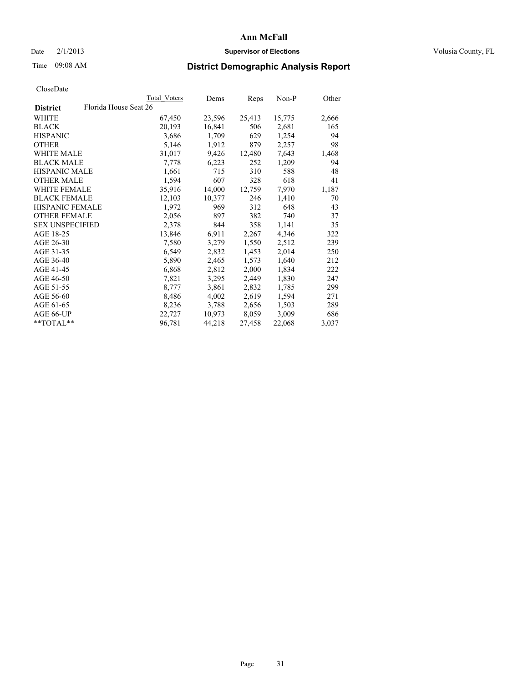### Date  $2/1/2013$  **Supervisor of Elections Supervisor of Elections** Volusia County, FL

# Time 09:08 AM **District Demographic Analysis Report**

|                        |                       | Total Voters | Dems   | Reps   | Non-P  | Other |
|------------------------|-----------------------|--------------|--------|--------|--------|-------|
| <b>District</b>        | Florida House Seat 26 |              |        |        |        |       |
| <b>WHITE</b>           |                       | 67,450       | 23,596 | 25,413 | 15,775 | 2,666 |
| <b>BLACK</b>           |                       | 20,193       | 16,841 | 506    | 2,681  | 165   |
| <b>HISPANIC</b>        |                       | 3,686        | 1,709  | 629    | 1,254  | 94    |
| <b>OTHER</b>           |                       | 5,146        | 1,912  | 879    | 2,257  | 98    |
| <b>WHITE MALE</b>      |                       | 31,017       | 9,426  | 12,480 | 7,643  | 1,468 |
| <b>BLACK MALE</b>      |                       | 7,778        | 6,223  | 252    | 1,209  | 94    |
| <b>HISPANIC MALE</b>   |                       | 1,661        | 715    | 310    | 588    | 48    |
| <b>OTHER MALE</b>      |                       | 1,594        | 607    | 328    | 618    | 41    |
| <b>WHITE FEMALE</b>    |                       | 35,916       | 14,000 | 12,759 | 7,970  | 1,187 |
| <b>BLACK FEMALE</b>    |                       | 12,103       | 10,377 | 246    | 1,410  | 70    |
| <b>HISPANIC FEMALE</b> |                       | 1,972        | 969    | 312    | 648    | 43    |
| <b>OTHER FEMALE</b>    |                       | 2,056        | 897    | 382    | 740    | 37    |
| <b>SEX UNSPECIFIED</b> |                       | 2,378        | 844    | 358    | 1,141  | 35    |
| AGE 18-25              |                       | 13,846       | 6,911  | 2,267  | 4,346  | 322   |
| AGE 26-30              |                       | 7,580        | 3,279  | 1,550  | 2,512  | 239   |
| AGE 31-35              |                       | 6,549        | 2,832  | 1,453  | 2,014  | 250   |
| AGE 36-40              |                       | 5,890        | 2,465  | 1,573  | 1,640  | 212   |
| AGE 41-45              |                       | 6,868        | 2,812  | 2,000  | 1,834  | 222   |
| AGE 46-50              |                       | 7,821        | 3,295  | 2,449  | 1,830  | 247   |
| AGE 51-55              |                       | 8,777        | 3,861  | 2,832  | 1,785  | 299   |
| AGE 56-60              |                       | 8,486        | 4,002  | 2,619  | 1,594  | 271   |
| AGE 61-65              |                       | 8,236        | 3,788  | 2,656  | 1,503  | 289   |
| AGE 66-UP              |                       | 22,727       | 10,973 | 8,059  | 3,009  | 686   |
| $*$ $TOTAL**$          |                       | 96,781       | 44,218 | 27,458 | 22,068 | 3,037 |
|                        |                       |              |        |        |        |       |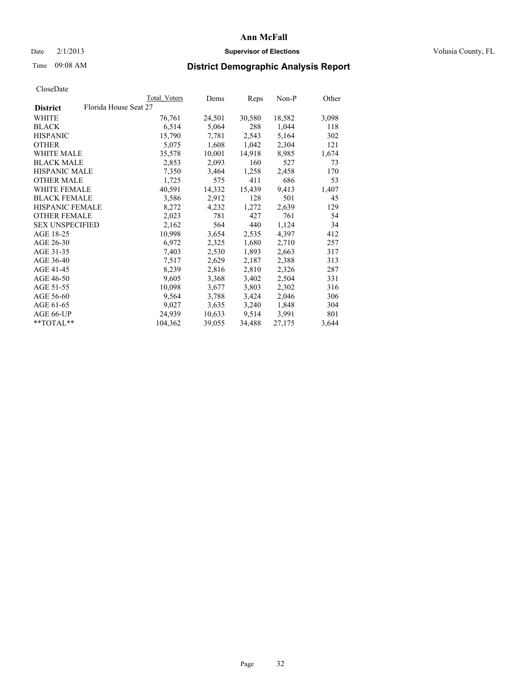### Date  $2/1/2013$  **Supervisor of Elections Supervisor of Elections** Volusia County, FL

# Time 09:08 AM **District Demographic Analysis Report**

|                        |                       | Total Voters | Dems   | <b>Reps</b> | Non-P  | Other |
|------------------------|-----------------------|--------------|--------|-------------|--------|-------|
| <b>District</b>        | Florida House Seat 27 |              |        |             |        |       |
| WHITE                  |                       | 76,761       | 24,501 | 30,580      | 18,582 | 3,098 |
| <b>BLACK</b>           |                       | 6,514        | 5,064  | 288         | 1,044  | 118   |
| <b>HISPANIC</b>        |                       | 15,790       | 7,781  | 2,543       | 5,164  | 302   |
| <b>OTHER</b>           |                       | 5,075        | 1,608  | 1,042       | 2,304  | 121   |
| WHITE MALE             |                       | 35,578       | 10,001 | 14,918      | 8,985  | 1,674 |
| <b>BLACK MALE</b>      |                       | 2,853        | 2,093  | 160         | 527    | 73    |
| <b>HISPANIC MALE</b>   |                       | 7,350        | 3,464  | 1,258       | 2,458  | 170   |
| <b>OTHER MALE</b>      |                       | 1,725        | 575    | 411         | 686    | 53    |
| <b>WHITE FEMALE</b>    |                       | 40,591       | 14,332 | 15,439      | 9,413  | 1,407 |
| <b>BLACK FEMALE</b>    |                       | 3,586        | 2,912  | 128         | 501    | 45    |
| HISPANIC FEMALE        |                       | 8,272        | 4,232  | 1,272       | 2,639  | 129   |
| <b>OTHER FEMALE</b>    |                       | 2,023        | 781    | 427         | 761    | 54    |
| <b>SEX UNSPECIFIED</b> |                       | 2,162        | 564    | 440         | 1,124  | 34    |
| AGE 18-25              |                       | 10,998       | 3,654  | 2,535       | 4,397  | 412   |
| AGE 26-30              |                       | 6,972        | 2,325  | 1,680       | 2,710  | 257   |
| AGE 31-35              |                       | 7,403        | 2,530  | 1,893       | 2,663  | 317   |
| AGE 36-40              |                       | 7,517        | 2,629  | 2,187       | 2,388  | 313   |
| AGE 41-45              |                       | 8,239        | 2,816  | 2,810       | 2,326  | 287   |
| AGE 46-50              |                       | 9,605        | 3,368  | 3,402       | 2,504  | 331   |
| AGE 51-55              |                       | 10,098       | 3,677  | 3,803       | 2,302  | 316   |
| AGE 56-60              |                       | 9,564        | 3,788  | 3,424       | 2,046  | 306   |
| AGE 61-65              |                       | 9,027        | 3,635  | 3,240       | 1,848  | 304   |
| AGE 66-UP              |                       | 24,939       | 10,633 | 9,514       | 3,991  | 801   |
| $*$ $TOTAL**$          |                       | 104,362      | 39,055 | 34,488      | 27,175 | 3,644 |
|                        |                       |              |        |             |        |       |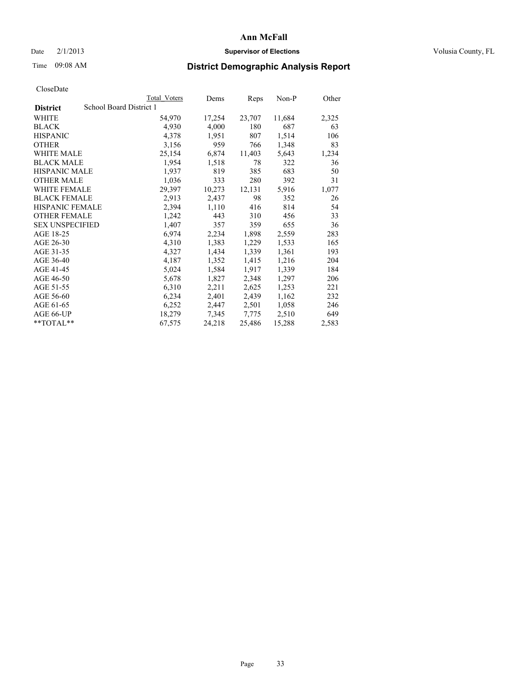### Date  $2/1/2013$  **Supervisor of Elections Supervisor of Elections** Volusia County, FL

# Time 09:08 AM **District Demographic Analysis Report**

|                        | Total Voters            | Dems   | <b>Reps</b> | Non-P  | Other |
|------------------------|-------------------------|--------|-------------|--------|-------|
| <b>District</b>        | School Board District 1 |        |             |        |       |
| <b>WHITE</b>           | 54,970                  | 17,254 | 23,707      | 11,684 | 2,325 |
| <b>BLACK</b>           | 4,930                   | 4,000  | 180         | 687    | 63    |
| <b>HISPANIC</b>        | 4,378                   | 1,951  | 807         | 1,514  | 106   |
| <b>OTHER</b>           | 3,156                   | 959    | 766         | 1,348  | 83    |
| WHITE MALE             | 25,154                  | 6,874  | 11,403      | 5,643  | 1,234 |
| <b>BLACK MALE</b>      | 1,954                   | 1,518  | 78          | 322    | 36    |
| <b>HISPANIC MALE</b>   | 1,937                   | 819    | 385         | 683    | 50    |
| <b>OTHER MALE</b>      | 1,036                   | 333    | 280         | 392    | 31    |
| WHITE FEMALE           | 29,397                  | 10,273 | 12,131      | 5,916  | 1,077 |
| <b>BLACK FEMALE</b>    | 2,913                   | 2,437  | 98          | 352    | 26    |
| HISPANIC FEMALE        | 2,394                   | 1,110  | 416         | 814    | 54    |
| <b>OTHER FEMALE</b>    | 1,242                   | 443    | 310         | 456    | 33    |
| <b>SEX UNSPECIFIED</b> | 1,407                   | 357    | 359         | 655    | 36    |
| AGE 18-25              | 6,974                   | 2,234  | 1,898       | 2,559  | 283   |
| AGE 26-30              | 4,310                   | 1,383  | 1,229       | 1,533  | 165   |
| AGE 31-35              | 4,327                   | 1,434  | 1,339       | 1,361  | 193   |
| AGE 36-40              | 4,187                   | 1,352  | 1,415       | 1,216  | 204   |
| AGE 41-45              | 5,024                   | 1,584  | 1,917       | 1,339  | 184   |
| AGE 46-50              | 5,678                   | 1,827  | 2,348       | 1,297  | 206   |
| AGE 51-55              | 6,310                   | 2,211  | 2,625       | 1,253  | 221   |
| AGE 56-60              | 6,234                   | 2,401  | 2,439       | 1,162  | 232   |
| AGE 61-65              | 6,252                   | 2,447  | 2,501       | 1,058  | 246   |
| AGE 66-UP              | 18,279                  | 7,345  | 7,775       | 2,510  | 649   |
| **TOTAL**              | 67,575                  | 24,218 | 25,486      | 15,288 | 2,583 |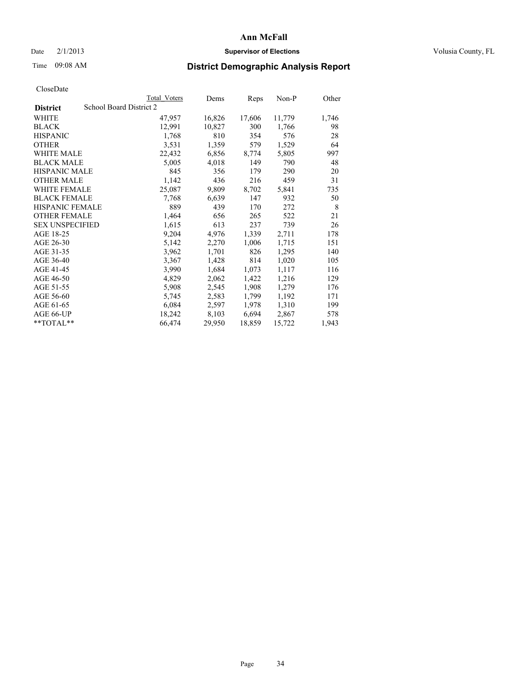### Date  $2/1/2013$  **Supervisor of Elections** Volusia County, FL

## Time 09:08 AM **District Demographic Analysis Report**

|                        |                         | Total Voters | Dems   | Reps   | Non-P  | Other |
|------------------------|-------------------------|--------------|--------|--------|--------|-------|
| <b>District</b>        | School Board District 2 |              |        |        |        |       |
| <b>WHITE</b>           |                         | 47,957       | 16,826 | 17,606 | 11,779 | 1,746 |
| <b>BLACK</b>           |                         | 12,991       | 10,827 | 300    | 1,766  | 98    |
| <b>HISPANIC</b>        |                         | 1,768        | 810    | 354    | 576    | 28    |
| <b>OTHER</b>           |                         | 3,531        | 1,359  | 579    | 1,529  | 64    |
| <b>WHITE MALE</b>      |                         | 22,432       | 6,856  | 8,774  | 5,805  | 997   |
| <b>BLACK MALE</b>      |                         | 5,005        | 4,018  | 149    | 790    | 48    |
| <b>HISPANIC MALE</b>   |                         | 845          | 356    | 179    | 290    | 20    |
| <b>OTHER MALE</b>      |                         | 1,142        | 436    | 216    | 459    | 31    |
| <b>WHITE FEMALE</b>    |                         | 25,087       | 9,809  | 8,702  | 5,841  | 735   |
| <b>BLACK FEMALE</b>    |                         | 7.768        | 6,639  | 147    | 932    | 50    |
| <b>HISPANIC FEMALE</b> |                         | 889          | 439    | 170    | 272    | 8     |
| <b>OTHER FEMALE</b>    |                         | 1,464        | 656    | 265    | 522    | 21    |
| <b>SEX UNSPECIFIED</b> |                         | 1,615        | 613    | 237    | 739    | 26    |
| AGE 18-25              |                         | 9,204        | 4,976  | 1,339  | 2,711  | 178   |
| AGE 26-30              |                         | 5,142        | 2,270  | 1,006  | 1,715  | 151   |
| AGE 31-35              |                         | 3,962        | 1,701  | 826    | 1,295  | 140   |
| AGE 36-40              |                         | 3,367        | 1,428  | 814    | 1,020  | 105   |
| AGE 41-45              |                         | 3,990        | 1,684  | 1,073  | 1,117  | 116   |
| AGE 46-50              |                         | 4,829        | 2,062  | 1,422  | 1,216  | 129   |
| AGE 51-55              |                         | 5,908        | 2,545  | 1,908  | 1,279  | 176   |
| AGE 56-60              |                         | 5,745        | 2,583  | 1,799  | 1,192  | 171   |
| AGE 61-65              |                         | 6,084        | 2,597  | 1,978  | 1,310  | 199   |
| AGE 66-UP              |                         | 18,242       | 8,103  | 6,694  | 2,867  | 578   |
| $*$ $TOTAL**$          |                         | 66,474       | 29,950 | 18,859 | 15,722 | 1,943 |
|                        |                         |              |        |        |        |       |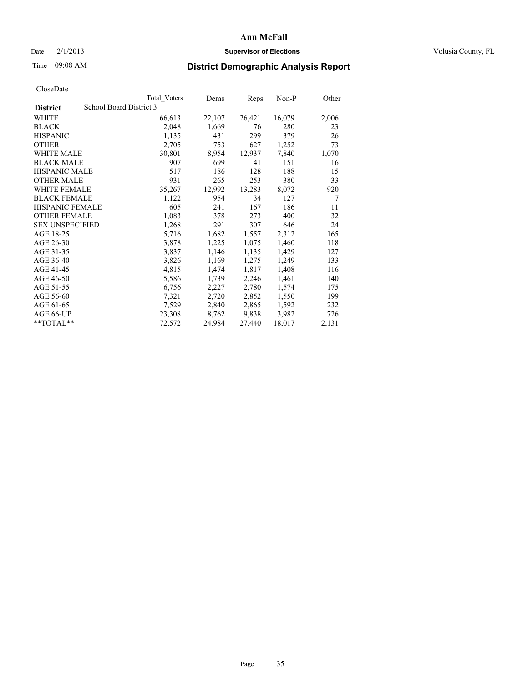### Date  $2/1/2013$  **Supervisor of Elections** Volusia County, FL

### Time 09:08 AM **District Demographic Analysis Report**

|                        |                         | Total Voters | Dems   | <b>Reps</b> | $Non-P$ | Other |
|------------------------|-------------------------|--------------|--------|-------------|---------|-------|
| <b>District</b>        | School Board District 3 |              |        |             |         |       |
| WHITE                  |                         | 66,613       | 22,107 | 26,421      | 16,079  | 2,006 |
| <b>BLACK</b>           |                         | 2,048        | 1,669  | 76          | 280     | 23    |
| <b>HISPANIC</b>        |                         | 1,135        | 431    | 299         | 379     | 26    |
| <b>OTHER</b>           |                         | 2,705        | 753    | 627         | 1,252   | 73    |
| <b>WHITE MALE</b>      |                         | 30,801       | 8,954  | 12,937      | 7,840   | 1,070 |
| <b>BLACK MALE</b>      |                         | 907          | 699    | 41          | 151     | 16    |
| <b>HISPANIC MALE</b>   |                         | 517          | 186    | 128         | 188     | 15    |
| <b>OTHER MALE</b>      |                         | 931          | 265    | 253         | 380     | 33    |
| <b>WHITE FEMALE</b>    |                         | 35,267       | 12,992 | 13,283      | 8,072   | 920   |
| <b>BLACK FEMALE</b>    |                         | 1,122        | 954    | 34          | 127     | 7     |
| <b>HISPANIC FEMALE</b> |                         | 605          | 241    | 167         | 186     | 11    |
| <b>OTHER FEMALE</b>    |                         | 1,083        | 378    | 273         | 400     | 32    |
| <b>SEX UNSPECIFIED</b> |                         | 1,268        | 291    | 307         | 646     | 24    |
| AGE 18-25              |                         | 5,716        | 1,682  | 1,557       | 2,312   | 165   |
| AGE 26-30              |                         | 3,878        | 1,225  | 1,075       | 1,460   | 118   |
| AGE 31-35              |                         | 3,837        | 1,146  | 1,135       | 1,429   | 127   |
| AGE 36-40              |                         | 3,826        | 1,169  | 1,275       | 1,249   | 133   |
| AGE 41-45              |                         | 4,815        | 1,474  | 1,817       | 1,408   | 116   |
| AGE 46-50              |                         | 5,586        | 1,739  | 2,246       | 1,461   | 140   |
| AGE 51-55              |                         | 6,756        | 2,227  | 2,780       | 1,574   | 175   |
| AGE 56-60              |                         | 7,321        | 2,720  | 2,852       | 1,550   | 199   |
| AGE 61-65              |                         | 7,529        | 2,840  | 2,865       | 1,592   | 232   |
| AGE 66-UP              |                         | 23,308       | 8,762  | 9,838       | 3,982   | 726   |
| $*$ TOTAL $*$          |                         | 72,572       | 24,984 | 27,440      | 18,017  | 2,131 |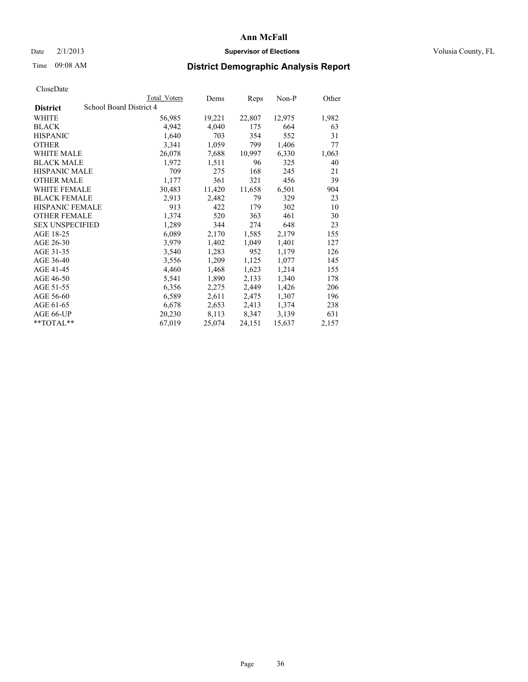### Date  $2/1/2013$  **Supervisor of Elections** Volusia County, FL

# Time 09:08 AM **District Demographic Analysis Report**

|                        |                         | <b>Total Voters</b> | Dems   | Reps   | Non-P  | Other |
|------------------------|-------------------------|---------------------|--------|--------|--------|-------|
| <b>District</b>        | School Board District 4 |                     |        |        |        |       |
| WHITE                  |                         | 56,985              | 19,221 | 22,807 | 12,975 | 1,982 |
| <b>BLACK</b>           |                         | 4,942               | 4,040  | 175    | 664    | 63    |
| <b>HISPANIC</b>        |                         | 1,640               | 703    | 354    | 552    | 31    |
| <b>OTHER</b>           |                         | 3,341               | 1,059  | 799    | 1,406  | 77    |
| <b>WHITE MALE</b>      |                         | 26,078              | 7,688  | 10,997 | 6,330  | 1,063 |
| <b>BLACK MALE</b>      |                         | 1,972               | 1,511  | 96     | 325    | 40    |
| <b>HISPANIC MALE</b>   |                         | 709                 | 275    | 168    | 245    | 21    |
| <b>OTHER MALE</b>      |                         | 1,177               | 361    | 321    | 456    | 39    |
| WHITE FEMALE           |                         | 30,483              | 11,420 | 11,658 | 6,501  | 904   |
| <b>BLACK FEMALE</b>    |                         | 2,913               | 2,482  | 79     | 329    | 23    |
| <b>HISPANIC FEMALE</b> |                         | 913                 | 422    | 179    | 302    | 10    |
| <b>OTHER FEMALE</b>    |                         | 1,374               | 520    | 363    | 461    | 30    |
| <b>SEX UNSPECIFIED</b> |                         | 1,289               | 344    | 274    | 648    | 23    |
| AGE 18-25              |                         | 6,089               | 2,170  | 1,585  | 2,179  | 155   |
| AGE 26-30              |                         | 3,979               | 1,402  | 1,049  | 1,401  | 127   |
| AGE 31-35              |                         | 3,540               | 1,283  | 952    | 1,179  | 126   |
| AGE 36-40              |                         | 3,556               | 1,209  | 1,125  | 1,077  | 145   |
| AGE 41-45              |                         | 4,460               | 1,468  | 1,623  | 1,214  | 155   |
| AGE 46-50              |                         | 5,541               | 1,890  | 2,133  | 1,340  | 178   |
| AGE 51-55              |                         | 6,356               | 2,275  | 2,449  | 1,426  | 206   |
| AGE 56-60              |                         | 6,589               | 2,611  | 2,475  | 1,307  | 196   |
| AGE 61-65              |                         | 6,678               | 2,653  | 2,413  | 1,374  | 238   |
| AGE 66-UP              |                         | 20,230              | 8,113  | 8,347  | 3,139  | 631   |
| $*$ $TOTAI.**$         |                         | 67,019              | 25,074 | 24,151 | 15,637 | 2,157 |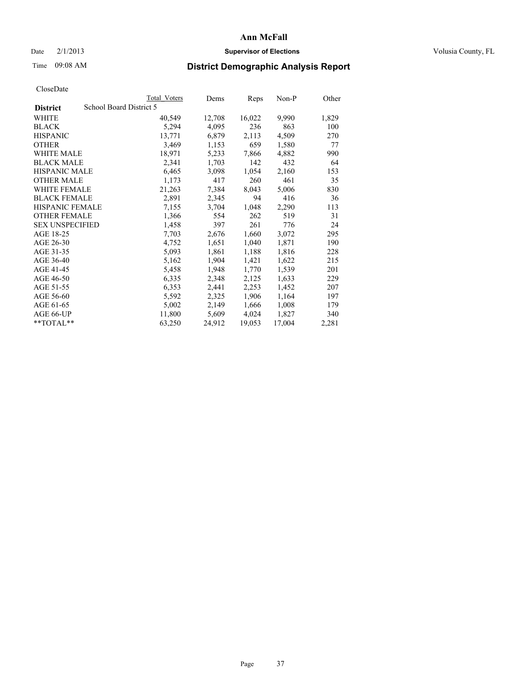### Date  $2/1/2013$  **Supervisor of Elections Supervisor of Elections** Volusia County, FL

# Time 09:08 AM **District Demographic Analysis Report**

|                                            | <b>Total Voters</b> | Dems   | <b>Reps</b> | Non-P  | Other |
|--------------------------------------------|---------------------|--------|-------------|--------|-------|
| School Board District 5<br><b>District</b> |                     |        |             |        |       |
| WHITE                                      | 40,549              | 12,708 | 16,022      | 9,990  | 1,829 |
| <b>BLACK</b>                               | 5,294               | 4,095  | 236         | 863    | 100   |
| <b>HISPANIC</b>                            | 13,771              | 6,879  | 2,113       | 4,509  | 270   |
| <b>OTHER</b>                               | 3,469               | 1,153  | 659         | 1,580  | 77    |
| WHITE MALE                                 | 18,971              | 5,233  | 7,866       | 4,882  | 990   |
| <b>BLACK MALE</b>                          | 2,341               | 1,703  | 142         | 432    | 64    |
| <b>HISPANIC MALE</b>                       | 6,465               | 3,098  | 1,054       | 2,160  | 153   |
| <b>OTHER MALE</b>                          | 1,173               | 417    | 260         | 461    | 35    |
| <b>WHITE FEMALE</b>                        | 21,263              | 7,384  | 8,043       | 5,006  | 830   |
| <b>BLACK FEMALE</b>                        | 2,891               | 2,345  | 94          | 416    | 36    |
| <b>HISPANIC FEMALE</b>                     | 7,155               | 3,704  | 1,048       | 2,290  | 113   |
| <b>OTHER FEMALE</b>                        | 1,366               | 554    | 262         | 519    | 31    |
| <b>SEX UNSPECIFIED</b>                     | 1,458               | 397    | 261         | 776    | 24    |
| AGE 18-25                                  | 7,703               | 2,676  | 1,660       | 3,072  | 295   |
| AGE 26-30                                  | 4,752               | 1,651  | 1,040       | 1,871  | 190   |
| AGE 31-35                                  | 5,093               | 1,861  | 1,188       | 1,816  | 228   |
| AGE 36-40                                  | 5,162               | 1,904  | 1,421       | 1,622  | 215   |
| AGE 41-45                                  | 5,458               | 1,948  | 1,770       | 1,539  | 201   |
| AGE 46-50                                  | 6,335               | 2,348  | 2,125       | 1,633  | 229   |
| AGE 51-55                                  | 6,353               | 2,441  | 2,253       | 1,452  | 207   |
| AGE 56-60                                  | 5,592               | 2,325  | 1,906       | 1,164  | 197   |
| AGE 61-65                                  | 5,002               | 2,149  | 1,666       | 1,008  | 179   |
| AGE 66-UP                                  | 11,800              | 5,609  | 4,024       | 1,827  | 340   |
| $*$ $TOTAL**$                              | 63,250              | 24,912 | 19,053      | 17,004 | 2,281 |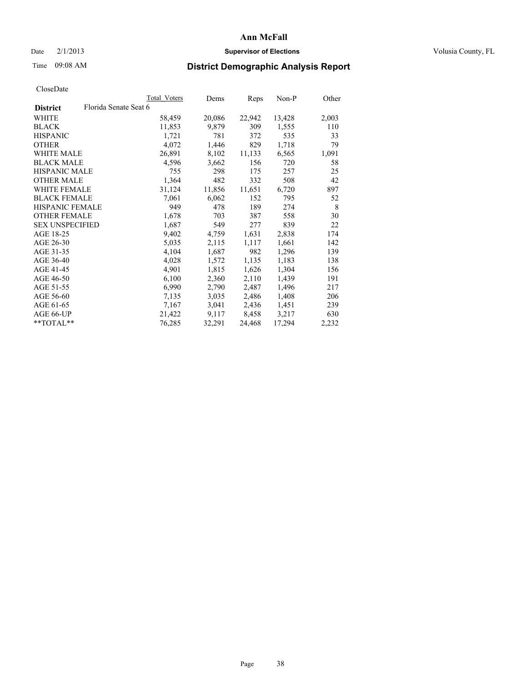### Date  $2/1/2013$  **Supervisor of Elections Supervisor of Elections** Volusia County, FL

# Time 09:08 AM **District Demographic Analysis Report**

|                        | Total Voters          | Dems   | Reps   | Non-P  | Other |
|------------------------|-----------------------|--------|--------|--------|-------|
| <b>District</b>        | Florida Senate Seat 6 |        |        |        |       |
| WHITE                  | 58,459                | 20,086 | 22,942 | 13,428 | 2,003 |
| <b>BLACK</b>           | 11,853                | 9,879  | 309    | 1,555  | 110   |
| <b>HISPANIC</b>        | 1,721                 | 781    | 372    | 535    | 33    |
| <b>OTHER</b>           | 4,072                 | 1,446  | 829    | 1,718  | 79    |
| WHITE MALE             | 26,891                | 8,102  | 11,133 | 6,565  | 1,091 |
| <b>BLACK MALE</b>      | 4,596                 | 3,662  | 156    | 720    | 58    |
| <b>HISPANIC MALE</b>   | 755                   | 298    | 175    | 257    | 25    |
| <b>OTHER MALE</b>      | 1,364                 | 482    | 332    | 508    | 42    |
| WHITE FEMALE           | 31,124                | 11,856 | 11,651 | 6,720  | 897   |
| <b>BLACK FEMALE</b>    | 7,061                 | 6,062  | 152    | 795    | 52    |
| <b>HISPANIC FEMALE</b> | 949                   | 478    | 189    | 274    | 8     |
| <b>OTHER FEMALE</b>    | 1,678                 | 703    | 387    | 558    | 30    |
| <b>SEX UNSPECIFIED</b> | 1,687                 | 549    | 277    | 839    | 22    |
| AGE 18-25              | 9,402                 | 4,759  | 1,631  | 2,838  | 174   |
| AGE 26-30              | 5,035                 | 2,115  | 1,117  | 1,661  | 142   |
| AGE 31-35              | 4,104                 | 1,687  | 982    | 1,296  | 139   |
| AGE 36-40              | 4,028                 | 1,572  | 1,135  | 1,183  | 138   |
| AGE 41-45              | 4,901                 | 1,815  | 1,626  | 1,304  | 156   |
| AGE 46-50              | 6,100                 | 2,360  | 2,110  | 1,439  | 191   |
| AGE 51-55              | 6,990                 | 2,790  | 2,487  | 1,496  | 217   |
| AGE 56-60              | 7,135                 | 3,035  | 2,486  | 1,408  | 206   |
| AGE 61-65              | 7,167                 | 3,041  | 2,436  | 1,451  | 239   |
| AGE 66-UP              | 21,422                | 9,117  | 8,458  | 3,217  | 630   |
| **TOTAL**              | 76,285                | 32,291 | 24,468 | 17,294 | 2,232 |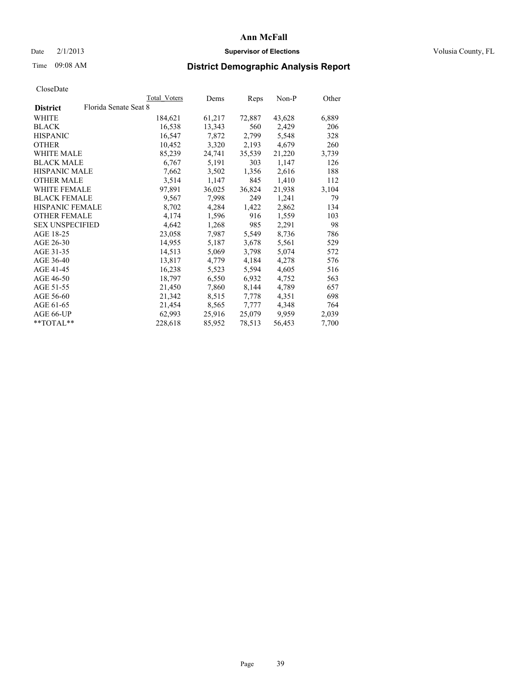### Date  $2/1/2013$  **Supervisor of Elections Supervisor of Elections** Volusia County, FL

# Time 09:08 AM **District Demographic Analysis Report**

|                        |                       | Total Voters | Dems   | <b>Reps</b> | Non-P  | Other |
|------------------------|-----------------------|--------------|--------|-------------|--------|-------|
| <b>District</b>        | Florida Senate Seat 8 |              |        |             |        |       |
| WHITE                  |                       | 184,621      | 61,217 | 72,887      | 43,628 | 6,889 |
| <b>BLACK</b>           |                       | 16,538       | 13,343 | 560         | 2,429  | 206   |
| <b>HISPANIC</b>        |                       | 16,547       | 7,872  | 2,799       | 5,548  | 328   |
| <b>OTHER</b>           |                       | 10,452       | 3,320  | 2,193       | 4,679  | 260   |
| <b>WHITE MALE</b>      |                       | 85,239       | 24,741 | 35,539      | 21,220 | 3,739 |
| <b>BLACK MALE</b>      |                       | 6,767        | 5,191  | 303         | 1,147  | 126   |
| <b>HISPANIC MALE</b>   |                       | 7,662        | 3,502  | 1,356       | 2,616  | 188   |
| <b>OTHER MALE</b>      |                       | 3,514        | 1,147  | 845         | 1,410  | 112   |
| WHITE FEMALE           |                       | 97,891       | 36,025 | 36,824      | 21,938 | 3,104 |
| <b>BLACK FEMALE</b>    |                       | 9,567        | 7,998  | 249         | 1,241  | 79    |
| <b>HISPANIC FEMALE</b> |                       | 8,702        | 4,284  | 1,422       | 2,862  | 134   |
| <b>OTHER FEMALE</b>    |                       | 4,174        | 1,596  | 916         | 1,559  | 103   |
| <b>SEX UNSPECIFIED</b> |                       | 4,642        | 1,268  | 985         | 2,291  | 98    |
| AGE 18-25              |                       | 23,058       | 7,987  | 5,549       | 8,736  | 786   |
| AGE 26-30              |                       | 14,955       | 5,187  | 3,678       | 5,561  | 529   |
| AGE 31-35              |                       | 14,513       | 5,069  | 3,798       | 5,074  | 572   |
| AGE 36-40              |                       | 13,817       | 4,779  | 4,184       | 4,278  | 576   |
| AGE 41-45              |                       | 16,238       | 5,523  | 5,594       | 4,605  | 516   |
| AGE 46-50              |                       | 18,797       | 6,550  | 6,932       | 4,752  | 563   |
| AGE 51-55              |                       | 21,450       | 7,860  | 8,144       | 4,789  | 657   |
| AGE 56-60              |                       | 21,342       | 8,515  | 7,778       | 4,351  | 698   |
| AGE 61-65              |                       | 21,454       | 8,565  | 7,777       | 4,348  | 764   |
| AGE 66-UP              |                       | 62,993       | 25,916 | 25,079      | 9,959  | 2,039 |
| $*$ TOTAL $*$          |                       | 228,618      | 85,952 | 78,513      | 56,453 | 7,700 |
|                        |                       |              |        |             |        |       |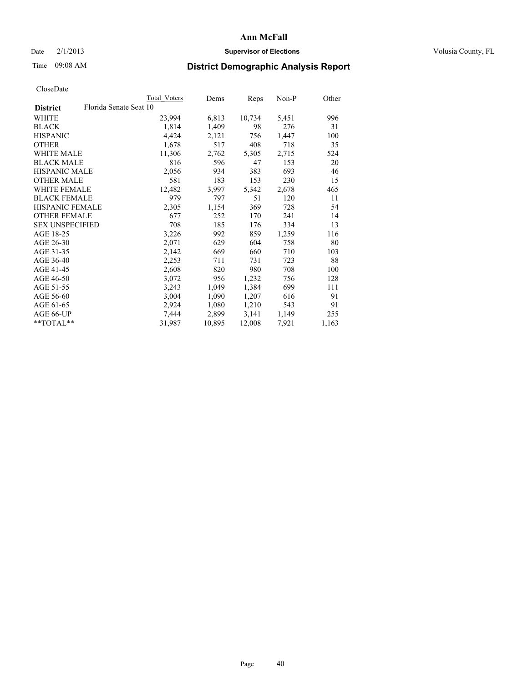### Date  $2/1/2013$  **Supervisor of Elections Supervisor of Elections** Volusia County, FL

# Time 09:08 AM **District Demographic Analysis Report**

|                        |                        | Total Voters | Dems   | <b>Reps</b> | Non-P | Other |
|------------------------|------------------------|--------------|--------|-------------|-------|-------|
| <b>District</b>        | Florida Senate Seat 10 |              |        |             |       |       |
| <b>WHITE</b>           |                        | 23,994       | 6,813  | 10,734      | 5,451 | 996   |
| <b>BLACK</b>           |                        | 1,814        | 1,409  | 98          | 276   | 31    |
| <b>HISPANIC</b>        |                        | 4,424        | 2,121  | 756         | 1,447 | 100   |
| <b>OTHER</b>           |                        | 1,678        | 517    | 408         | 718   | 35    |
| WHITE MALE             |                        | 11,306       | 2,762  | 5,305       | 2,715 | 524   |
| <b>BLACK MALE</b>      |                        | 816          | 596    | 47          | 153   | 20    |
| <b>HISPANIC MALE</b>   |                        | 2,056        | 934    | 383         | 693   | 46    |
| <b>OTHER MALE</b>      |                        | 581          | 183    | 153         | 230   | 15    |
| WHITE FEMALE           |                        | 12,482       | 3,997  | 5,342       | 2,678 | 465   |
| <b>BLACK FEMALE</b>    |                        | 979          | 797    | 51          | 120   | 11    |
| HISPANIC FEMALE        |                        | 2,305        | 1,154  | 369         | 728   | 54    |
| <b>OTHER FEMALE</b>    |                        | 677          | 252    | 170         | 241   | 14    |
| <b>SEX UNSPECIFIED</b> |                        | 708          | 185    | 176         | 334   | 13    |
| AGE 18-25              |                        | 3,226        | 992    | 859         | 1,259 | 116   |
| AGE 26-30              |                        | 2,071        | 629    | 604         | 758   | 80    |
| AGE 31-35              |                        | 2,142        | 669    | 660         | 710   | 103   |
| AGE 36-40              |                        | 2,253        | 711    | 731         | 723   | 88    |
| AGE 41-45              |                        | 2,608        | 820    | 980         | 708   | 100   |
| AGE 46-50              |                        | 3,072        | 956    | 1,232       | 756   | 128   |
| AGE 51-55              |                        | 3,243        | 1,049  | 1,384       | 699   | 111   |
| AGE 56-60              |                        | 3,004        | 1,090  | 1,207       | 616   | 91    |
| AGE 61-65              |                        | 2,924        | 1,080  | 1,210       | 543   | 91    |
| AGE 66-UP              |                        | 7,444        | 2,899  | 3,141       | 1,149 | 255   |
| **TOTAL**              |                        | 31,987       | 10,895 | 12,008      | 7,921 | 1,163 |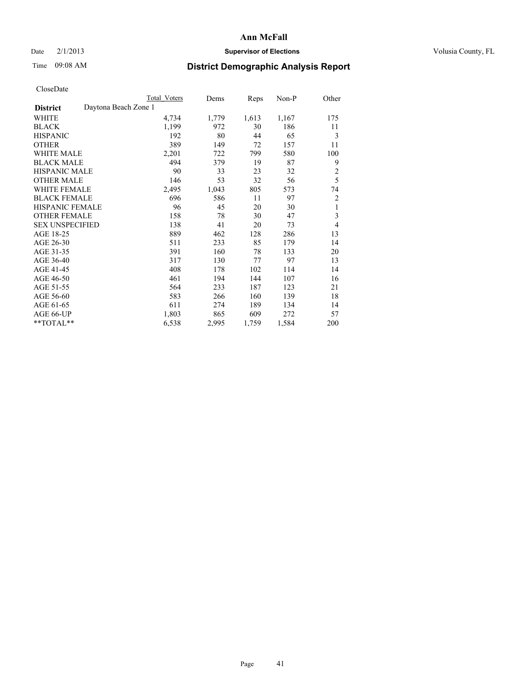## Date  $2/1/2013$  **Supervisor of Elections** Volusia County, FL

# Time 09:08 AM **District Demographic Analysis Report**

|                                         | Total Voters | Dems  | Reps  | Non-P | Other          |
|-----------------------------------------|--------------|-------|-------|-------|----------------|
| Daytona Beach Zone 1<br><b>District</b> |              |       |       |       |                |
| WHITE                                   | 4,734        | 1,779 | 1,613 | 1,167 | 175            |
| <b>BLACK</b>                            | 1,199        | 972   | 30    | 186   | 11             |
| <b>HISPANIC</b>                         | 192          | 80    | 44    | 65    | 3              |
| <b>OTHER</b>                            | 389          | 149   | 72    | 157   | 11             |
| <b>WHITE MALE</b>                       | 2,201        | 722   | 799   | 580   | 100            |
| <b>BLACK MALE</b>                       | 494          | 379   | 19    | 87    | 9              |
| <b>HISPANIC MALE</b>                    | 90           | 33    | 23    | 32    | 2              |
| <b>OTHER MALE</b>                       | 146          | 53    | 32    | 56    | 5              |
| <b>WHITE FEMALE</b>                     | 2,495        | 1,043 | 805   | 573   | 74             |
| <b>BLACK FEMALE</b>                     | 696          | 586   | 11    | 97    | 2              |
| HISPANIC FEMALE                         | 96           | 45    | 20    | 30    | 1              |
| <b>OTHER FEMALE</b>                     | 158          | 78    | 30    | 47    | 3              |
| <b>SEX UNSPECIFIED</b>                  | 138          | 41    | 20    | 73    | $\overline{4}$ |
| AGE 18-25                               | 889          | 462   | 128   | 286   | 13             |
| AGE 26-30                               | 511          | 233   | 85    | 179   | 14             |
| AGE 31-35                               | 391          | 160   | 78    | 133   | 20             |
| AGE 36-40                               | 317          | 130   | 77    | 97    | 13             |
| AGE 41-45                               | 408          | 178   | 102   | 114   | 14             |
| AGE 46-50                               | 461          | 194   | 144   | 107   | 16             |
| AGE 51-55                               | 564          | 233   | 187   | 123   | 21             |
| AGE 56-60                               | 583          | 266   | 160   | 139   | 18             |
| AGE 61-65                               | 611          | 274   | 189   | 134   | 14             |
| AGE 66-UP                               | 1,803        | 865   | 609   | 272   | 57             |
| **TOTAL**                               | 6,538        | 2,995 | 1,759 | 1,584 | 200            |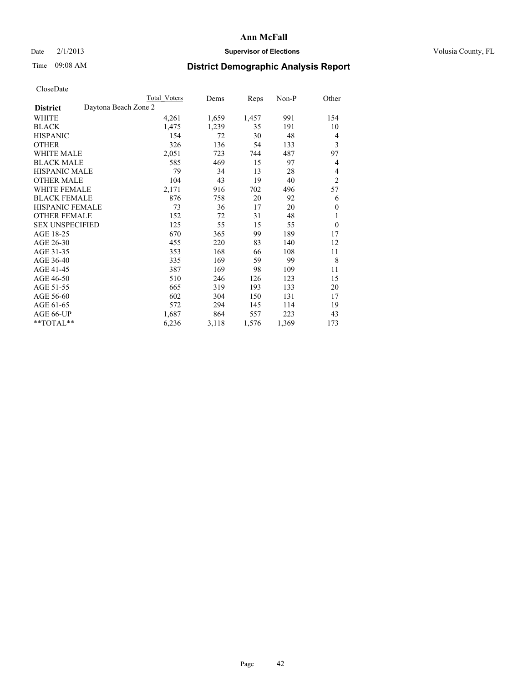## Date  $2/1/2013$  **Supervisor of Elections** Volusia County, FL

# Time 09:08 AM **District Demographic Analysis Report**

|                                         | Total Voters | Dems  | <b>Reps</b> | Non-P | Other          |
|-----------------------------------------|--------------|-------|-------------|-------|----------------|
| Daytona Beach Zone 2<br><b>District</b> |              |       |             |       |                |
| WHITE                                   | 4,261        | 1,659 | 1,457       | 991   | 154            |
| <b>BLACK</b>                            | 1,475        | 1,239 | 35          | 191   | 10             |
| <b>HISPANIC</b>                         | 154          | 72    | 30          | 48    | 4              |
| <b>OTHER</b>                            | 326          | 136   | 54          | 133   | 3              |
| <b>WHITE MALE</b>                       | 2,051        | 723   | 744         | 487   | 97             |
| <b>BLACK MALE</b>                       | 585          | 469   | 15          | 97    | 4              |
| HISPANIC MALE                           | 79           | 34    | 13          | 28    | 4              |
| <b>OTHER MALE</b>                       | 104          | 43    | 19          | 40    | $\overline{2}$ |
| WHITE FEMALE                            | 2,171        | 916   | 702         | 496   | 57             |
| <b>BLACK FEMALE</b>                     | 876          | 758   | 20          | 92    | 6              |
| HISPANIC FEMALE                         | 73           | 36    | 17          | 20    | $\mathbf{0}$   |
| <b>OTHER FEMALE</b>                     | 152          | 72    | 31          | 48    | 1              |
| <b>SEX UNSPECIFIED</b>                  | 125          | 55    | 15          | 55    | $\theta$       |
| AGE 18-25                               | 670          | 365   | 99          | 189   | 17             |
| AGE 26-30                               | 455          | 220   | 83          | 140   | 12             |
| AGE 31-35                               | 353          | 168   | 66          | 108   | 11             |
| AGE 36-40                               | 335          | 169   | 59          | 99    | 8              |
| AGE 41-45                               | 387          | 169   | 98          | 109   | 11             |
| AGE 46-50                               | 510          | 246   | 126         | 123   | 15             |
| AGE 51-55                               | 665          | 319   | 193         | 133   | 20             |
| AGE 56-60                               | 602          | 304   | 150         | 131   | 17             |
| AGE 61-65                               | 572          | 294   | 145         | 114   | 19             |
| AGE 66-UP                               | 1,687        | 864   | 557         | 223   | 43             |
| **TOTAL**                               | 6,236        | 3,118 | 1,576       | 1,369 | 173            |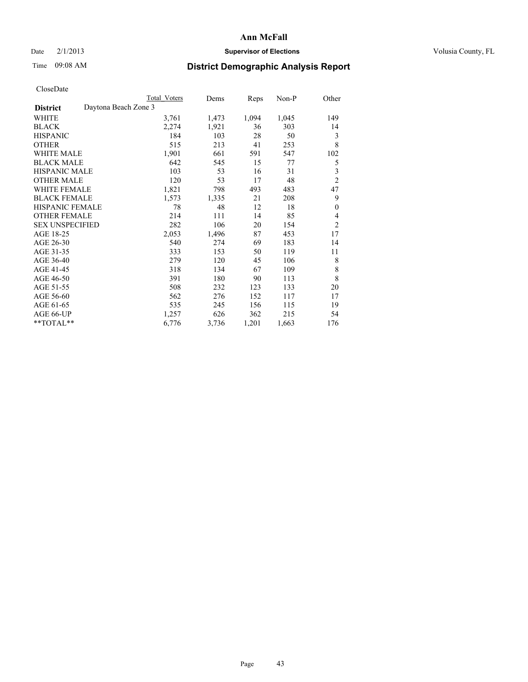### Date  $2/1/2013$  **Supervisor of Elections Supervisor of Elections** Volusia County, FL

# Time 09:08 AM **District Demographic Analysis Report**

|                                         | <b>Total Voters</b> | Dems  | Reps  | Non-P | Other          |
|-----------------------------------------|---------------------|-------|-------|-------|----------------|
| Daytona Beach Zone 3<br><b>District</b> |                     |       |       |       |                |
| WHITE                                   | 3,761               | 1,473 | 1,094 | 1,045 | 149            |
| <b>BLACK</b>                            | 2,274               | 1,921 | 36    | 303   | 14             |
| <b>HISPANIC</b>                         | 184                 | 103   | 28    | 50    | 3              |
| <b>OTHER</b>                            | 515                 | 213   | 41    | 253   | 8              |
| <b>WHITE MALE</b>                       | 1,901               | 661   | 591   | 547   | 102            |
| <b>BLACK MALE</b>                       | 642                 | 545   | 15    | 77    | 5              |
| HISPANIC MALE                           | 103                 | 53    | 16    | 31    | 3              |
| <b>OTHER MALE</b>                       | 120                 | 53    | 17    | 48    | $\overline{2}$ |
| <b>WHITE FEMALE</b>                     | 1,821               | 798   | 493   | 483   | 47             |
| <b>BLACK FEMALE</b>                     | 1,573               | 1,335 | 21    | 208   | 9              |
| <b>HISPANIC FEMALE</b>                  | 78                  | 48    | 12    | 18    | $\mathbf{0}$   |
| <b>OTHER FEMALE</b>                     | 214                 | 111   | 14    | 85    | $\overline{4}$ |
| <b>SEX UNSPECIFIED</b>                  | 282                 | 106   | 20    | 154   | $\overline{2}$ |
| AGE 18-25                               | 2,053               | 1,496 | 87    | 453   | 17             |
| AGE 26-30                               | 540                 | 274   | 69    | 183   | 14             |
| AGE 31-35                               | 333                 | 153   | 50    | 119   | 11             |
| AGE 36-40                               | 279                 | 120   | 45    | 106   | 8              |
| AGE 41-45                               | 318                 | 134   | 67    | 109   | 8              |
| AGE 46-50                               | 391                 | 180   | 90    | 113   | 8              |
| AGE 51-55                               | 508                 | 232   | 123   | 133   | 20             |
| AGE 56-60                               | 562                 | 276   | 152   | 117   | 17             |
| AGE 61-65                               | 535                 | 245   | 156   | 115   | 19             |
| AGE 66-UP                               | 1,257               | 626   | 362   | 215   | 54             |
| **TOTAL**                               | 6,776               | 3,736 | 1,201 | 1,663 | 176            |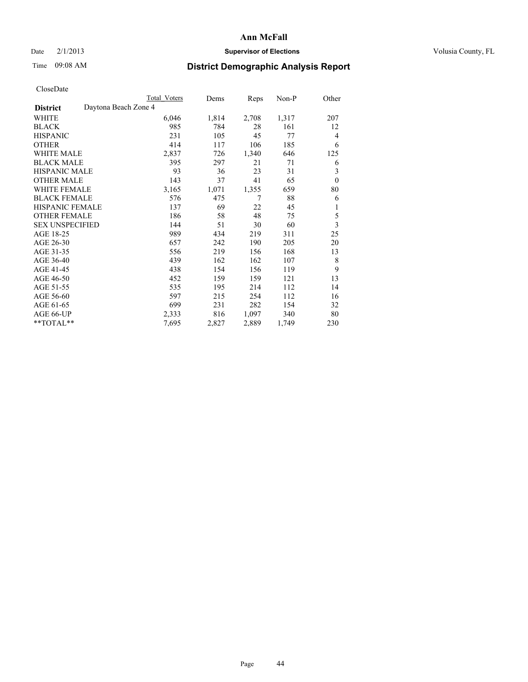## Date  $2/1/2013$  **Supervisor of Elections** Volusia County, FL

# Time 09:08 AM **District Demographic Analysis Report**

|                                         | Total Voters | Dems  | Reps  | $Non-P$ | Other                   |
|-----------------------------------------|--------------|-------|-------|---------|-------------------------|
| Daytona Beach Zone 4<br><b>District</b> |              |       |       |         |                         |
| WHITE                                   | 6,046        | 1,814 | 2,708 | 1,317   | 207                     |
| <b>BLACK</b>                            | 985          | 784   | 28    | 161     | 12                      |
| <b>HISPANIC</b>                         | 231          | 105   | 45    | 77      | $\overline{4}$          |
| <b>OTHER</b>                            | 414          | 117   | 106   | 185     | 6                       |
| <b>WHITE MALE</b>                       | 2,837        | 726   | 1,340 | 646     | 125                     |
| <b>BLACK MALE</b>                       | 395          | 297   | 21    | 71      | 6                       |
| <b>HISPANIC MALE</b>                    | 93           | 36    | 23    | 31      | 3                       |
| <b>OTHER MALE</b>                       | 143          | 37    | 41    | 65      | $\mathbf{0}$            |
| <b>WHITE FEMALE</b>                     | 3,165        | 1,071 | 1,355 | 659     | 80                      |
| <b>BLACK FEMALE</b>                     | 576          | 475   | 7     | 88      | 6                       |
| <b>HISPANIC FEMALE</b>                  | 137          | 69    | 22    | 45      | 1                       |
| <b>OTHER FEMALE</b>                     | 186          | 58    | 48    | 75      | 5                       |
| <b>SEX UNSPECIFIED</b>                  | 144          | 51    | 30    | 60      | $\overline{\mathbf{3}}$ |
| AGE 18-25                               | 989          | 434   | 219   | 311     | 25                      |
| AGE 26-30                               | 657          | 242   | 190   | 205     | 20                      |
| AGE 31-35                               | 556          | 219   | 156   | 168     | 13                      |
| AGE 36-40                               | 439          | 162   | 162   | 107     | 8                       |
| AGE 41-45                               | 438          | 154   | 156   | 119     | 9                       |
| AGE 46-50                               | 452          | 159   | 159   | 121     | 13                      |
| AGE 51-55                               | 535          | 195   | 214   | 112     | 14                      |
| AGE 56-60                               | 597          | 215   | 254   | 112     | 16                      |
| AGE 61-65                               | 699          | 231   | 282   | 154     | 32                      |
| AGE 66-UP                               | 2,333        | 816   | 1,097 | 340     | 80                      |
| **TOTAL**                               | 7,695        | 2,827 | 2,889 | 1,749   | 230                     |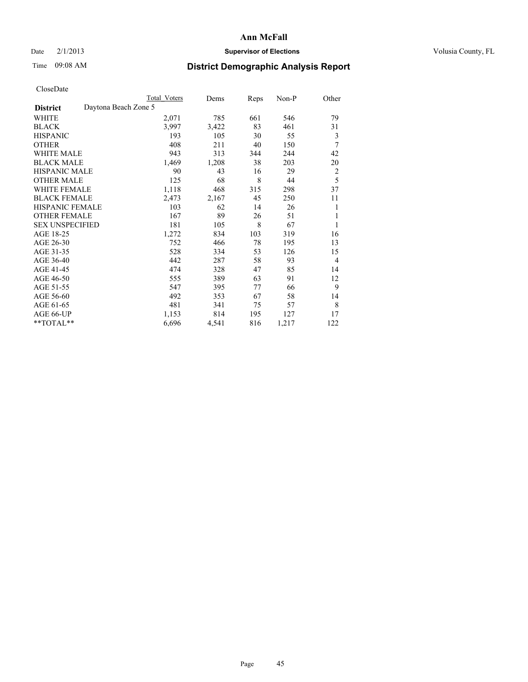## Date  $2/1/2013$  **Supervisor of Elections** Volusia County, FL

# Time 09:08 AM **District Demographic Analysis Report**

|                                         | <b>Total Voters</b> | Dems  | Reps | Non-P | Other          |
|-----------------------------------------|---------------------|-------|------|-------|----------------|
| Daytona Beach Zone 5<br><b>District</b> |                     |       |      |       |                |
| WHITE                                   | 2,071               | 785   | 661  | 546   | 79             |
| <b>BLACK</b>                            | 3,997               | 3,422 | 83   | 461   | 31             |
| <b>HISPANIC</b>                         | 193                 | 105   | 30   | 55    | 3              |
| <b>OTHER</b>                            | 408                 | 211   | 40   | 150   | 7              |
| <b>WHITE MALE</b>                       | 943                 | 313   | 344  | 244   | 42             |
| <b>BLACK MALE</b>                       | 1,469               | 1,208 | 38   | 203   | 20             |
| HISPANIC MALE                           | 90                  | 43    | 16   | 29    | 2              |
| <b>OTHER MALE</b>                       | 125                 | 68    | 8    | 44    | 5              |
| <b>WHITE FEMALE</b>                     | 1,118               | 468   | 315  | 298   | 37             |
| <b>BLACK FEMALE</b>                     | 2,473               | 2,167 | 45   | 250   | 11             |
| <b>HISPANIC FEMALE</b>                  | 103                 | 62    | 14   | 26    | 1              |
| <b>OTHER FEMALE</b>                     | 167                 | 89    | 26   | 51    | 1              |
| <b>SEX UNSPECIFIED</b>                  | 181                 | 105   | 8    | 67    | 1              |
| AGE 18-25                               | 1,272               | 834   | 103  | 319   | 16             |
| AGE 26-30                               | 752                 | 466   | 78   | 195   | 13             |
| AGE 31-35                               | 528                 | 334   | 53   | 126   | 15             |
| AGE 36-40                               | 442                 | 287   | 58   | 93    | $\overline{4}$ |
| AGE 41-45                               | 474                 | 328   | 47   | 85    | 14             |
| AGE 46-50                               | 555                 | 389   | 63   | 91    | 12             |
| AGE 51-55                               | 547                 | 395   | 77   | 66    | 9              |
| AGE 56-60                               | 492                 | 353   | 67   | 58    | 14             |
| AGE 61-65                               | 481                 | 341   | 75   | 57    | 8              |
| AGE 66-UP                               | 1,153               | 814   | 195  | 127   | 17             |
| **TOTAL**                               | 6,696               | 4,541 | 816  | 1,217 | 122            |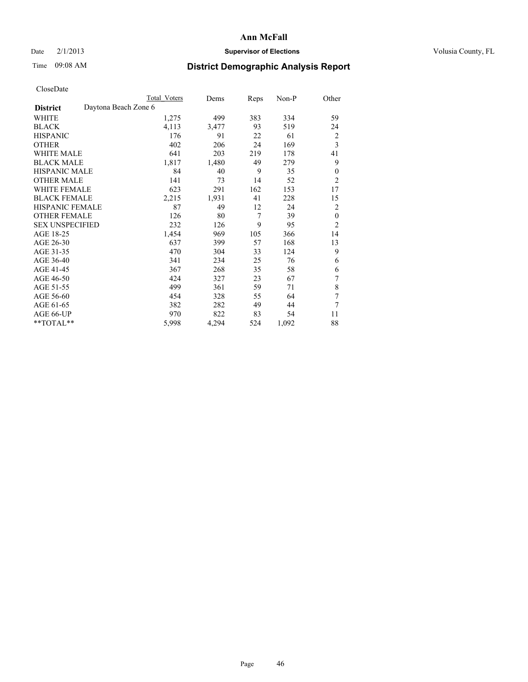## Date  $2/1/2013$  **Supervisor of Elections** Volusia County, FL

# Time 09:08 AM **District Demographic Analysis Report**

|                        |                      | <b>Total Voters</b> | Dems  | Reps           | Non-P | Other          |
|------------------------|----------------------|---------------------|-------|----------------|-------|----------------|
| <b>District</b>        | Daytona Beach Zone 6 |                     |       |                |       |                |
| WHITE                  |                      | 1,275               | 499   | 383            | 334   | 59             |
| <b>BLACK</b>           |                      | 4,113               | 3,477 | 93             | 519   | 24             |
| <b>HISPANIC</b>        |                      | 176                 | 91    | 22             | 61    | 2              |
| <b>OTHER</b>           |                      | 402                 | 206   | 24             | 169   | 3              |
| WHITE MALE             |                      | 641                 | 203   | 219            | 178   | 41             |
| <b>BLACK MALE</b>      |                      | 1,817               | 1,480 | 49             | 279   | 9              |
| <b>HISPANIC MALE</b>   |                      | 84                  | 40    | 9              | 35    | $\mathbf{0}$   |
| <b>OTHER MALE</b>      |                      | 141                 | 73    | 14             | 52    | $\overline{2}$ |
| WHITE FEMALE           |                      | 623                 | 291   | 162            | 153   | 17             |
| <b>BLACK FEMALE</b>    |                      | 2,215               | 1,931 | 41             | 228   | 15             |
| <b>HISPANIC FEMALE</b> |                      | 87                  | 49    | 12             | 24    | 2              |
| <b>OTHER FEMALE</b>    |                      | 126                 | 80    | $\overline{7}$ | 39    | $\theta$       |
| <b>SEX UNSPECIFIED</b> |                      | 232                 | 126   | 9              | 95    | $\overline{2}$ |
| AGE 18-25              |                      | 1,454               | 969   | 105            | 366   | 14             |
| AGE 26-30              |                      | 637                 | 399   | 57             | 168   | 13             |
| AGE 31-35              |                      | 470                 | 304   | 33             | 124   | 9              |
| AGE 36-40              |                      | 341                 | 234   | 25             | 76    | 6              |
| AGE 41-45              |                      | 367                 | 268   | 35             | 58    | 6              |
| AGE 46-50              |                      | 424                 | 327   | 23             | 67    | 7              |
| AGE 51-55              |                      | 499                 | 361   | 59             | 71    | 8              |
| AGE 56-60              |                      | 454                 | 328   | 55             | 64    | 7              |
| AGE 61-65              |                      | 382                 | 282   | 49             | 44    | 7              |
| AGE 66-UP              |                      | 970                 | 822   | 83             | 54    | 11             |
| **TOTAL**              |                      | 5,998               | 4,294 | 524            | 1,092 | 88             |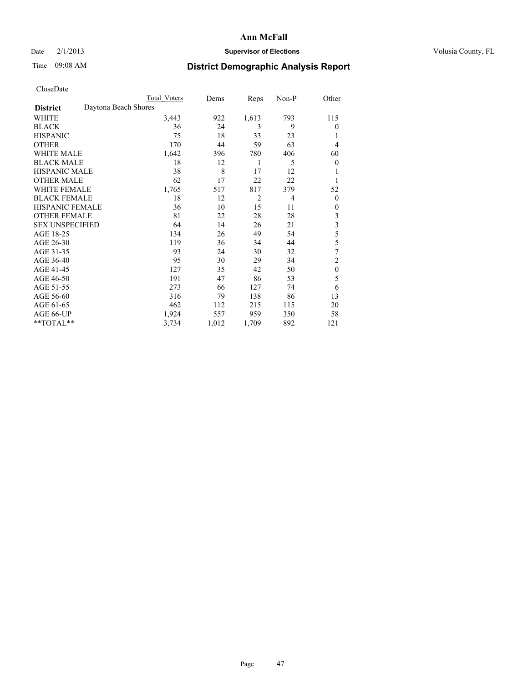### Date  $2/1/2013$  **Supervisor of Elections** Volusia County, FL

# Time 09:08 AM **District Demographic Analysis Report**

| Cioscivate             |                      |                     |       |       |       |                         |
|------------------------|----------------------|---------------------|-------|-------|-------|-------------------------|
|                        |                      | <b>Total Voters</b> | Dems  | Reps  | Non-P | Other                   |
| <b>District</b>        | Daytona Beach Shores |                     |       |       |       |                         |
| <b>WHITE</b>           |                      | 3,443               | 922   | 1,613 | 793   | 115                     |
| <b>BLACK</b>           |                      | 36                  | 24    | 3     | 9     | $\overline{0}$          |
| <b>HISPANIC</b>        |                      | 75                  | 18    | 33    | 23    |                         |
| <b>OTHER</b>           |                      | 170                 | 44    | 59    | 63    | $\overline{4}$          |
| WHITE MALE             |                      | 1,642               | 396   | 780   | 406   | 60                      |
| <b>BLACK MALE</b>      |                      | 18                  | 12    | 1     | 5     | $\theta$                |
| <b>HISPANIC MALE</b>   |                      | 38                  | 8     | 17    | 12    | 1                       |
| <b>OTHER MALE</b>      |                      | 62                  | 17    | 22    | 22    | 1                       |
| WHITE FEMALE           |                      | 1,765               | 517   | 817   | 379   | 52                      |
| <b>BLACK FEMALE</b>    |                      | 18                  | 12    | 2     | 4     | $\overline{0}$          |
| <b>HISPANIC FEMALE</b> |                      | 36                  | 10    | 15    | 11    | $\overline{0}$          |
| <b>OTHER FEMALE</b>    |                      | 81                  | 22    | 28    | 28    | 3                       |
| <b>SEX UNSPECIFIED</b> |                      | 64                  | 14    | 26    | 21    | $\overline{\mathbf{3}}$ |
| AGE 18-25              |                      | 134                 | 26    | 49    | 54    | 5                       |
| AGE 26-30              |                      | 119                 | 36    | 34    | 44    | 5                       |
| AGE 31-35              |                      | 93                  | 24    | 30    | 32    | 7                       |
| AGE 36-40              |                      | 95                  | 30    | 29    | 34    | $\overline{c}$          |
| AGE 41-45              |                      | 127                 | 35    | 42    | 50    | $\mathbf{0}$            |
| AGE 46-50              |                      | 191                 | 47    | 86    | 53    | 5                       |
| AGE 51-55              |                      | 273                 | 66    | 127   | 74    | 6                       |
| AGE 56-60              |                      | 316                 | 79    | 138   | 86    | 13                      |
| AGE 61-65              |                      | 462                 | 112   | 215   | 115   | 20                      |
| AGE 66-UP              |                      | 1,924               | 557   | 959   | 350   | 58                      |
| **TOTAL**              |                      | 3,734               | 1,012 | 1,709 | 892   | 121                     |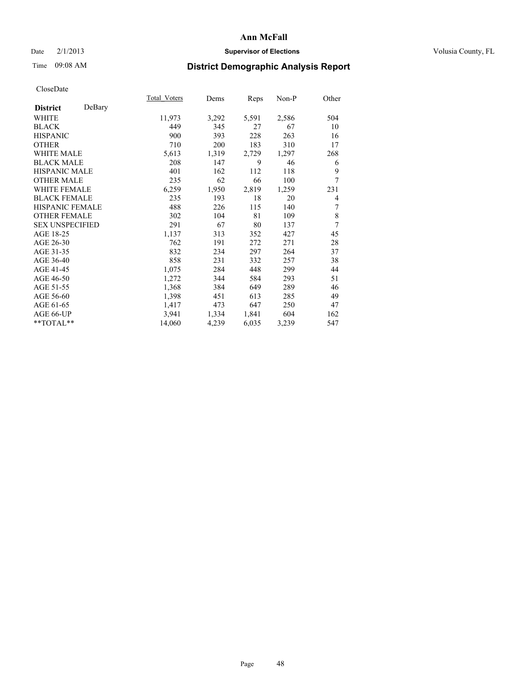### Date  $2/1/2013$  **Supervisor of Elections Supervisor of Elections** Volusia County, FL

# Time 09:08 AM **District Demographic Analysis Report**

|                           | Total Voters | Dems  | <b>Reps</b> | Non-P | Other |
|---------------------------|--------------|-------|-------------|-------|-------|
| DeBary<br><b>District</b> |              |       |             |       |       |
| <b>WHITE</b>              | 11,973       | 3,292 | 5,591       | 2,586 | 504   |
| <b>BLACK</b>              | 449          | 345   | 27          | 67    | 10    |
| <b>HISPANIC</b>           | 900          | 393   | 228         | 263   | 16    |
| <b>OTHER</b>              | 710          | 200   | 183         | 310   | 17    |
| <b>WHITE MALE</b>         | 5,613        | 1,319 | 2,729       | 1,297 | 268   |
| <b>BLACK MALE</b>         | 208          | 147   | 9           | 46    | 6     |
| HISPANIC MALE             | 401          | 162   | 112         | 118   | 9     |
| <b>OTHER MALE</b>         | 235          | 62    | 66          | 100   | 7     |
| <b>WHITE FEMALE</b>       | 6,259        | 1,950 | 2,819       | 1,259 | 231   |
| <b>BLACK FEMALE</b>       | 235          | 193   | 18          | 20    | 4     |
| <b>HISPANIC FEMALE</b>    | 488          | 226   | 115         | 140   | 7     |
| <b>OTHER FEMALE</b>       | 302          | 104   | 81          | 109   | 8     |
| <b>SEX UNSPECIFIED</b>    | 291          | 67    | 80          | 137   | 7     |
| AGE 18-25                 | 1,137        | 313   | 352         | 427   | 45    |
| AGE 26-30                 | 762          | 191   | 272         | 271   | 28    |
| AGE 31-35                 | 832          | 234   | 297         | 264   | 37    |
| AGE 36-40                 | 858          | 231   | 332         | 257   | 38    |
| AGE 41-45                 | 1,075        | 284   | 448         | 299   | 44    |
| AGE 46-50                 | 1,272        | 344   | 584         | 293   | 51    |
| AGE 51-55                 | 1,368        | 384   | 649         | 289   | 46    |
| AGE 56-60                 | 1,398        | 451   | 613         | 285   | 49    |
| AGE 61-65                 | 1,417        | 473   | 647         | 250   | 47    |
| AGE 66-UP                 | 3,941        | 1,334 | 1,841       | 604   | 162   |
| **TOTAL**                 | 14,060       | 4,239 | 6,035       | 3,239 | 547   |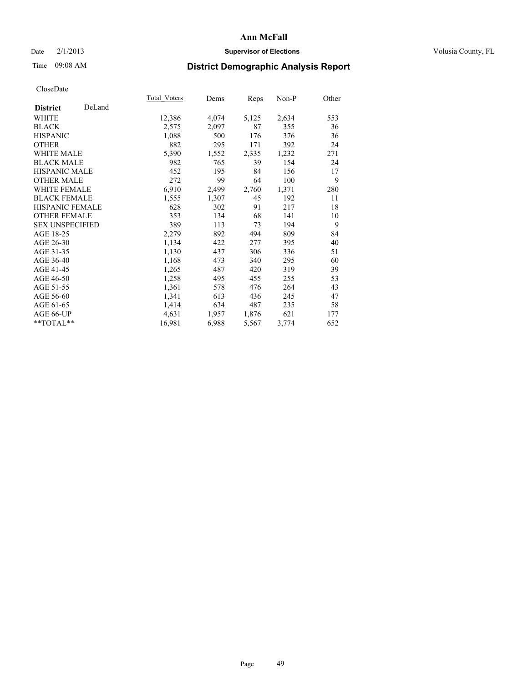## Date  $2/1/2013$  **Supervisor of Elections** Volusia County, FL

# Time 09:08 AM **District Demographic Analysis Report**

|                        |        | Total Voters | Dems  | <b>Reps</b> | Non-P | Other |
|------------------------|--------|--------------|-------|-------------|-------|-------|
| <b>District</b>        | DeLand |              |       |             |       |       |
| WHITE                  |        | 12,386       | 4,074 | 5,125       | 2,634 | 553   |
| <b>BLACK</b>           |        | 2,575        | 2,097 | 87          | 355   | 36    |
| <b>HISPANIC</b>        |        | 1,088        | 500   | 176         | 376   | 36    |
| <b>OTHER</b>           |        | 882          | 295   | 171         | 392   | 24    |
| <b>WHITE MALE</b>      |        | 5,390        | 1,552 | 2,335       | 1,232 | 271   |
| <b>BLACK MALE</b>      |        | 982          | 765   | 39          | 154   | 24    |
| <b>HISPANIC MALE</b>   |        | 452          | 195   | 84          | 156   | 17    |
| <b>OTHER MALE</b>      |        | 272          | 99    | 64          | 100   | 9     |
| <b>WHITE FEMALE</b>    |        | 6,910        | 2,499 | 2,760       | 1,371 | 280   |
| <b>BLACK FEMALE</b>    |        | 1,555        | 1,307 | 45          | 192   | 11    |
| <b>HISPANIC FEMALE</b> |        | 628          | 302   | 91          | 217   | 18    |
| <b>OTHER FEMALE</b>    |        | 353          | 134   | 68          | 141   | 10    |
| <b>SEX UNSPECIFIED</b> |        | 389          | 113   | 73          | 194   | 9     |
| AGE 18-25              |        | 2,279        | 892   | 494         | 809   | 84    |
| AGE 26-30              |        | 1,134        | 422   | 277         | 395   | 40    |
| AGE 31-35              |        | 1,130        | 437   | 306         | 336   | 51    |
| AGE 36-40              |        | 1,168        | 473   | 340         | 295   | 60    |
| AGE 41-45              |        | 1,265        | 487   | 420         | 319   | 39    |
| AGE 46-50              |        | 1,258        | 495   | 455         | 255   | 53    |
| AGE 51-55              |        | 1,361        | 578   | 476         | 264   | 43    |
| AGE 56-60              |        | 1,341        | 613   | 436         | 245   | 47    |
| AGE 61-65              |        | 1,414        | 634   | 487         | 235   | 58    |
| AGE 66-UP              |        | 4,631        | 1,957 | 1,876       | 621   | 177   |
| **TOTAL**              |        | 16,981       | 6,988 | 5,567       | 3,774 | 652   |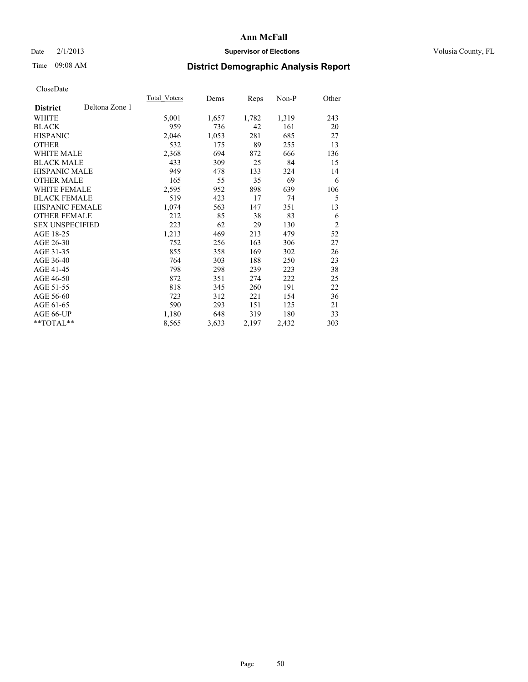## Date  $2/1/2013$  **Supervisor of Elections** Volusia County, FL

# Time 09:08 AM **District Demographic Analysis Report**

|                        |                | <b>Total Voters</b> | Dems  | Reps  | Non-P | Other          |
|------------------------|----------------|---------------------|-------|-------|-------|----------------|
| <b>District</b>        | Deltona Zone 1 |                     |       |       |       |                |
| WHITE                  |                | 5,001               | 1,657 | 1,782 | 1,319 | 243            |
| <b>BLACK</b>           |                | 959                 | 736   | 42    | 161   | 20             |
| <b>HISPANIC</b>        |                | 2,046               | 1,053 | 281   | 685   | 27             |
| <b>OTHER</b>           |                | 532                 | 175   | 89    | 255   | 13             |
| <b>WHITE MALE</b>      |                | 2,368               | 694   | 872   | 666   | 136            |
| <b>BLACK MALE</b>      |                | 433                 | 309   | 25    | 84    | 15             |
| <b>HISPANIC MALE</b>   |                | 949                 | 478   | 133   | 324   | 14             |
| <b>OTHER MALE</b>      |                | 165                 | 55    | 35    | 69    | 6              |
| <b>WHITE FEMALE</b>    |                | 2,595               | 952   | 898   | 639   | 106            |
| <b>BLACK FEMALE</b>    |                | 519                 | 423   | 17    | 74    | 5              |
| HISPANIC FEMALE        |                | 1,074               | 563   | 147   | 351   | 13             |
| <b>OTHER FEMALE</b>    |                | 212                 | 85    | 38    | 83    | 6              |
| <b>SEX UNSPECIFIED</b> |                | 223                 | 62    | 29    | 130   | $\overline{2}$ |
| AGE 18-25              |                | 1,213               | 469   | 213   | 479   | 52             |
| AGE 26-30              |                | 752                 | 256   | 163   | 306   | 27             |
| AGE 31-35              |                | 855                 | 358   | 169   | 302   | 26             |
| AGE 36-40              |                | 764                 | 303   | 188   | 250   | 23             |
| AGE 41-45              |                | 798                 | 298   | 239   | 223   | 38             |
| AGE 46-50              |                | 872                 | 351   | 274   | 222   | 25             |
| AGE 51-55              |                | 818                 | 345   | 260   | 191   | 22             |
| AGE 56-60              |                | 723                 | 312   | 221   | 154   | 36             |
| AGE 61-65              |                | 590                 | 293   | 151   | 125   | 21             |
| AGE 66-UP              |                | 1,180               | 648   | 319   | 180   | 33             |
| **TOTAL**              |                | 8,565               | 3,633 | 2,197 | 2,432 | 303            |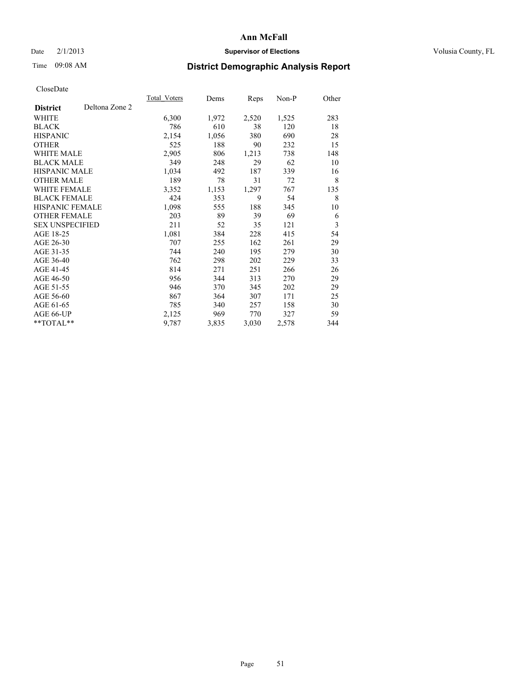## Date  $2/1/2013$  **Supervisor of Elections** Volusia County, FL

# Time 09:08 AM **District Demographic Analysis Report**

|                        |                | Total Voters | Dems  | <b>Reps</b> | Non-P | Other |
|------------------------|----------------|--------------|-------|-------------|-------|-------|
| <b>District</b>        | Deltona Zone 2 |              |       |             |       |       |
| WHITE                  |                | 6,300        | 1,972 | 2,520       | 1,525 | 283   |
| <b>BLACK</b>           |                | 786          | 610   | 38          | 120   | 18    |
| <b>HISPANIC</b>        |                | 2,154        | 1,056 | 380         | 690   | 28    |
| <b>OTHER</b>           |                | 525          | 188   | 90          | 232   | 15    |
| <b>WHITE MALE</b>      |                | 2,905        | 806   | 1,213       | 738   | 148   |
| <b>BLACK MALE</b>      |                | 349          | 248   | 29          | 62    | 10    |
| <b>HISPANIC MALE</b>   |                | 1,034        | 492   | 187         | 339   | 16    |
| <b>OTHER MALE</b>      |                | 189          | 78    | 31          | 72    | 8     |
| <b>WHITE FEMALE</b>    |                | 3,352        | 1,153 | 1,297       | 767   | 135   |
| <b>BLACK FEMALE</b>    |                | 424          | 353   | 9           | 54    | 8     |
| <b>HISPANIC FEMALE</b> |                | 1,098        | 555   | 188         | 345   | 10    |
| <b>OTHER FEMALE</b>    |                | 203          | 89    | 39          | 69    | 6     |
| <b>SEX UNSPECIFIED</b> |                | 211          | 52    | 35          | 121   | 3     |
| AGE 18-25              |                | 1,081        | 384   | 228         | 415   | 54    |
| AGE 26-30              |                | 707          | 255   | 162         | 261   | 29    |
| AGE 31-35              |                | 744          | 240   | 195         | 279   | 30    |
| AGE 36-40              |                | 762          | 298   | 202         | 229   | 33    |
| AGE 41-45              |                | 814          | 271   | 251         | 266   | 26    |
| AGE 46-50              |                | 956          | 344   | 313         | 270   | 29    |
| AGE 51-55              |                | 946          | 370   | 345         | 202   | 29    |
| AGE 56-60              |                | 867          | 364   | 307         | 171   | 25    |
| AGE 61-65              |                | 785          | 340   | 257         | 158   | 30    |
| AGE 66-UP              |                | 2,125        | 969   | 770         | 327   | 59    |
| **TOTAL**              |                | 9,787        | 3,835 | 3,030       | 2,578 | 344   |
|                        |                |              |       |             |       |       |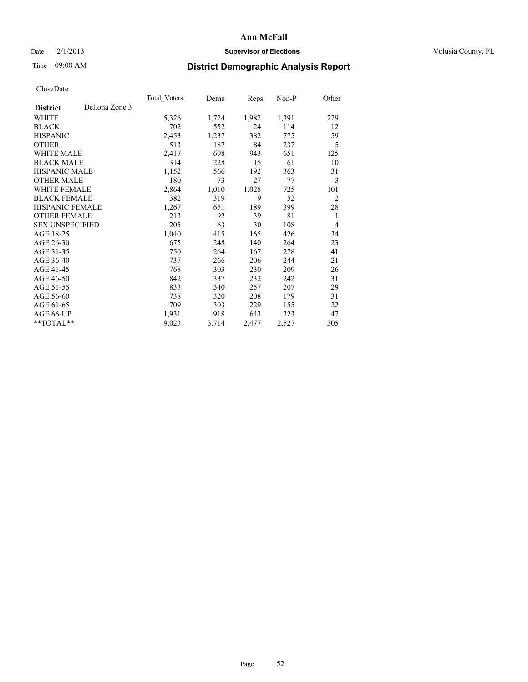## Date  $2/1/2013$  **Supervisor of Elections** Volusia County, FL

# Time 09:08 AM **District Demographic Analysis Report**

|                        |                | Total Voters | Dems  | <b>Reps</b> | Non-P | Other          |
|------------------------|----------------|--------------|-------|-------------|-------|----------------|
| <b>District</b>        | Deltona Zone 3 |              |       |             |       |                |
| WHITE                  |                | 5,326        | 1,724 | 1,982       | 1,391 | 229            |
| <b>BLACK</b>           |                | 702          | 552   | 24          | 114   | 12             |
| <b>HISPANIC</b>        |                | 2,453        | 1,237 | 382         | 775   | 59             |
| <b>OTHER</b>           |                | 513          | 187   | 84          | 237   | 5              |
| WHITE MALE             |                | 2,417        | 698   | 943         | 651   | 125            |
| <b>BLACK MALE</b>      |                | 314          | 228   | 15          | 61    | 10             |
| <b>HISPANIC MALE</b>   |                | 1,152        | 566   | 192         | 363   | 31             |
| <b>OTHER MALE</b>      |                | 180          | 73    | 27          | 77    | 3              |
| <b>WHITE FEMALE</b>    |                | 2,864        | 1,010 | 1,028       | 725   | 101            |
| <b>BLACK FEMALE</b>    |                | 382          | 319   | 9           | 52    | $\overline{c}$ |
| <b>HISPANIC FEMALE</b> |                | 1,267        | 651   | 189         | 399   | 28             |
| <b>OTHER FEMALE</b>    |                | 213          | 92    | 39          | 81    | 1              |
| <b>SEX UNSPECIFIED</b> |                | 205          | 63    | 30          | 108   | 4              |
| AGE 18-25              |                | 1,040        | 415   | 165         | 426   | 34             |
| AGE 26-30              |                | 675          | 248   | 140         | 264   | 23             |
| AGE 31-35              |                | 750          | 264   | 167         | 278   | 41             |
| AGE 36-40              |                | 737          | 266   | 206         | 244   | 21             |
| AGE 41-45              |                | 768          | 303   | 230         | 209   | 26             |
| AGE 46-50              |                | 842          | 337   | 232         | 242   | 31             |
| AGE 51-55              |                | 833          | 340   | 257         | 207   | 29             |
| AGE 56-60              |                | 738          | 320   | 208         | 179   | 31             |
| AGE 61-65              |                | 709          | 303   | 229         | 155   | 22             |
| AGE 66-UP              |                | 1,931        | 918   | 643         | 323   | 47             |
| **TOTAL**              |                | 9,023        | 3,714 | 2,477       | 2,527 | 305            |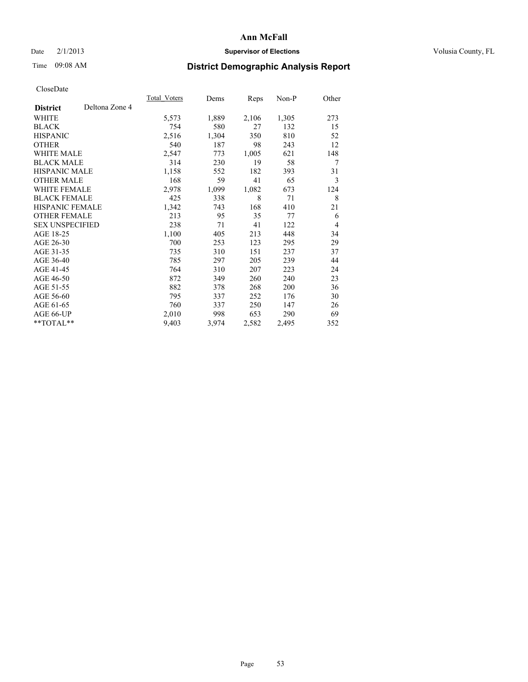## Date  $2/1/2013$  **Supervisor of Elections** Volusia County, FL

# Time 09:08 AM **District Demographic Analysis Report**

|                        |                | Total Voters | Dems  | Reps  | Non-P | Other |
|------------------------|----------------|--------------|-------|-------|-------|-------|
| <b>District</b>        | Deltona Zone 4 |              |       |       |       |       |
| WHITE                  |                | 5,573        | 1,889 | 2,106 | 1,305 | 273   |
| <b>BLACK</b>           |                | 754          | 580   | 27    | 132   | 15    |
| <b>HISPANIC</b>        |                | 2,516        | 1,304 | 350   | 810   | 52    |
| <b>OTHER</b>           |                | 540          | 187   | 98    | 243   | 12    |
| <b>WHITE MALE</b>      |                | 2,547        | 773   | 1,005 | 621   | 148   |
| <b>BLACK MALE</b>      |                | 314          | 230   | 19    | 58    | 7     |
| <b>HISPANIC MALE</b>   |                | 1,158        | 552   | 182   | 393   | 31    |
| <b>OTHER MALE</b>      |                | 168          | 59    | 41    | 65    | 3     |
| <b>WHITE FEMALE</b>    |                | 2,978        | 1,099 | 1,082 | 673   | 124   |
| <b>BLACK FEMALE</b>    |                | 425          | 338   | 8     | 71    | 8     |
| <b>HISPANIC FEMALE</b> |                | 1,342        | 743   | 168   | 410   | 21    |
| <b>OTHER FEMALE</b>    |                | 213          | 95    | 35    | 77    | 6     |
| <b>SEX UNSPECIFIED</b> |                | 238          | 71    | 41    | 122   | 4     |
| AGE 18-25              |                | 1,100        | 405   | 213   | 448   | 34    |
| AGE 26-30              |                | 700          | 253   | 123   | 295   | 29    |
| AGE 31-35              |                | 735          | 310   | 151   | 237   | 37    |
| AGE 36-40              |                | 785          | 297   | 205   | 239   | 44    |
| AGE 41-45              |                | 764          | 310   | 207   | 223   | 24    |
| AGE 46-50              |                | 872          | 349   | 260   | 240   | 23    |
| AGE 51-55              |                | 882          | 378   | 268   | 200   | 36    |
| AGE 56-60              |                | 795          | 337   | 252   | 176   | 30    |
| AGE 61-65              |                | 760          | 337   | 250   | 147   | 26    |
| AGE 66-UP              |                | 2,010        | 998   | 653   | 290   | 69    |
| **TOTAL**              |                | 9,403        | 3,974 | 2,582 | 2,495 | 352   |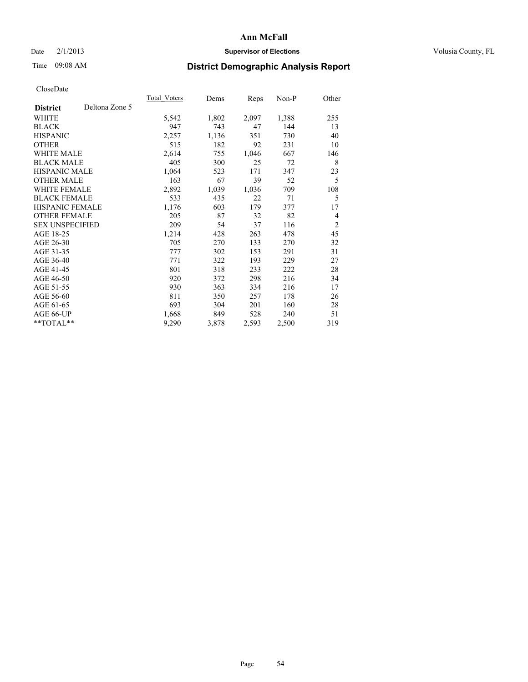## Date  $2/1/2013$  **Supervisor of Elections** Volusia County, FL

# Time 09:08 AM **District Demographic Analysis Report**

|                        |                | Total Voters | Dems  | Reps  | Non-P | Other          |
|------------------------|----------------|--------------|-------|-------|-------|----------------|
| <b>District</b>        | Deltona Zone 5 |              |       |       |       |                |
| WHITE                  |                | 5,542        | 1,802 | 2,097 | 1,388 | 255            |
| <b>BLACK</b>           |                | 947          | 743   | 47    | 144   | 13             |
| <b>HISPANIC</b>        |                | 2,257        | 1,136 | 351   | 730   | 40             |
| <b>OTHER</b>           |                | 515          | 182   | 92    | 231   | 10             |
| <b>WHITE MALE</b>      |                | 2,614        | 755   | 1,046 | 667   | 146            |
| <b>BLACK MALE</b>      |                | 405          | 300   | 25    | 72    | 8              |
| <b>HISPANIC MALE</b>   |                | 1,064        | 523   | 171   | 347   | 23             |
| <b>OTHER MALE</b>      |                | 163          | 67    | 39    | 52    | 5              |
| <b>WHITE FEMALE</b>    |                | 2,892        | 1,039 | 1,036 | 709   | 108            |
| <b>BLACK FEMALE</b>    |                | 533          | 435   | 22    | 71    | 5              |
| <b>HISPANIC FEMALE</b> |                | 1,176        | 603   | 179   | 377   | 17             |
| <b>OTHER FEMALE</b>    |                | 205          | 87    | 32    | 82    | 4              |
| <b>SEX UNSPECIFIED</b> |                | 209          | 54    | 37    | 116   | $\overline{2}$ |
| AGE 18-25              |                | 1,214        | 428   | 263   | 478   | 45             |
| AGE 26-30              |                | 705          | 270   | 133   | 270   | 32             |
| AGE 31-35              |                | 777          | 302   | 153   | 291   | 31             |
| AGE 36-40              |                | 771          | 322   | 193   | 229   | 27             |
| AGE 41-45              |                | 801          | 318   | 233   | 222   | 28             |
| AGE 46-50              |                | 920          | 372   | 298   | 216   | 34             |
| AGE 51-55              |                | 930          | 363   | 334   | 216   | 17             |
| AGE 56-60              |                | 811          | 350   | 257   | 178   | 26             |
| AGE 61-65              |                | 693          | 304   | 201   | 160   | 28             |
| AGE 66-UP              |                | 1,668        | 849   | 528   | 240   | 51             |
| **TOTAL**              |                | 9,290        | 3,878 | 2,593 | 2,500 | 319            |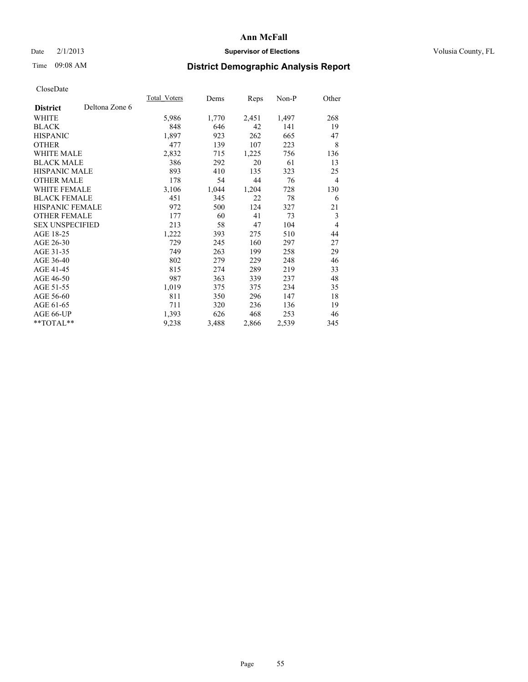## Date  $2/1/2013$  **Supervisor of Elections** Volusia County, FL

# Time 09:08 AM **District Demographic Analysis Report**

|                        |                | <b>Total Voters</b> | Dems  | Reps  | $Non-P$ | Other |
|------------------------|----------------|---------------------|-------|-------|---------|-------|
| <b>District</b>        | Deltona Zone 6 |                     |       |       |         |       |
| WHITE                  |                | 5,986               | 1,770 | 2,451 | 1,497   | 268   |
| <b>BLACK</b>           |                | 848                 | 646   | 42    | 141     | 19    |
| <b>HISPANIC</b>        |                | 1,897               | 923   | 262   | 665     | 47    |
| <b>OTHER</b>           |                | 477                 | 139   | 107   | 223     | 8     |
| WHITE MALE             |                | 2,832               | 715   | 1,225 | 756     | 136   |
| <b>BLACK MALE</b>      |                | 386                 | 292   | 20    | 61      | 13    |
| <b>HISPANIC MALE</b>   |                | 893                 | 410   | 135   | 323     | 25    |
| <b>OTHER MALE</b>      |                | 178                 | 54    | 44    | 76      | 4     |
| <b>WHITE FEMALE</b>    |                | 3,106               | 1,044 | 1,204 | 728     | 130   |
| <b>BLACK FEMALE</b>    |                | 451                 | 345   | 22    | 78      | 6     |
| HISPANIC FEMALE        |                | 972                 | 500   | 124   | 327     | 21    |
| <b>OTHER FEMALE</b>    |                | 177                 | 60    | 41    | 73      | 3     |
| <b>SEX UNSPECIFIED</b> |                | 213                 | 58    | 47    | 104     | 4     |
| AGE 18-25              |                | 1,222               | 393   | 275   | 510     | 44    |
| AGE 26-30              |                | 729                 | 245   | 160   | 297     | 27    |
| AGE 31-35              |                | 749                 | 263   | 199   | 258     | 29    |
| AGE 36-40              |                | 802                 | 279   | 229   | 248     | 46    |
| AGE 41-45              |                | 815                 | 274   | 289   | 219     | 33    |
| AGE 46-50              |                | 987                 | 363   | 339   | 237     | 48    |
| AGE 51-55              |                | 1,019               | 375   | 375   | 234     | 35    |
| AGE 56-60              |                | 811                 | 350   | 296   | 147     | 18    |
| AGE 61-65              |                | 711                 | 320   | 236   | 136     | 19    |
| AGE 66-UP              |                | 1,393               | 626   | 468   | 253     | 46    |
| **TOTAL**              |                | 9,238               | 3,488 | 2,866 | 2,539   | 345   |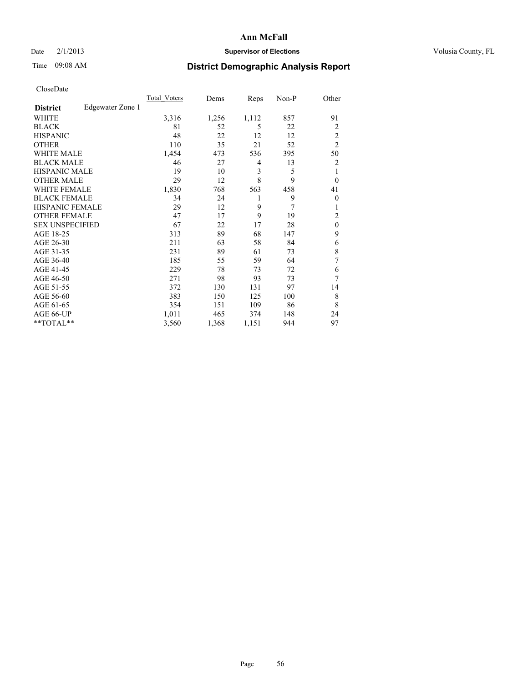## Date  $2/1/2013$  **Supervisor of Elections** Volusia County, FL

## Time 09:08 AM **District Demographic Analysis Report**

|                        |                  | <b>Total Voters</b> | Dems  | Reps  | Non-P | Other          |
|------------------------|------------------|---------------------|-------|-------|-------|----------------|
| <b>District</b>        | Edgewater Zone 1 |                     |       |       |       |                |
| WHITE                  |                  | 3,316               | 1,256 | 1,112 | 857   | 91             |
| <b>BLACK</b>           |                  | 81                  | 52    | 5     | 22    | $\overline{2}$ |
| <b>HISPANIC</b>        |                  | 48                  | 22    | 12    | 12    | $\overline{2}$ |
| <b>OTHER</b>           |                  | 110                 | 35    | 21    | 52    | $\overline{2}$ |
| WHITE MALE             |                  | 1,454               | 473   | 536   | 395   | 50             |
| <b>BLACK MALE</b>      |                  | 46                  | 27    | 4     | 13    | $\overline{2}$ |
| <b>HISPANIC MALE</b>   |                  | 19                  | 10    | 3     | 5     | 1              |
| <b>OTHER MALE</b>      |                  | 29                  | 12    | 8     | 9     | $\overline{0}$ |
| <b>WHITE FEMALE</b>    |                  | 1,830               | 768   | 563   | 458   | 41             |
| <b>BLACK FEMALE</b>    |                  | 34                  | 24    | 1     | 9     | $\overline{0}$ |
| <b>HISPANIC FEMALE</b> |                  | 29                  | 12    | 9     | 7     |                |
| <b>OTHER FEMALE</b>    |                  | 47                  | 17    | 9     | 19    | 2              |
| <b>SEX UNSPECIFIED</b> |                  | 67                  | 22    | 17    | 28    | $\mathbf{0}$   |
| AGE 18-25              |                  | 313                 | 89    | 68    | 147   | 9              |
| AGE 26-30              |                  | 211                 | 63    | 58    | 84    | 6              |
| AGE 31-35              |                  | 231                 | 89    | 61    | 73    | 8              |
| AGE 36-40              |                  | 185                 | 55    | 59    | 64    | 7              |
| AGE 41-45              |                  | 229                 | 78    | 73    | 72    | 6              |
| AGE 46-50              |                  | 271                 | 98    | 93    | 73    | 7              |
| AGE 51-55              |                  | 372                 | 130   | 131   | 97    | 14             |
| AGE 56-60              |                  | 383                 | 150   | 125   | 100   | 8              |
| AGE 61-65              |                  | 354                 | 151   | 109   | 86    | 8              |
| AGE 66-UP              |                  | 1,011               | 465   | 374   | 148   | 24             |
| **TOTAL**              |                  | 3,560               | 1,368 | 1,151 | 944   | 97             |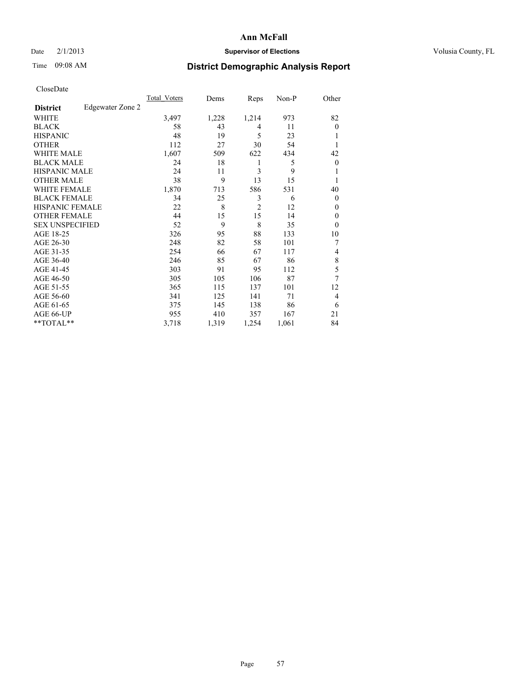## Date  $2/1/2013$  **Supervisor of Elections** Volusia County, FL

# Time 09:08 AM **District Demographic Analysis Report**

|                        |                  | <b>Total Voters</b> | Dems  | Reps           | Non-P | Other          |
|------------------------|------------------|---------------------|-------|----------------|-------|----------------|
| <b>District</b>        | Edgewater Zone 2 |                     |       |                |       |                |
| WHITE                  |                  | 3,497               | 1,228 | 1,214          | 973   | 82             |
| <b>BLACK</b>           |                  | 58                  | 43    | 4              | 11    | $\theta$       |
| <b>HISPANIC</b>        |                  | 48                  | 19    | 5              | 23    | 1              |
| <b>OTHER</b>           |                  | 112                 | 27    | 30             | 54    | 1              |
| WHITE MALE             |                  | 1,607               | 509   | 622            | 434   | 42             |
| <b>BLACK MALE</b>      |                  | 24                  | 18    | 1              | 5     | $\overline{0}$ |
| <b>HISPANIC MALE</b>   |                  | 24                  | 11    | 3              | 9     | 1              |
| <b>OTHER MALE</b>      |                  | 38                  | 9     | 13             | 15    | 1              |
| <b>WHITE FEMALE</b>    |                  | 1,870               | 713   | 586            | 531   | 40             |
| <b>BLACK FEMALE</b>    |                  | 34                  | 25    | 3              | 6     | $\Omega$       |
| <b>HISPANIC FEMALE</b> |                  | 22                  | 8     | $\overline{2}$ | 12    | $\theta$       |
| <b>OTHER FEMALE</b>    |                  | 44                  | 15    | 15             | 14    | $\theta$       |
| <b>SEX UNSPECIFIED</b> |                  | 52                  | 9     | 8              | 35    | $\theta$       |
| AGE 18-25              |                  | 326                 | 95    | 88             | 133   | 10             |
| AGE 26-30              |                  | 248                 | 82    | 58             | 101   | 7              |
| AGE 31-35              |                  | 254                 | 66    | 67             | 117   | 4              |
| AGE 36-40              |                  | 246                 | 85    | 67             | 86    | 8              |
| AGE 41-45              |                  | 303                 | 91    | 95             | 112   | 5              |
| AGE 46-50              |                  | 305                 | 105   | 106            | 87    | 7              |
| AGE 51-55              |                  | 365                 | 115   | 137            | 101   | 12             |
| AGE 56-60              |                  | 341                 | 125   | 141            | 71    | 4              |
| AGE 61-65              |                  | 375                 | 145   | 138            | 86    | 6              |
| AGE 66-UP              |                  | 955                 | 410   | 357            | 167   | 21             |
| **TOTAL**              |                  | 3,718               | 1,319 | 1,254          | 1,061 | 84             |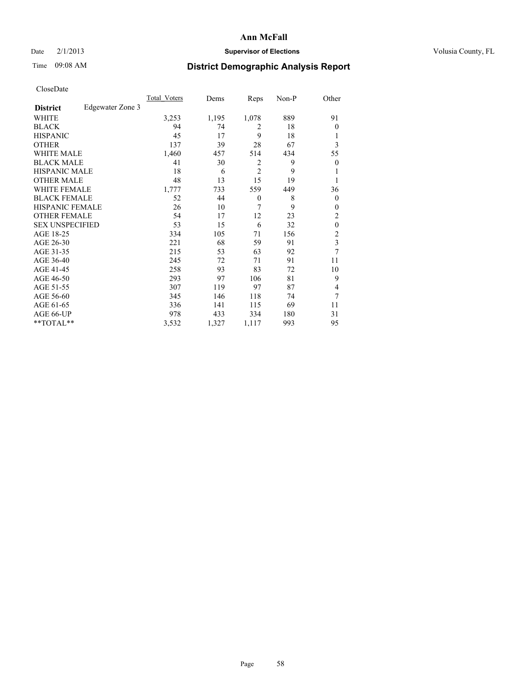## Date  $2/1/2013$  **Supervisor of Elections** Volusia County, FL

# Time 09:08 AM **District Demographic Analysis Report**

|                        |                  | <b>Total Voters</b> | Dems  | Reps           | Non-P | Other                   |
|------------------------|------------------|---------------------|-------|----------------|-------|-------------------------|
| <b>District</b>        | Edgewater Zone 3 |                     |       |                |       |                         |
| WHITE                  |                  | 3,253               | 1,195 | 1,078          | 889   | 91                      |
| <b>BLACK</b>           |                  | 94                  | 74    | $\overline{c}$ | 18    | $\theta$                |
| <b>HISPANIC</b>        |                  | 45                  | 17    | 9              | 18    | 1                       |
| <b>OTHER</b>           |                  | 137                 | 39    | 28             | 67    | 3                       |
| WHITE MALE             |                  | 1,460               | 457   | 514            | 434   | 55                      |
| <b>BLACK MALE</b>      |                  | 41                  | 30    | 2              | 9     | $\overline{0}$          |
| <b>HISPANIC MALE</b>   |                  | 18                  | 6     | $\overline{2}$ | 9     | 1                       |
| <b>OTHER MALE</b>      |                  | 48                  | 13    | 15             | 19    | 1                       |
| <b>WHITE FEMALE</b>    |                  | 1,777               | 733   | 559            | 449   | 36                      |
| <b>BLACK FEMALE</b>    |                  | 52                  | 44    | $\mathbf{0}$   | 8     | $\overline{0}$          |
| <b>HISPANIC FEMALE</b> |                  | 26                  | 10    | 7              | 9     | $\theta$                |
| <b>OTHER FEMALE</b>    |                  | 54                  | 17    | 12             | 23    | $\overline{2}$          |
| <b>SEX UNSPECIFIED</b> |                  | 53                  | 15    | 6              | 32    | $\mathbf{0}$            |
| AGE 18-25              |                  | 334                 | 105   | 71             | 156   | $\overline{2}$          |
| AGE 26-30              |                  | 221                 | 68    | 59             | 91    | $\overline{\mathbf{3}}$ |
| AGE 31-35              |                  | 215                 | 53    | 63             | 92    | 7                       |
| AGE 36-40              |                  | 245                 | 72    | 71             | 91    | 11                      |
| AGE 41-45              |                  | 258                 | 93    | 83             | 72    | 10                      |
| AGE 46-50              |                  | 293                 | 97    | 106            | 81    | 9                       |
| AGE 51-55              |                  | 307                 | 119   | 97             | 87    | 4                       |
| AGE 56-60              |                  | 345                 | 146   | 118            | 74    | 7                       |
| AGE 61-65              |                  | 336                 | 141   | 115            | 69    | 11                      |
| AGE 66-UP              |                  | 978                 | 433   | 334            | 180   | 31                      |
| **TOTAL**              |                  | 3,532               | 1,327 | 1,117          | 993   | 95                      |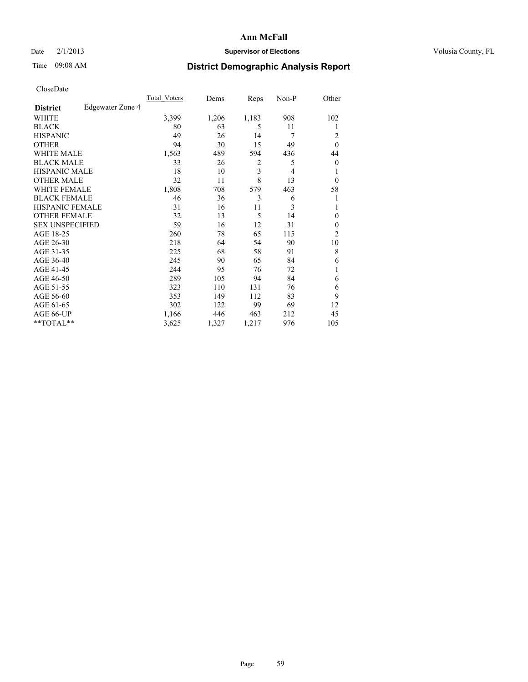## Date  $2/1/2013$  **Supervisor of Elections** Volusia County, FL

## Time 09:08 AM **District Demographic Analysis Report**

|                        |                  | <b>Total Voters</b> | Dems  | Reps  | Non-P | Other            |
|------------------------|------------------|---------------------|-------|-------|-------|------------------|
| <b>District</b>        | Edgewater Zone 4 |                     |       |       |       |                  |
| WHITE                  |                  | 3,399               | 1,206 | 1,183 | 908   | 102              |
| <b>BLACK</b>           |                  | 80                  | 63    | 5     | 11    | 1                |
| <b>HISPANIC</b>        |                  | 49                  | 26    | 14    | 7     | 2                |
| <b>OTHER</b>           |                  | 94                  | 30    | 15    | 49    | $\theta$         |
| WHITE MALE             |                  | 1,563               | 489   | 594   | 436   | 44               |
| <b>BLACK MALE</b>      |                  | 33                  | 26    | 2     | 5     | $\boldsymbol{0}$ |
| <b>HISPANIC MALE</b>   |                  | 18                  | 10    | 3     | 4     | 1                |
| <b>OTHER MALE</b>      |                  | 32                  | 11    | 8     | 13    | $\overline{0}$   |
| <b>WHITE FEMALE</b>    |                  | 1,808               | 708   | 579   | 463   | 58               |
| <b>BLACK FEMALE</b>    |                  | 46                  | 36    | 3     | 6     | 1                |
| <b>HISPANIC FEMALE</b> |                  | 31                  | 16    | 11    | 3     | 1                |
| <b>OTHER FEMALE</b>    |                  | 32                  | 13    | 5     | 14    | $\theta$         |
| <b>SEX UNSPECIFIED</b> |                  | 59                  | 16    | 12    | 31    | $\mathbf{0}$     |
| AGE 18-25              |                  | 260                 | 78    | 65    | 115   | $\overline{c}$   |
| AGE 26-30              |                  | 218                 | 64    | 54    | 90    | 10               |
| AGE 31-35              |                  | 225                 | 68    | 58    | 91    | 8                |
| AGE 36-40              |                  | 245                 | 90    | 65    | 84    | 6                |
| AGE 41-45              |                  | 244                 | 95    | 76    | 72    |                  |
| AGE 46-50              |                  | 289                 | 105   | 94    | 84    | 6                |
| AGE 51-55              |                  | 323                 | 110   | 131   | 76    | 6                |
| AGE 56-60              |                  | 353                 | 149   | 112   | 83    | 9                |
| AGE 61-65              |                  | 302                 | 122   | 99    | 69    | 12               |
| AGE 66-UP              |                  | 1,166               | 446   | 463   | 212   | 45               |
| **TOTAL**              |                  | 3,625               | 1,327 | 1,217 | 976   | 105              |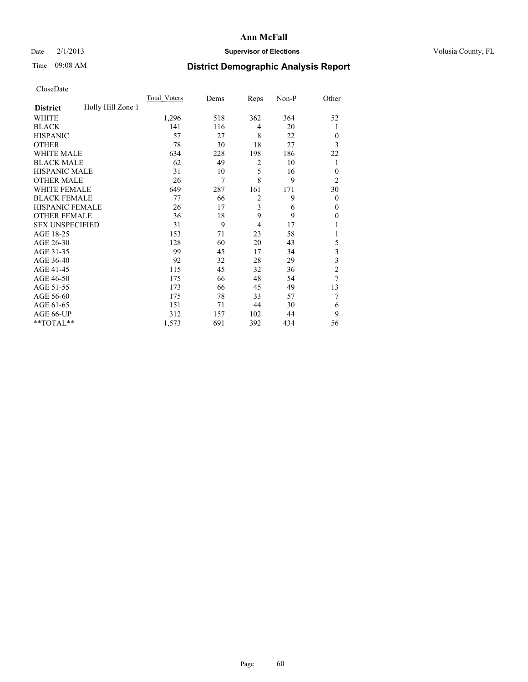## Date  $2/1/2013$  **Supervisor of Elections** Volusia County, FL

# Time 09:08 AM **District Demographic Analysis Report**

|                        |                   | <b>Total Voters</b> | Dems | Reps           | Non-P | Other                   |
|------------------------|-------------------|---------------------|------|----------------|-------|-------------------------|
| <b>District</b>        | Holly Hill Zone 1 |                     |      |                |       |                         |
| WHITE                  |                   | 1,296               | 518  | 362            | 364   | 52                      |
| <b>BLACK</b>           |                   | 141                 | 116  | 4              | 20    | 1                       |
| <b>HISPANIC</b>        |                   | 57                  | 27   | 8              | 22    | $\overline{0}$          |
| <b>OTHER</b>           |                   | 78                  | 30   | 18             | 27    | 3                       |
| WHITE MALE             |                   | 634                 | 228  | 198            | 186   | 22                      |
| <b>BLACK MALE</b>      |                   | 62                  | 49   | 2              | 10    | 1                       |
| <b>HISPANIC MALE</b>   |                   | 31                  | 10   | 5              | 16    | $\theta$                |
| <b>OTHER MALE</b>      |                   | 26                  | 7    | 8              | 9     | $\overline{c}$          |
| <b>WHITE FEMALE</b>    |                   | 649                 | 287  | 161            | 171   | 30                      |
| <b>BLACK FEMALE</b>    |                   | 77                  | 66   | $\overline{2}$ | 9     | $\overline{0}$          |
| <b>HISPANIC FEMALE</b> |                   | 26                  | 17   | 3              | 6     | $\theta$                |
| <b>OTHER FEMALE</b>    |                   | 36                  | 18   | 9              | 9     | $\theta$                |
| <b>SEX UNSPECIFIED</b> |                   | 31                  | 9    | $\overline{4}$ | 17    |                         |
| AGE 18-25              |                   | 153                 | 71   | 23             | 58    |                         |
| AGE 26-30              |                   | 128                 | 60   | 20             | 43    | 5                       |
| AGE 31-35              |                   | 99                  | 45   | 17             | 34    | $\overline{\mathbf{3}}$ |
| AGE 36-40              |                   | 92                  | 32   | 28             | 29    | 3                       |
| AGE 41-45              |                   | 115                 | 45   | 32             | 36    | $\overline{c}$          |
| AGE 46-50              |                   | 175                 | 66   | 48             | 54    | 7                       |
| AGE 51-55              |                   | 173                 | 66   | 45             | 49    | 13                      |
| AGE 56-60              |                   | 175                 | 78   | 33             | 57    | 7                       |
| AGE 61-65              |                   | 151                 | 71   | 44             | 30    | 6                       |
| AGE 66-UP              |                   | 312                 | 157  | 102            | 44    | 9                       |
| **TOTAL**              |                   | 1,573               | 691  | 392            | 434   | 56                      |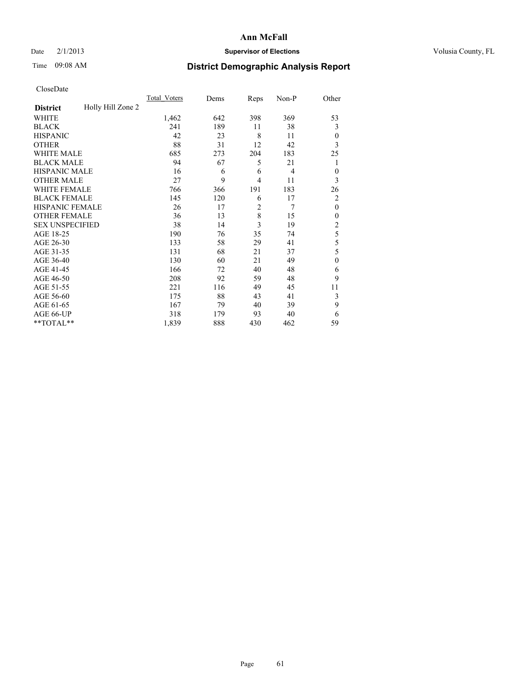## Date  $2/1/2013$  **Supervisor of Elections** Volusia County, FL

# Time 09:08 AM **District Demographic Analysis Report**

|                        |                   | <b>Total Voters</b> | Dems | Reps           | Non-P          | Other          |
|------------------------|-------------------|---------------------|------|----------------|----------------|----------------|
| <b>District</b>        | Holly Hill Zone 2 |                     |      |                |                |                |
| WHITE                  |                   | 1,462               | 642  | 398            | 369            | 53             |
| <b>BLACK</b>           |                   | 241                 | 189  | 11             | 38             | 3              |
| <b>HISPANIC</b>        |                   | 42                  | 23   | 8              | 11             | $\overline{0}$ |
| <b>OTHER</b>           |                   | 88                  | 31   | 12             | 42             | 3              |
| WHITE MALE             |                   | 685                 | 273  | 204            | 183            | 25             |
| <b>BLACK MALE</b>      |                   | 94                  | 67   | 5              | 21             | 1              |
| <b>HISPANIC MALE</b>   |                   | 16                  | 6    | 6              | $\overline{4}$ | $\theta$       |
| <b>OTHER MALE</b>      |                   | 27                  | 9    | $\overline{4}$ | 11             | 3              |
| WHITE FEMALE           |                   | 766                 | 366  | 191            | 183            | 26             |
| <b>BLACK FEMALE</b>    |                   | 145                 | 120  | 6              | 17             | $\overline{2}$ |
| <b>HISPANIC FEMALE</b> |                   | 26                  | 17   | $\overline{2}$ | 7              | $\theta$       |
| <b>OTHER FEMALE</b>    |                   | 36                  | 13   | 8              | 15             | $\Omega$       |
| <b>SEX UNSPECIFIED</b> |                   | 38                  | 14   | 3              | 19             | $\overline{c}$ |
| AGE 18-25              |                   | 190                 | 76   | 35             | 74             | 5              |
| AGE 26-30              |                   | 133                 | 58   | 29             | 41             | 5              |
| AGE 31-35              |                   | 131                 | 68   | 21             | 37             | 5              |
| AGE 36-40              |                   | 130                 | 60   | 21             | 49             | $\mathbf{0}$   |
| AGE 41-45              |                   | 166                 | 72   | 40             | 48             | 6              |
| AGE 46-50              |                   | 208                 | 92   | 59             | 48             | 9              |
| AGE 51-55              |                   | 221                 | 116  | 49             | 45             | 11             |
| AGE 56-60              |                   | 175                 | 88   | 43             | 41             | 3              |
| AGE 61-65              |                   | 167                 | 79   | 40             | 39             | 9              |
| AGE 66-UP              |                   | 318                 | 179  | 93             | 40             | 6              |
| **TOTAL**              |                   | 1,839               | 888  | 430            | 462            | 59             |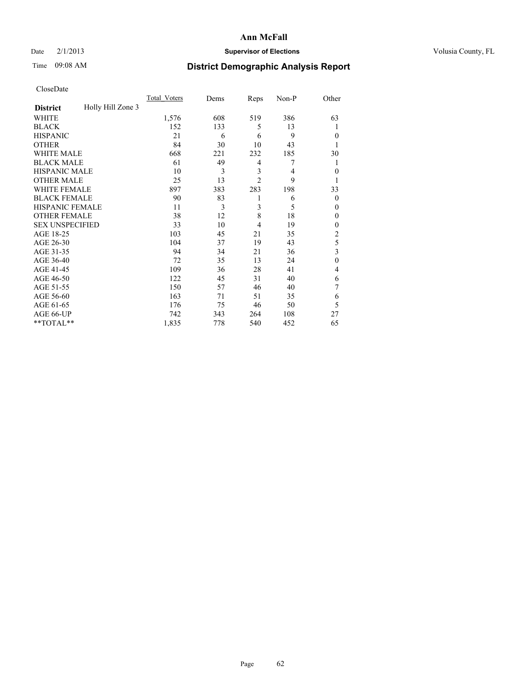## Date  $2/1/2013$  **Supervisor of Elections** Volusia County, FL

## Time 09:08 AM **District Demographic Analysis Report**

|                        |                   | <b>Total Voters</b> | Dems | Reps                    | Non-P | Other                   |
|------------------------|-------------------|---------------------|------|-------------------------|-------|-------------------------|
| <b>District</b>        | Holly Hill Zone 3 |                     |      |                         |       |                         |
| <b>WHITE</b>           |                   | 1,576               | 608  | 519                     | 386   | 63                      |
| <b>BLACK</b>           |                   | 152                 | 133  | 5                       | 13    | 1                       |
| <b>HISPANIC</b>        |                   | 21                  | 6    | 6                       | 9     | $\theta$                |
| <b>OTHER</b>           |                   | 84                  | 30   | 10                      | 43    |                         |
| WHITE MALE             |                   | 668                 | 221  | 232                     | 185   | 30                      |
| <b>BLACK MALE</b>      |                   | 61                  | 49   | 4                       | 7     | 1                       |
| <b>HISPANIC MALE</b>   |                   | 10                  | 3    | $\overline{\mathbf{3}}$ | 4     | $\theta$                |
| <b>OTHER MALE</b>      |                   | 25                  | 13   | $\overline{2}$          | 9     | 1                       |
| WHITE FEMALE           |                   | 897                 | 383  | 283                     | 198   | 33                      |
| <b>BLACK FEMALE</b>    |                   | 90                  | 83   | 1                       | 6     | $\theta$                |
| <b>HISPANIC FEMALE</b> |                   | 11                  | 3    | 3                       | 5     | $\theta$                |
| <b>OTHER FEMALE</b>    |                   | 38                  | 12   | 8                       | 18    | $\theta$                |
| <b>SEX UNSPECIFIED</b> |                   | 33                  | 10   | 4                       | 19    | $\theta$                |
| AGE 18-25              |                   | 103                 | 45   | 21                      | 35    | $\overline{2}$          |
| AGE 26-30              |                   | 104                 | 37   | 19                      | 43    | 5                       |
| AGE 31-35              |                   | 94                  | 34   | 21                      | 36    | $\overline{\mathbf{3}}$ |
| AGE 36-40              |                   | 72                  | 35   | 13                      | 24    | $\mathbf{0}$            |
| AGE 41-45              |                   | 109                 | 36   | 28                      | 41    | 4                       |
| AGE 46-50              |                   | 122                 | 45   | 31                      | 40    | 6                       |
| AGE 51-55              |                   | 150                 | 57   | 46                      | 40    | 7                       |
| AGE 56-60              |                   | 163                 | 71   | 51                      | 35    | 6                       |
| AGE 61-65              |                   | 176                 | 75   | 46                      | 50    | 5                       |
| AGE 66-UP              |                   | 742                 | 343  | 264                     | 108   | 27                      |
| **TOTAL**              |                   | 1,835               | 778  | 540                     | 452   | 65                      |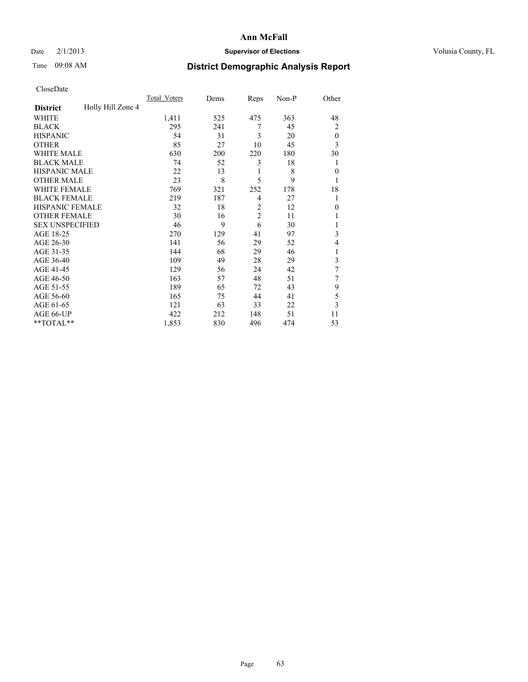## Date  $2/1/2013$  **Supervisor of Elections** Volusia County, FL

# Time 09:08 AM **District Demographic Analysis Report**

|                        |                   | <b>Total Voters</b> | Dems | Reps           | Non-P | Other          |
|------------------------|-------------------|---------------------|------|----------------|-------|----------------|
| <b>District</b>        | Holly Hill Zone 4 |                     |      |                |       |                |
| WHITE                  |                   | 1,411               | 525  | 475            | 363   | 48             |
| <b>BLACK</b>           |                   | 295                 | 241  | 7              | 45    | $\overline{2}$ |
| <b>HISPANIC</b>        |                   | 54                  | 31   | 3              | 20    | $\theta$       |
| <b>OTHER</b>           |                   | 85                  | 27   | 10             | 45    | 3              |
| WHITE MALE             |                   | 630                 | 200  | 220            | 180   | 30             |
| <b>BLACK MALE</b>      |                   | 74                  | 52   | 3              | 18    | 1              |
| <b>HISPANIC MALE</b>   |                   | 22                  | 13   | 1              | 8     | $\overline{0}$ |
| <b>OTHER MALE</b>      |                   | 23                  | 8    | 5              | 9     | 1              |
| WHITE FEMALE           |                   | 769                 | 321  | 252            | 178   | 18             |
| <b>BLACK FEMALE</b>    |                   | 219                 | 187  | $\overline{4}$ | 27    | 1              |
| <b>HISPANIC FEMALE</b> |                   | 32                  | 18   | $\overline{2}$ | 12    | $\Omega$       |
| <b>OTHER FEMALE</b>    |                   | 30                  | 16   | $\overline{c}$ | 11    |                |
| <b>SEX UNSPECIFIED</b> |                   | 46                  | 9    | 6              | 30    |                |
| AGE 18-25              |                   | 270                 | 129  | 41             | 97    | 3              |
| AGE 26-30              |                   | 141                 | 56   | 29             | 52    | 4              |
| AGE 31-35              |                   | 144                 | 68   | 29             | 46    |                |
| AGE 36-40              |                   | 109                 | 49   | 28             | 29    | 3              |
| AGE 41-45              |                   | 129                 | 56   | 24             | 42    | 7              |
| AGE 46-50              |                   | 163                 | 57   | 48             | 51    | 7              |
| AGE 51-55              |                   | 189                 | 65   | 72             | 43    | 9              |
| AGE 56-60              |                   | 165                 | 75   | 44             | 41    | 5              |
| AGE 61-65              |                   | 121                 | 63   | 33             | 22    | 3              |
| AGE 66-UP              |                   | 422                 | 212  | 148            | 51    | 11             |
| **TOTAL**              |                   | 1,853               | 830  | 496            | 474   | 53             |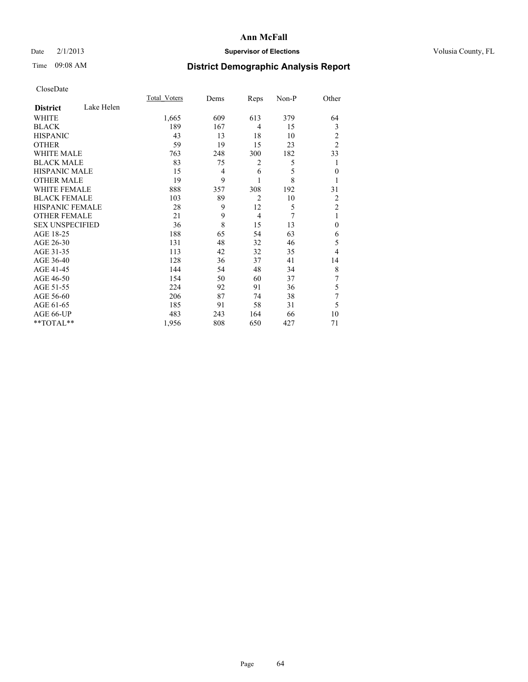## Date  $2/1/2013$  **Supervisor of Elections** Volusia County, FL

# Time 09:08 AM **District Demographic Analysis Report**

|                        |            | <b>Total Voters</b> | Dems           | Reps           | Non-P | Other          |
|------------------------|------------|---------------------|----------------|----------------|-------|----------------|
| <b>District</b>        | Lake Helen |                     |                |                |       |                |
| <b>WHITE</b>           |            | 1,665               | 609            | 613            | 379   | 64             |
| <b>BLACK</b>           |            | 189                 | 167            | $\overline{4}$ | 15    | 3              |
| <b>HISPANIC</b>        |            | 43                  | 13             | 18             | 10    | 2              |
| <b>OTHER</b>           |            | 59                  | 19             | 15             | 23    | $\overline{2}$ |
| WHITE MALE             |            | 763                 | 248            | 300            | 182   | 33             |
| <b>BLACK MALE</b>      |            | 83                  | 75             | 2              | 5     | 1              |
| <b>HISPANIC MALE</b>   |            | 15                  | $\overline{4}$ | 6              | 5     | $\mathbf{0}$   |
| <b>OTHER MALE</b>      |            | 19                  | 9              | 1              | 8     |                |
| <b>WHITE FEMALE</b>    |            | 888                 | 357            | 308            | 192   | 31             |
| <b>BLACK FEMALE</b>    |            | 103                 | 89             | $\overline{2}$ | 10    | 2              |
| HISPANIC FEMALE        |            | 28                  | 9              | 12             | 5     | $\overline{2}$ |
| <b>OTHER FEMALE</b>    |            | 21                  | 9              | $\overline{4}$ | 7     | 1              |
| <b>SEX UNSPECIFIED</b> |            | 36                  | 8              | 15             | 13    | $\mathbf{0}$   |
| AGE 18-25              |            | 188                 | 65             | 54             | 63    | 6              |
| AGE 26-30              |            | 131                 | 48             | 32             | 46    | 5              |
| AGE 31-35              |            | 113                 | 42             | 32             | 35    | 4              |
| AGE 36-40              |            | 128                 | 36             | 37             | 41    | 14             |
| AGE 41-45              |            | 144                 | 54             | 48             | 34    | 8              |
| AGE 46-50              |            | 154                 | 50             | 60             | 37    | 7              |
| AGE 51-55              |            | 224                 | 92             | 91             | 36    | 5              |
| AGE 56-60              |            | 206                 | 87             | 74             | 38    | 7              |
| AGE 61-65              |            | 185                 | 91             | 58             | 31    | 5              |
| AGE 66-UP              |            | 483                 | 243            | 164            | 66    | 10             |
| **TOTAL**              |            | 1,956               | 808            | 650            | 427   | 71             |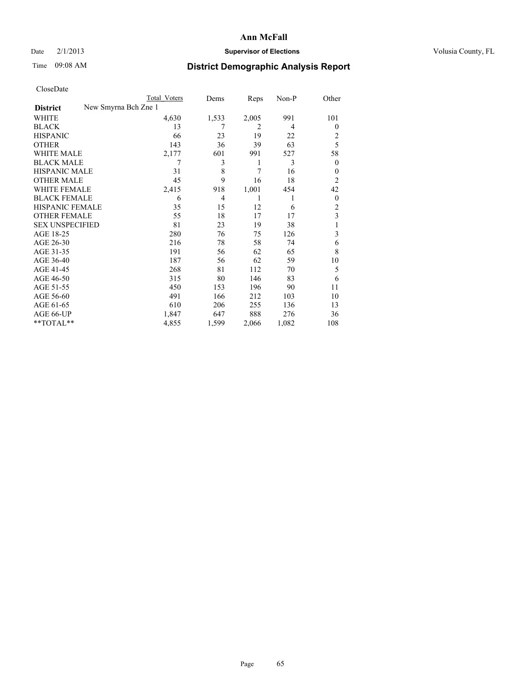## Date  $2/1/2013$  **Supervisor of Elections** Volusia County, FL

# Time 09:08 AM **District Demographic Analysis Report**

|  | CloseDate |
|--|-----------|
|  |           |

|                        |                      | Total Voters | Dems  | Reps           | Non-P | Other          |
|------------------------|----------------------|--------------|-------|----------------|-------|----------------|
| <b>District</b>        | New Smyrna Bch Zne 1 |              |       |                |       |                |
| WHITE                  |                      | 4,630        | 1,533 | 2,005          | 991   | 101            |
| <b>BLACK</b>           |                      | 13           | 7     | $\overline{2}$ | 4     | $\theta$       |
| <b>HISPANIC</b>        |                      | 66           | 23    | 19             | 22    | 2              |
| <b>OTHER</b>           |                      | 143          | 36    | 39             | 63    | 5              |
| <b>WHITE MALE</b>      |                      | 2,177        | 601   | 991            | 527   | 58             |
| <b>BLACK MALE</b>      |                      | 7            | 3     | 1              | 3     | $\overline{0}$ |
| <b>HISPANIC MALE</b>   |                      | 31           | 8     | 7              | 16    | 0              |
| <b>OTHER MALE</b>      |                      | 45           | 9     | 16             | 18    | $\overline{2}$ |
| <b>WHITE FEMALE</b>    |                      | 2,415        | 918   | 1,001          | 454   | 42             |
| <b>BLACK FEMALE</b>    |                      | 6            | 4     | 1              | 1     | $\overline{0}$ |
| HISPANIC FEMALE        |                      | 35           | 15    | 12             | 6     | 2              |
| <b>OTHER FEMALE</b>    |                      | 55           | 18    | 17             | 17    | 3              |
| <b>SEX UNSPECIFIED</b> |                      | 81           | 23    | 19             | 38    |                |
| AGE 18-25              |                      | 280          | 76    | 75             | 126   | 3              |
| AGE 26-30              |                      | 216          | 78    | 58             | 74    | 6              |
| AGE 31-35              |                      | 191          | 56    | 62             | 65    | 8              |
| AGE 36-40              |                      | 187          | 56    | 62             | 59    | 10             |
| AGE 41-45              |                      | 268          | 81    | 112            | 70    | 5              |
| AGE 46-50              |                      | 315          | 80    | 146            | 83    | 6              |
| AGE 51-55              |                      | 450          | 153   | 196            | 90    | 11             |
| AGE 56-60              |                      | 491          | 166   | 212            | 103   | 10             |
| AGE 61-65              |                      | 610          | 206   | 255            | 136   | 13             |
| AGE 66-UP              |                      | 1,847        | 647   | 888            | 276   | 36             |
| **TOTAL**              |                      | 4,855        | 1,599 | 2,066          | 1,082 | 108            |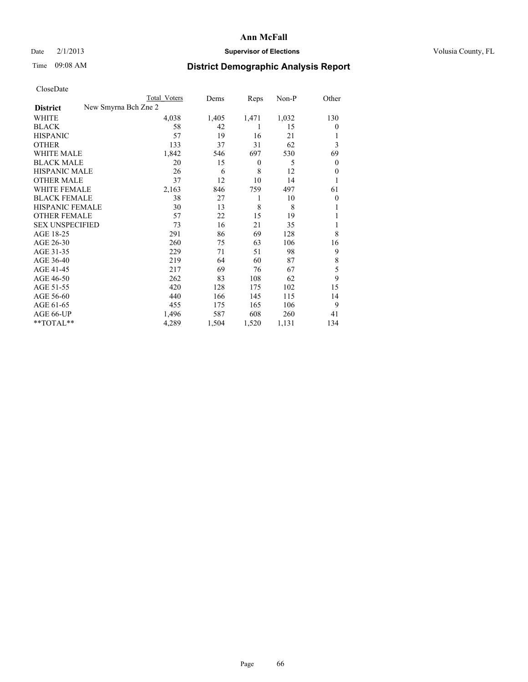## Date  $2/1/2013$  **Supervisor of Elections** Volusia County, FL

# Time 09:08 AM **District Demographic Analysis Report**

|                        |                      | <b>Total Voters</b> | Dems  | Reps             | Non-P | Other          |
|------------------------|----------------------|---------------------|-------|------------------|-------|----------------|
| <b>District</b>        | New Smyrna Bch Zne 2 |                     |       |                  |       |                |
| WHITE                  |                      | 4,038               | 1,405 | 1,471            | 1,032 | 130            |
| <b>BLACK</b>           |                      | 58                  | 42    | 1                | 15    | $\theta$       |
| <b>HISPANIC</b>        |                      | 57                  | 19    | 16               | 21    |                |
| <b>OTHER</b>           |                      | 133                 | 37    | 31               | 62    | 3              |
| WHITE MALE             |                      | 1,842               | 546   | 697              | 530   | 69             |
| <b>BLACK MALE</b>      |                      | 20                  | 15    | $\boldsymbol{0}$ | 5     | $\mathbf{0}$   |
| <b>HISPANIC MALE</b>   |                      | 26                  | 6     | 8                | 12    | $\theta$       |
| <b>OTHER MALE</b>      |                      | 37                  | 12    | 10               | 14    | 1              |
| <b>WHITE FEMALE</b>    |                      | 2,163               | 846   | 759              | 497   | 61             |
| <b>BLACK FEMALE</b>    |                      | 38                  | 27    | 1                | 10    | $\overline{0}$ |
| <b>HISPANIC FEMALE</b> |                      | 30                  | 13    | 8                | 8     |                |
| <b>OTHER FEMALE</b>    |                      | 57                  | 22    | 15               | 19    |                |
| <b>SEX UNSPECIFIED</b> |                      | 73                  | 16    | 21               | 35    |                |
| AGE 18-25              |                      | 291                 | 86    | 69               | 128   | 8              |
| AGE 26-30              |                      | 260                 | 75    | 63               | 106   | 16             |
| AGE 31-35              |                      | 229                 | 71    | 51               | 98    | 9              |
| AGE 36-40              |                      | 219                 | 64    | 60               | 87    | 8              |
| AGE 41-45              |                      | 217                 | 69    | 76               | 67    | 5              |
| AGE 46-50              |                      | 262                 | 83    | 108              | 62    | 9              |
| AGE 51-55              |                      | 420                 | 128   | 175              | 102   | 15             |
| AGE 56-60              |                      | 440                 | 166   | 145              | 115   | 14             |
| AGE 61-65              |                      | 455                 | 175   | 165              | 106   | 9              |
| AGE 66-UP              |                      | 1,496               | 587   | 608              | 260   | 41             |
| **TOTAL**              |                      | 4,289               | 1,504 | 1,520            | 1,131 | 134            |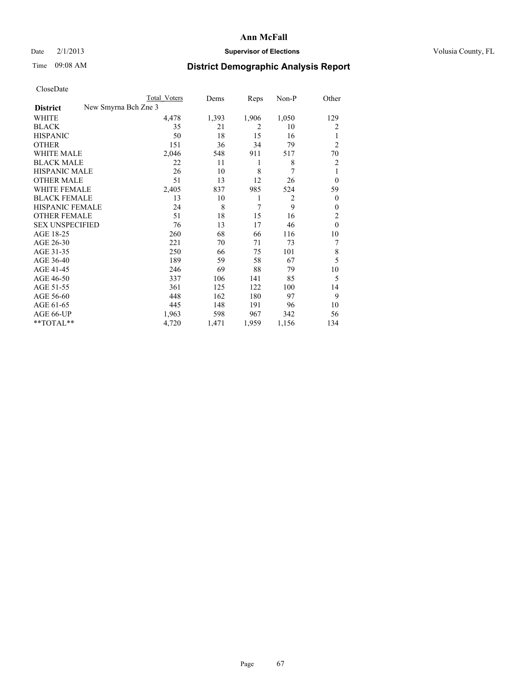### Date  $2/1/2013$  **Supervisor of Elections** Volusia County, FL

## Time 09:08 AM **District Demographic Analysis Report**

| Cioscivate             |                      |              |       |       |                |                |
|------------------------|----------------------|--------------|-------|-------|----------------|----------------|
|                        |                      | Total Voters | Dems  | Reps  | Non-P          | Other          |
| <b>District</b>        | New Smyrna Bch Zne 3 |              |       |       |                |                |
| <b>WHITE</b>           |                      | 4,478        | 1,393 | 1,906 | 1,050          | 129            |
| <b>BLACK</b>           |                      | 35           | 21    | 2     | 10             | 2              |
| <b>HISPANIC</b>        |                      | 50           | 18    | 15    | 16             | 1              |
| <b>OTHER</b>           |                      | 151          | 36    | 34    | 79             | $\overline{2}$ |
| WHITE MALE             |                      | 2,046        | 548   | 911   | 517            | 70             |
| <b>BLACK MALE</b>      |                      | 22           | 11    | 1     | 8              | $\overline{2}$ |
| <b>HISPANIC MALE</b>   |                      | 26           | 10    | 8     | 7              | 1              |
| <b>OTHER MALE</b>      |                      | 51           | 13    | 12    | 26             | $\theta$       |
| WHITE FEMALE           |                      | 2,405        | 837   | 985   | 524            | 59             |
| <b>BLACK FEMALE</b>    |                      | 13           | 10    | 1     | $\overline{2}$ | $\overline{0}$ |
| <b>HISPANIC FEMALE</b> |                      | 24           | 8     | 7     | 9              | $\overline{0}$ |
| <b>OTHER FEMALE</b>    |                      | 51           | 18    | 15    | 16             | $\overline{2}$ |
| <b>SEX UNSPECIFIED</b> |                      | 76           | 13    | 17    | 46             | $\theta$       |
| AGE 18-25              |                      | 260          | 68    | 66    | 116            | 10             |
| AGE 26-30              |                      | 221          | 70    | 71    | 73             | 7              |
| AGE 31-35              |                      | 250          | 66    | 75    | 101            | 8              |
| AGE 36-40              |                      | 189          | 59    | 58    | 67             | 5              |
| AGE 41-45              |                      | 246          | 69    | 88    | 79             | 10             |
| AGE 46-50              |                      | 337          | 106   | 141   | 85             | 5              |
| AGE 51-55              |                      | 361          | 125   | 122   | 100            | 14             |
| AGE 56-60              |                      | 448          | 162   | 180   | 97             | 9              |
| AGE 61-65              |                      | 445          | 148   | 191   | 96             | 10             |
| AGE 66-UP              |                      | 1,963        | 598   | 967   | 342            | 56             |
| **TOTAL**              |                      | 4,720        | 1,471 | 1,959 | 1,156          | 134            |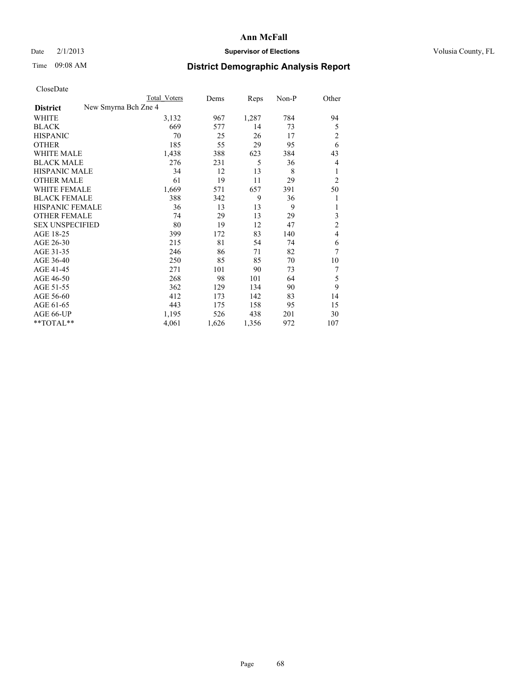## Date  $2/1/2013$  **Supervisor of Elections** Volusia County, FL

## Time 09:08 AM **District Demographic Analysis Report**

|                                         | <b>Total Voters</b> | Dems  | Reps  | Non-P | Other          |
|-----------------------------------------|---------------------|-------|-------|-------|----------------|
| New Smyrna Bch Zne 4<br><b>District</b> |                     |       |       |       |                |
| WHITE                                   | 3,132               | 967   | 1,287 | 784   | 94             |
| <b>BLACK</b>                            | 669                 | 577   | 14    | 73    | 5              |
| <b>HISPANIC</b>                         | 70                  | 25    | 26    | 17    | $\overline{c}$ |
| <b>OTHER</b>                            | 185                 | 55    | 29    | 95    | 6              |
| WHITE MALE                              | 1,438               | 388   | 623   | 384   | 43             |
| <b>BLACK MALE</b>                       | 276                 | 231   | 5     | 36    | 4              |
| <b>HISPANIC MALE</b>                    | 34                  | 12    | 13    | 8     | 1              |
| <b>OTHER MALE</b>                       | 61                  | 19    | 11    | 29    | $\overline{2}$ |
| <b>WHITE FEMALE</b>                     | 1,669               | 571   | 657   | 391   | 50             |
| <b>BLACK FEMALE</b>                     | 388                 | 342   | 9     | 36    | 1              |
| <b>HISPANIC FEMALE</b>                  | 36                  | 13    | 13    | 9     | 1              |
| <b>OTHER FEMALE</b>                     | 74                  | 29    | 13    | 29    | 3              |
| <b>SEX UNSPECIFIED</b>                  | 80                  | 19    | 12    | 47    | $\overline{c}$ |
| AGE 18-25                               | 399                 | 172   | 83    | 140   | $\overline{4}$ |
| AGE 26-30                               | 215                 | 81    | 54    | 74    | 6              |
| AGE 31-35                               | 246                 | 86    | 71    | 82    | 7              |
| AGE 36-40                               | 250                 | 85    | 85    | 70    | 10             |
| AGE 41-45                               | 271                 | 101   | 90    | 73    | 7              |
| AGE 46-50                               | 268                 | 98    | 101   | 64    | 5              |
| AGE 51-55                               | 362                 | 129   | 134   | 90    | 9              |
| AGE 56-60                               | 412                 | 173   | 142   | 83    | 14             |
| AGE 61-65                               | 443                 | 175   | 158   | 95    | 15             |
| AGE 66-UP                               | 1,195               | 526   | 438   | 201   | 30             |
| **TOTAL**                               | 4,061               | 1,626 | 1,356 | 972   | 107            |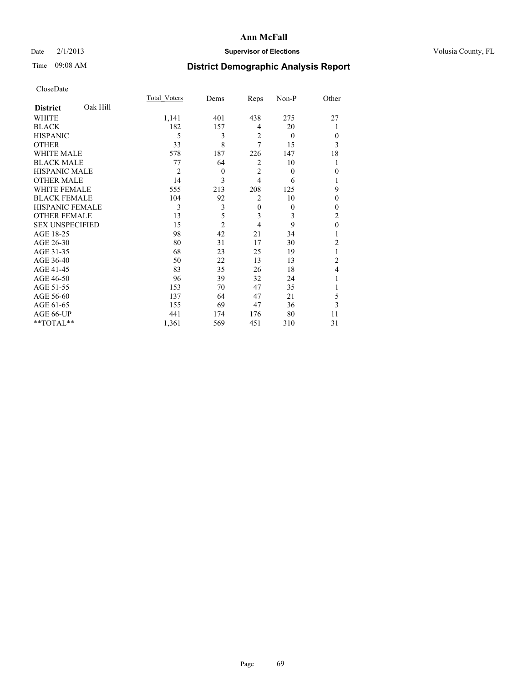### Date  $2/1/2013$  **Supervisor of Elections Supervisor of Elections** Volusia County, FL

# Time 09:08 AM **District Demographic Analysis Report**

|                        |          | <b>Total Voters</b> | Dems           | Reps           | Non-P        | Other          |
|------------------------|----------|---------------------|----------------|----------------|--------------|----------------|
| <b>District</b>        | Oak Hill |                     |                |                |              |                |
| WHITE                  |          | 1,141               | 401            | 438            | 275          | 27             |
| <b>BLACK</b>           |          | 182                 | 157            | 4              | 20           | 1              |
| <b>HISPANIC</b>        |          | 5                   | 3              | $\overline{2}$ | $\theta$     | $\theta$       |
| <b>OTHER</b>           |          | 33                  | 8              | $\overline{7}$ | 15           | 3              |
| WHITE MALE             |          | 578                 | 187            | 226            | 147          | 18             |
| <b>BLACK MALE</b>      |          | 77                  | 64             | $\overline{2}$ | 10           | 1              |
| <b>HISPANIC MALE</b>   |          | $\overline{2}$      | $\mathbf{0}$   | $\overline{2}$ | $\mathbf{0}$ | $\theta$       |
| <b>OTHER MALE</b>      |          | 14                  | 3              | $\overline{4}$ | 6            | 1              |
| WHITE FEMALE           |          | 555                 | 213            | 208            | 125          | 9              |
| <b>BLACK FEMALE</b>    |          | 104                 | 92             | $\overline{2}$ | 10           | $\Omega$       |
| HISPANIC FEMALE        |          | 3                   | 3              | $\overline{0}$ | $\mathbf{0}$ | $\theta$       |
| <b>OTHER FEMALE</b>    |          | 13                  | 5              | 3              | 3            | $\overline{c}$ |
| <b>SEX UNSPECIFIED</b> |          | 15                  | $\overline{c}$ | $\overline{4}$ | 9            | $\theta$       |
| AGE 18-25              |          | 98                  | 42             | 21             | 34           | 1              |
| AGE 26-30              |          | 80                  | 31             | 17             | 30           | $\overline{2}$ |
| AGE 31-35              |          | 68                  | 23             | 25             | 19           | 1              |
| AGE 36-40              |          | 50                  | 22             | 13             | 13           | $\overline{c}$ |
| AGE 41-45              |          | 83                  | 35             | 26             | 18           | 4              |
| AGE 46-50              |          | 96                  | 39             | 32             | 24           | 1              |
| AGE 51-55              |          | 153                 | 70             | 47             | 35           | 1              |
| AGE 56-60              |          | 137                 | 64             | 47             | 21           | 5              |
| AGE 61-65              |          | 155                 | 69             | 47             | 36           | 3              |
| AGE 66-UP              |          | 441                 | 174            | 176            | 80           | 11             |
| **TOTAL**              |          | 1,361               | 569            | 451            | 310          | 31             |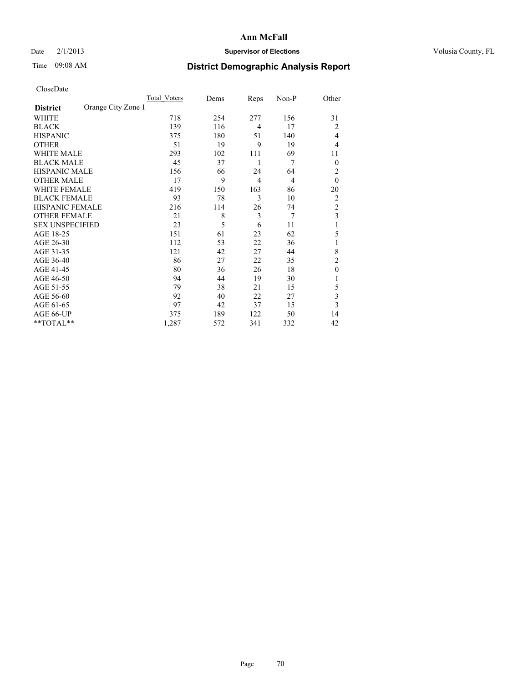### Date  $2/1/2013$  **Supervisor of Elections Supervisor of Elections** Volusia County, FL

# Time 09:08 AM **District Demographic Analysis Report**

|                        |                    | <b>Total Voters</b> | Dems | Reps           | Non-P          | Other          |
|------------------------|--------------------|---------------------|------|----------------|----------------|----------------|
| <b>District</b>        | Orange City Zone 1 |                     |      |                |                |                |
| WHITE                  |                    | 718                 | 254  | 277            | 156            | 31             |
| <b>BLACK</b>           |                    | 139                 | 116  | $\overline{4}$ | 17             | 2              |
| <b>HISPANIC</b>        |                    | 375                 | 180  | 51             | 140            | 4              |
| <b>OTHER</b>           |                    | 51                  | 19   | 9              | 19             | 4              |
| WHITE MALE             |                    | 293                 | 102  | 111            | 69             | 11             |
| <b>BLACK MALE</b>      |                    | 45                  | 37   | 1              | 7              | $\theta$       |
| <b>HISPANIC MALE</b>   |                    | 156                 | 66   | 24             | 64             | 2              |
| <b>OTHER MALE</b>      |                    | 17                  | 9    | $\overline{4}$ | $\overline{4}$ | $\mathbf{0}$   |
| <b>WHITE FEMALE</b>    |                    | 419                 | 150  | 163            | 86             | 20             |
| <b>BLACK FEMALE</b>    |                    | 93                  | 78   | 3              | 10             | $\overline{2}$ |
| <b>HISPANIC FEMALE</b> |                    | 216                 | 114  | 26             | 74             | $\overline{c}$ |
| <b>OTHER FEMALE</b>    |                    | 21                  | 8    | 3              | $\overline{7}$ | 3              |
| <b>SEX UNSPECIFIED</b> |                    | 23                  | 5    | 6              | 11             | 1              |
| AGE 18-25              |                    | 151                 | 61   | 23             | 62             | 5              |
| AGE 26-30              |                    | 112                 | 53   | 22             | 36             | 1              |
| AGE 31-35              |                    | 121                 | 42   | 27             | 44             | 8              |
| AGE 36-40              |                    | 86                  | 27   | 22             | 35             | $\overline{c}$ |
| AGE 41-45              |                    | 80                  | 36   | 26             | 18             | $\mathbf{0}$   |
| AGE 46-50              |                    | 94                  | 44   | 19             | 30             | 1              |
| AGE 51-55              |                    | 79                  | 38   | 21             | 15             | 5              |
| AGE 56-60              |                    | 92                  | 40   | 22             | 27             | 3              |
| AGE 61-65              |                    | 97                  | 42   | 37             | 15             | 3              |
| AGE 66-UP              |                    | 375                 | 189  | 122            | 50             | 14             |
| **TOTAL**              |                    | 1,287               | 572  | 341            | 332            | 42             |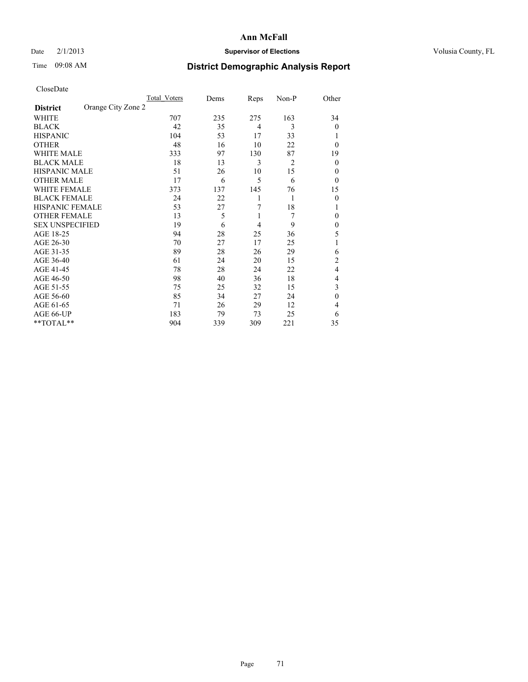## Date  $2/1/2013$  **Supervisor of Elections** Volusia County, FL

# Time 09:08 AM **District Demographic Analysis Report**

|                        |                    | Total Voters | Dems | Reps           | Non-P | Other          |
|------------------------|--------------------|--------------|------|----------------|-------|----------------|
| <b>District</b>        | Orange City Zone 2 |              |      |                |       |                |
| WHITE                  |                    | 707          | 235  | 275            | 163   | 34             |
| <b>BLACK</b>           |                    | 42           | 35   | $\overline{4}$ | 3     | $\theta$       |
| <b>HISPANIC</b>        |                    | 104          | 53   | 17             | 33    | 1              |
| <b>OTHER</b>           |                    | 48           | 16   | 10             | 22    | $\theta$       |
| WHITE MALE             |                    | 333          | 97   | 130            | 87    | 19             |
| <b>BLACK MALE</b>      |                    | 18           | 13   | 3              | 2     | $\theta$       |
| <b>HISPANIC MALE</b>   |                    | 51           | 26   | 10             | 15    | 0              |
| <b>OTHER MALE</b>      |                    | 17           | 6    | 5              | 6     | $\theta$       |
| WHITE FEMALE           |                    | 373          | 137  | 145            | 76    | 15             |
| <b>BLACK FEMALE</b>    |                    | 24           | 22   | 1              | 1     | $\theta$       |
| <b>HISPANIC FEMALE</b> |                    | 53           | 27   | 7              | 18    | 1              |
| <b>OTHER FEMALE</b>    |                    | 13           | 5    | 1              | 7     | $\theta$       |
| <b>SEX UNSPECIFIED</b> |                    | 19           | 6    | 4              | 9     | $\mathbf{0}$   |
| AGE 18-25              |                    | 94           | 28   | 25             | 36    | 5              |
| AGE 26-30              |                    | 70           | 27   | 17             | 25    | 1              |
| AGE 31-35              |                    | 89           | 28   | 26             | 29    | 6              |
| AGE 36-40              |                    | 61           | 24   | 20             | 15    | $\overline{c}$ |
| AGE 41-45              |                    | 78           | 28   | 24             | 22    | 4              |
| AGE 46-50              |                    | 98           | 40   | 36             | 18    | 4              |
| AGE 51-55              |                    | 75           | 25   | 32             | 15    | 3              |
| AGE 56-60              |                    | 85           | 34   | 27             | 24    | $\theta$       |
| AGE 61-65              |                    | 71           | 26   | 29             | 12    | 4              |
| AGE 66-UP              |                    | 183          | 79   | 73             | 25    | 6              |
| **TOTAL**              |                    | 904          | 339  | 309            | 221   | 35             |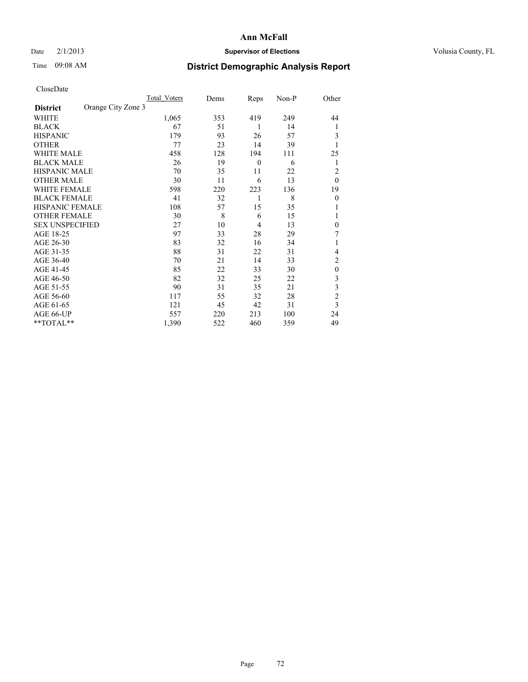## Date  $2/1/2013$  **Supervisor of Elections** Volusia County, FL

# Time 09:08 AM **District Demographic Analysis Report**

|                        |                    | Total Voters | Dems | Reps           | Non-P | Other          |
|------------------------|--------------------|--------------|------|----------------|-------|----------------|
| <b>District</b>        | Orange City Zone 3 |              |      |                |       |                |
| WHITE                  |                    | 1,065        | 353  | 419            | 249   | 44             |
| <b>BLACK</b>           |                    | 67           | 51   | 1              | 14    | 1              |
| <b>HISPANIC</b>        |                    | 179          | 93   | 26             | 57    | 3              |
| <b>OTHER</b>           |                    | 77           | 23   | 14             | 39    |                |
| WHITE MALE             |                    | 458          | 128  | 194            | 111   | 25             |
| <b>BLACK MALE</b>      |                    | 26           | 19   | $\theta$       | 6     | 1              |
| <b>HISPANIC MALE</b>   |                    | 70           | 35   | 11             | 22    | $\overline{2}$ |
| <b>OTHER MALE</b>      |                    | 30           | 11   | 6              | 13    | $\theta$       |
| WHITE FEMALE           |                    | 598          | 220  | 223            | 136   | 19             |
| <b>BLACK FEMALE</b>    |                    | 41           | 32   | 1              | 8     | $\overline{0}$ |
| <b>HISPANIC FEMALE</b> |                    | 108          | 57   | 15             | 35    |                |
| <b>OTHER FEMALE</b>    |                    | 30           | 8    | 6              | 15    |                |
| <b>SEX UNSPECIFIED</b> |                    | 27           | 10   | $\overline{4}$ | 13    | $\theta$       |
| AGE 18-25              |                    | 97           | 33   | 28             | 29    | 7              |
| AGE 26-30              |                    | 83           | 32   | 16             | 34    | 1              |
| AGE 31-35              |                    | 88           | 31   | 22             | 31    | 4              |
| AGE 36-40              |                    | 70           | 21   | 14             | 33    | $\overline{c}$ |
| AGE 41-45              |                    | 85           | 22   | 33             | 30    | $\theta$       |
| AGE 46-50              |                    | 82           | 32   | 25             | 22    | 3              |
| AGE 51-55              |                    | 90           | 31   | 35             | 21    | 3              |
| AGE 56-60              |                    | 117          | 55   | 32             | 28    | $\overline{c}$ |
| AGE 61-65              |                    | 121          | 45   | 42             | 31    | 3              |
| AGE 66-UP              |                    | 557          | 220  | 213            | 100   | 24             |
| **TOTAL**              |                    | 1,390        | 522  | 460            | 359   | 49             |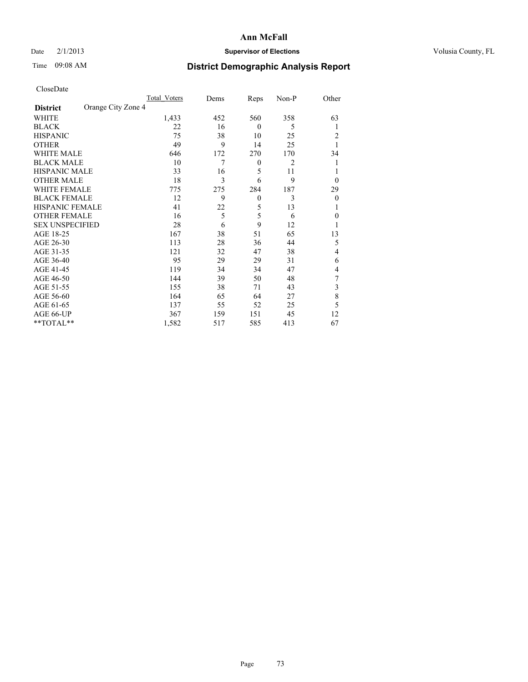### Date  $2/1/2013$  **Supervisor of Elections** Volusia County, FL

## Time 09:08 AM **District Demographic Analysis Report**

|                        |                    | <b>Total Voters</b> | Dems | Reps             | Non-P | Other    |
|------------------------|--------------------|---------------------|------|------------------|-------|----------|
| <b>District</b>        | Orange City Zone 4 |                     |      |                  |       |          |
| WHITE                  |                    | 1,433               | 452  | 560              | 358   | 63       |
| <b>BLACK</b>           |                    | 22                  | 16   | $\theta$         | 5     | 1        |
| <b>HISPANIC</b>        |                    | 75                  | 38   | 10               | 25    | 2        |
| <b>OTHER</b>           |                    | 49                  | 9    | 14               | 25    | 1        |
| WHITE MALE             |                    | 646                 | 172  | 270              | 170   | 34       |
| <b>BLACK MALE</b>      |                    | 10                  | 7    | $\boldsymbol{0}$ | 2     | 1        |
| <b>HISPANIC MALE</b>   |                    | 33                  | 16   | 5                | 11    | 1        |
| <b>OTHER MALE</b>      |                    | 18                  | 3    | 6                | 9     | $\theta$ |
| WHITE FEMALE           |                    | 775                 | 275  | 284              | 187   | 29       |
| <b>BLACK FEMALE</b>    |                    | 12                  | 9    | $\overline{0}$   | 3     | $\theta$ |
| HISPANIC FEMALE        |                    | 41                  | 22   | 5                | 13    | 1        |
| <b>OTHER FEMALE</b>    |                    | 16                  | 5    | 5                | 6     | $\theta$ |
| <b>SEX UNSPECIFIED</b> |                    | 28                  | 6    | 9                | 12    |          |
| AGE 18-25              |                    | 167                 | 38   | 51               | 65    | 13       |
| AGE 26-30              |                    | 113                 | 28   | 36               | 44    | 5        |
| AGE 31-35              |                    | 121                 | 32   | 47               | 38    | 4        |
| AGE 36-40              |                    | 95                  | 29   | 29               | 31    | 6        |
| AGE 41-45              |                    | 119                 | 34   | 34               | 47    | 4        |
| AGE 46-50              |                    | 144                 | 39   | 50               | 48    | 7        |
| AGE 51-55              |                    | 155                 | 38   | 71               | 43    | 3        |
| AGE 56-60              |                    | 164                 | 65   | 64               | 27    | 8        |
| AGE 61-65              |                    | 137                 | 55   | 52               | 25    | 5        |
| AGE 66-UP              |                    | 367                 | 159  | 151              | 45    | 12       |
| **TOTAL**              |                    | 1,582               | 517  | 585              | 413   | 67       |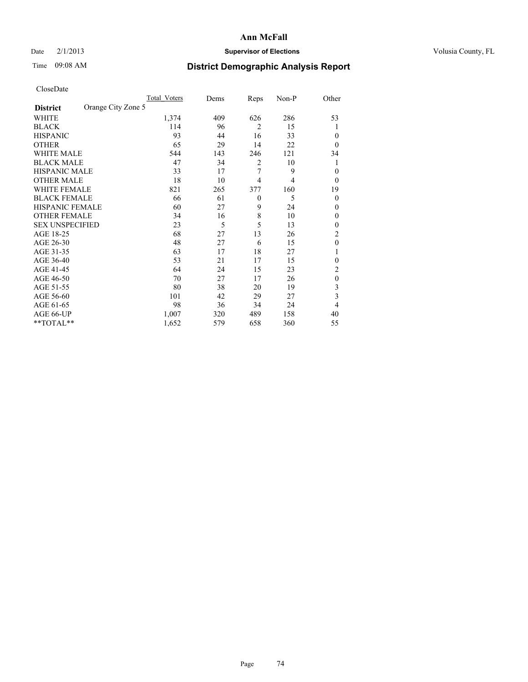### Date  $2/1/2013$  **Supervisor of Elections** Volusia County, FL

## Time 09:08 AM **District Demographic Analysis Report**

|                        |                    | Total Voters | Dems | Reps           | Non-P | Other          |
|------------------------|--------------------|--------------|------|----------------|-------|----------------|
| <b>District</b>        | Orange City Zone 5 |              |      |                |       |                |
| WHITE                  |                    | 1,374        | 409  | 626            | 286   | 53             |
| <b>BLACK</b>           |                    | 114          | 96   | $\overline{2}$ | 15    |                |
| <b>HISPANIC</b>        |                    | 93           | 44   | 16             | 33    | $\theta$       |
| <b>OTHER</b>           |                    | 65           | 29   | 14             | 22    | $\theta$       |
| WHITE MALE             |                    | 544          | 143  | 246            | 121   | 34             |
| <b>BLACK MALE</b>      |                    | 47           | 34   | 2              | 10    | 1              |
| <b>HISPANIC MALE</b>   |                    | 33           | 17   | 7              | 9     | $\theta$       |
| <b>OTHER MALE</b>      |                    | 18           | 10   | $\overline{4}$ | 4     | $\overline{0}$ |
| <b>WHITE FEMALE</b>    |                    | 821          | 265  | 377            | 160   | 19             |
| <b>BLACK FEMALE</b>    |                    | 66           | 61   | $\theta$       | 5     | $\theta$       |
| <b>HISPANIC FEMALE</b> |                    | 60           | 27   | 9              | 24    | $\theta$       |
| <b>OTHER FEMALE</b>    |                    | 34           | 16   | 8              | 10    | $\theta$       |
| <b>SEX UNSPECIFIED</b> |                    | 23           | 5    | 5              | 13    | $\mathbf{0}$   |
| AGE 18-25              |                    | 68           | 27   | 13             | 26    | $\overline{c}$ |
| AGE 26-30              |                    | 48           | 27   | 6              | 15    | $\mathbf{0}$   |
| AGE 31-35              |                    | 63           | 17   | 18             | 27    |                |
| AGE 36-40              |                    | 53           | 21   | 17             | 15    | 0              |
| AGE 41-45              |                    | 64           | 24   | 15             | 23    | 2              |
| AGE 46-50              |                    | 70           | 27   | 17             | 26    | $\theta$       |
| AGE 51-55              |                    | 80           | 38   | 20             | 19    | 3              |
| AGE 56-60              |                    | 101          | 42   | 29             | 27    | 3              |
| AGE 61-65              |                    | 98           | 36   | 34             | 24    | 4              |
| AGE 66-UP              |                    | 1,007        | 320  | 489            | 158   | 40             |
| **TOTAL**              |                    | 1,652        | 579  | 658            | 360   | 55             |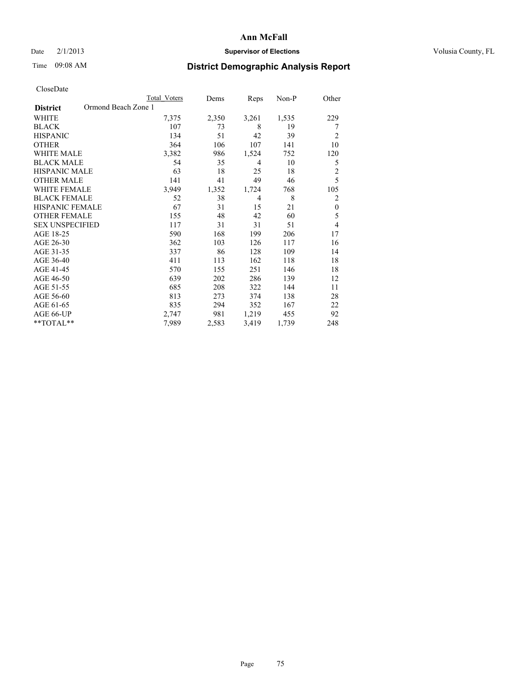### Date  $2/1/2013$  **Supervisor of Elections** Volusia County, FL

## Time 09:08 AM **District Demographic Analysis Report**

|                        | Total Voters        | Dems  | Reps  | Non-P | Other          |
|------------------------|---------------------|-------|-------|-------|----------------|
| <b>District</b>        | Ormond Beach Zone 1 |       |       |       |                |
| WHITE                  | 7,375               | 2,350 | 3,261 | 1,535 | 229            |
| <b>BLACK</b>           | 107                 | 73    | 8     | 19    | 7              |
| <b>HISPANIC</b>        | 134                 | 51    | 42    | 39    | $\overline{c}$ |
| <b>OTHER</b>           | 364                 | 106   | 107   | 141   | 10             |
| WHITE MALE             | 3,382               | 986   | 1,524 | 752   | 120            |
| <b>BLACK MALE</b>      | 54                  | 35    | 4     | 10    | 5              |
| <b>HISPANIC MALE</b>   | 63                  | 18    | 25    | 18    | $\overline{2}$ |
| <b>OTHER MALE</b>      | 141                 | 41    | 49    | 46    | 5              |
| <b>WHITE FEMALE</b>    | 3,949               | 1,352 | 1,724 | 768   | 105            |
| <b>BLACK FEMALE</b>    | 52                  | 38    | 4     | 8     | $\overline{2}$ |
| <b>HISPANIC FEMALE</b> | 67                  | 31    | 15    | 21    | $\mathbf{0}$   |
| <b>OTHER FEMALE</b>    | 155                 | 48    | 42    | 60    | 5              |
| <b>SEX UNSPECIFIED</b> | 117                 | 31    | 31    | 51    | $\overline{4}$ |
| AGE 18-25              | 590                 | 168   | 199   | 206   | 17             |
| AGE 26-30              | 362                 | 103   | 126   | 117   | 16             |
| AGE 31-35              | 337                 | 86    | 128   | 109   | 14             |
| AGE 36-40              | 411                 | 113   | 162   | 118   | 18             |
| AGE 41-45              | 570                 | 155   | 251   | 146   | 18             |
| AGE 46-50              | 639                 | 202   | 286   | 139   | 12             |
| AGE 51-55              | 685                 | 208   | 322   | 144   | 11             |
| AGE 56-60              | 813                 | 273   | 374   | 138   | 28             |
| AGE 61-65              | 835                 | 294   | 352   | 167   | 22             |
| AGE 66-UP              | 2,747               | 981   | 1,219 | 455   | 92             |
| **TOTAL**              | 7,989               | 2,583 | 3,419 | 1,739 | 248            |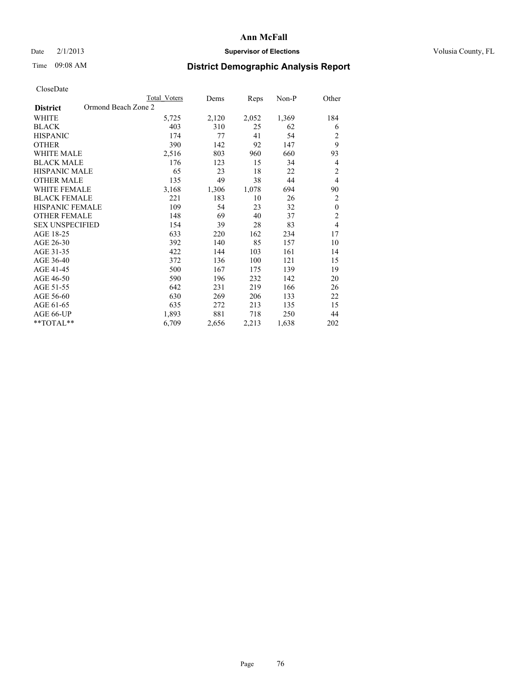### Date  $2/1/2013$  **Supervisor of Elections** Volusia County, FL

# Time 09:08 AM **District Demographic Analysis Report**

|                                        | <b>Total Voters</b> | Dems  | <b>Reps</b> | Non-P | Other          |
|----------------------------------------|---------------------|-------|-------------|-------|----------------|
| Ormond Beach Zone 2<br><b>District</b> |                     |       |             |       |                |
| WHITE                                  | 5,725               | 2,120 | 2,052       | 1,369 | 184            |
| <b>BLACK</b>                           | 403                 | 310   | 25          | 62    | 6              |
| <b>HISPANIC</b>                        | 174                 | 77    | 41          | 54    | $\overline{c}$ |
| <b>OTHER</b>                           | 390                 | 142   | 92          | 147   | 9              |
| <b>WHITE MALE</b>                      | 2,516               | 803   | 960         | 660   | 93             |
| <b>BLACK MALE</b>                      | 176                 | 123   | 15          | 34    | 4              |
| <b>HISPANIC MALE</b>                   | 65                  | 23    | 18          | 22    | $\overline{2}$ |
| <b>OTHER MALE</b>                      | 135                 | 49    | 38          | 44    | $\overline{4}$ |
| <b>WHITE FEMALE</b>                    | 3,168               | 1,306 | 1,078       | 694   | 90             |
| <b>BLACK FEMALE</b>                    | 221                 | 183   | 10          | 26    | 2              |
| HISPANIC FEMALE                        | 109                 | 54    | 23          | 32    | $\mathbf{0}$   |
| <b>OTHER FEMALE</b>                    | 148                 | 69    | 40          | 37    | $\overline{c}$ |
| <b>SEX UNSPECIFIED</b>                 | 154                 | 39    | 28          | 83    | $\overline{4}$ |
| AGE 18-25                              | 633                 | 220   | 162         | 234   | 17             |
| AGE 26-30                              | 392                 | 140   | 85          | 157   | 10             |
| AGE 31-35                              | 422                 | 144   | 103         | 161   | 14             |
| AGE 36-40                              | 372                 | 136   | 100         | 121   | 15             |
| AGE 41-45                              | 500                 | 167   | 175         | 139   | 19             |
| AGE 46-50                              | 590                 | 196   | 232         | 142   | 20             |
| AGE 51-55                              | 642                 | 231   | 219         | 166   | 26             |
| AGE 56-60                              | 630                 | 269   | 206         | 133   | 22             |
| AGE 61-65                              | 635                 | 272   | 213         | 135   | 15             |
| AGE 66-UP                              | 1,893               | 881   | 718         | 250   | 44             |
| **TOTAL**                              | 6,709               | 2,656 | 2,213       | 1,638 | 202            |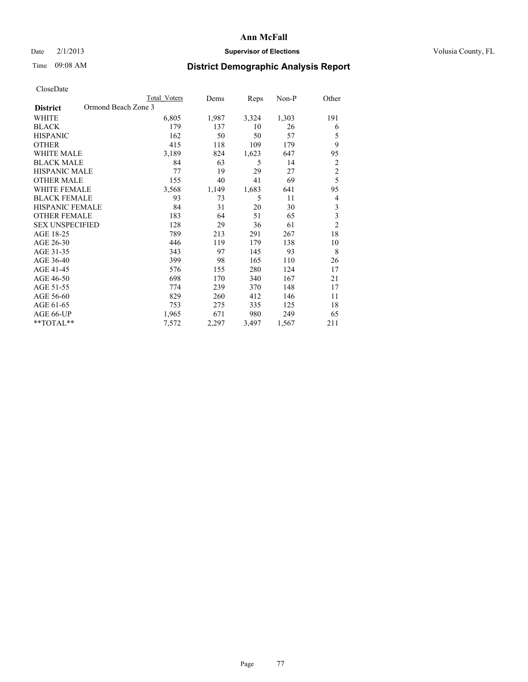### Date  $2/1/2013$  **Supervisor of Elections Supervisor of Elections** Volusia County, FL

# Time 09:08 AM **District Demographic Analysis Report**

|                                        | <b>Total Voters</b> | Dems  | Reps  | Non-P | Other                   |
|----------------------------------------|---------------------|-------|-------|-------|-------------------------|
| Ormond Beach Zone 3<br><b>District</b> |                     |       |       |       |                         |
| WHITE                                  | 6,805               | 1,987 | 3,324 | 1,303 | 191                     |
| <b>BLACK</b>                           | 179                 | 137   | 10    | 26    | 6                       |
| <b>HISPANIC</b>                        | 162                 | 50    | 50    | 57    | 5                       |
| <b>OTHER</b>                           | 415                 | 118   | 109   | 179   | 9                       |
| <b>WHITE MALE</b>                      | 3,189               | 824   | 1,623 | 647   | 95                      |
| <b>BLACK MALE</b>                      | 84                  | 63    | 5     | 14    | $\overline{c}$          |
| <b>HISPANIC MALE</b>                   | 77                  | 19    | 29    | 27    | $\overline{c}$          |
| <b>OTHER MALE</b>                      | 155                 | 40    | 41    | 69    | 5                       |
| <b>WHITE FEMALE</b>                    | 3,568               | 1,149 | 1,683 | 641   | 95                      |
| <b>BLACK FEMALE</b>                    | 93                  | 73    | 5     | 11    | 4                       |
| <b>HISPANIC FEMALE</b>                 | 84                  | 31    | 20    | 30    | $\mathfrak{Z}$          |
| <b>OTHER FEMALE</b>                    | 183                 | 64    | 51    | 65    | $\overline{\mathbf{3}}$ |
| <b>SEX UNSPECIFIED</b>                 | 128                 | 29    | 36    | 61    | $\overline{c}$          |
| AGE 18-25                              | 789                 | 213   | 291   | 267   | 18                      |
| AGE 26-30                              | 446                 | 119   | 179   | 138   | 10                      |
| AGE 31-35                              | 343                 | 97    | 145   | 93    | 8                       |
| AGE 36-40                              | 399                 | 98    | 165   | 110   | 26                      |
| AGE 41-45                              | 576                 | 155   | 280   | 124   | 17                      |
| AGE 46-50                              | 698                 | 170   | 340   | 167   | 21                      |
| AGE 51-55                              | 774                 | 239   | 370   | 148   | 17                      |
| AGE 56-60                              | 829                 | 260   | 412   | 146   | 11                      |
| AGE 61-65                              | 753                 | 275   | 335   | 125   | 18                      |
| AGE 66-UP                              | 1,965               | 671   | 980   | 249   | 65                      |
| **TOTAL**                              | 7,572               | 2,297 | 3,497 | 1,567 | 211                     |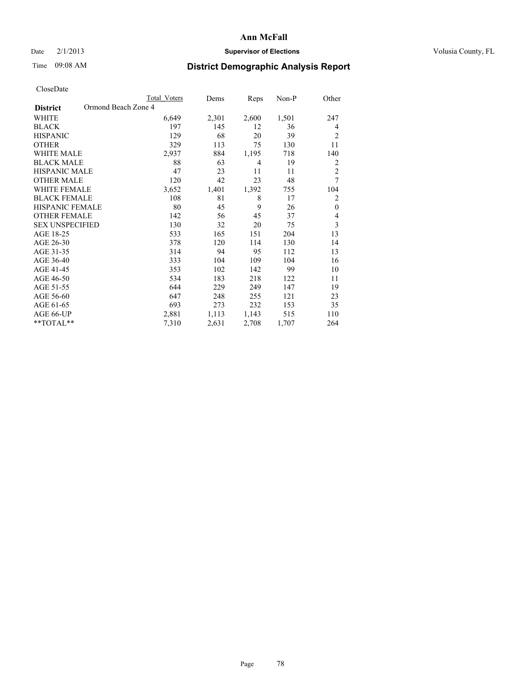### Date  $2/1/2013$  **Supervisor of Elections Supervisor of Elections** Volusia County, FL

## Time 09:08 AM **District Demographic Analysis Report**

|                        | Total Voters        | Dems  | Reps  | Non-P | Other          |
|------------------------|---------------------|-------|-------|-------|----------------|
| <b>District</b>        | Ormond Beach Zone 4 |       |       |       |                |
| WHITE                  | 6,649               | 2,301 | 2,600 | 1,501 | 247            |
| <b>BLACK</b>           | 197                 | 145   | 12    | 36    | 4              |
| <b>HISPANIC</b>        | 129                 | 68    | 20    | 39    | $\overline{2}$ |
| <b>OTHER</b>           | 329                 | 113   | 75    | 130   | 11             |
| WHITE MALE             | 2,937               | 884   | 1,195 | 718   | 140            |
| <b>BLACK MALE</b>      | 88                  | 63    | 4     | 19    | $\overline{2}$ |
| <b>HISPANIC MALE</b>   | 47                  | 23    | 11    | 11    | $\overline{2}$ |
| <b>OTHER MALE</b>      | 120                 | 42    | 23    | 48    | 7              |
| WHITE FEMALE           | 3,652               | 1,401 | 1,392 | 755   | 104            |
| <b>BLACK FEMALE</b>    | 108                 | 81    | 8     | 17    | $\overline{2}$ |
| <b>HISPANIC FEMALE</b> | 80                  | 45    | 9     | 26    | $\mathbf{0}$   |
| <b>OTHER FEMALE</b>    | 142                 | 56    | 45    | 37    | $\overline{4}$ |
| <b>SEX UNSPECIFIED</b> | 130                 | 32    | 20    | 75    | 3              |
| AGE 18-25              | 533                 | 165   | 151   | 204   | 13             |
| AGE 26-30              | 378                 | 120   | 114   | 130   | 14             |
| AGE 31-35              | 314                 | 94    | 95    | 112   | 13             |
| AGE 36-40              | 333                 | 104   | 109   | 104   | 16             |
| AGE 41-45              | 353                 | 102   | 142   | 99    | 10             |
| AGE 46-50              | 534                 | 183   | 218   | 122   | 11             |
| AGE 51-55              | 644                 | 229   | 249   | 147   | 19             |
| AGE 56-60              | 647                 | 248   | 255   | 121   | 23             |
| AGE 61-65              | 693                 | 273   | 232   | 153   | 35             |
| AGE 66-UP              | 2,881               | 1,113 | 1,143 | 515   | 110            |
| **TOTAL**              | 7,310               | 2,631 | 2,708 | 1,707 | 264            |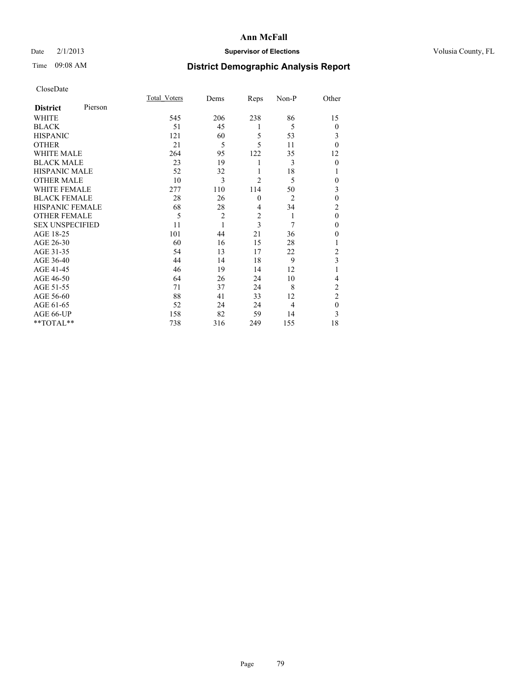### Date  $2/1/2013$  **Supervisor of Elections Supervisor of Elections** Volusia County, FL

# Time 09:08 AM **District Demographic Analysis Report**

|                        |         | Total Voters | Dems           | Reps           | Non-P          | Other          |
|------------------------|---------|--------------|----------------|----------------|----------------|----------------|
| <b>District</b>        | Pierson |              |                |                |                |                |
| WHITE                  |         | 545          | 206            | 238            | 86             | 15             |
| <b>BLACK</b>           |         | 51           | 45             | 1              | 5              | $\theta$       |
| <b>HISPANIC</b>        |         | 121          | 60             | 5              | 53             | 3              |
| <b>OTHER</b>           |         | 21           | 5              | 5              | 11             | $\theta$       |
| WHITE MALE             |         | 264          | 95             | 122            | 35             | 12             |
| <b>BLACK MALE</b>      |         | 23           | 19             | 1              | 3              | $\theta$       |
| <b>HISPANIC MALE</b>   |         | 52           | 32             | 1              | 18             | 1              |
| <b>OTHER MALE</b>      |         | 10           | 3              | $\overline{c}$ | 5              | 0              |
| <b>WHITE FEMALE</b>    |         | 277          | 110            | 114            | 50             | 3              |
| <b>BLACK FEMALE</b>    |         | 28           | 26             | $\mathbf{0}$   | $\overline{2}$ | $\mathbf{0}$   |
| <b>HISPANIC FEMALE</b> |         | 68           | 28             | 4              | 34             | $\overline{c}$ |
| <b>OTHER FEMALE</b>    |         | 5            | $\overline{c}$ | $\overline{c}$ | 1              | $\theta$       |
| <b>SEX UNSPECIFIED</b> |         | 11           | 1              | 3              | 7              | $\mathbf{0}$   |
| AGE 18-25              |         | 101          | 44             | 21             | 36             | $\theta$       |
| AGE 26-30              |         | 60           | 16             | 15             | 28             | 1              |
| AGE 31-35              |         | 54           | 13             | 17             | 22             | $\overline{c}$ |
| AGE 36-40              |         | 44           | 14             | 18             | 9              | 3              |
| AGE 41-45              |         | 46           | 19             | 14             | 12             |                |
| AGE 46-50              |         | 64           | 26             | 24             | 10             | 4              |
| AGE 51-55              |         | 71           | 37             | 24             | 8              | $\overline{c}$ |
| AGE 56-60              |         | 88           | 41             | 33             | 12             | $\overline{c}$ |
| AGE 61-65              |         | 52           | 24             | 24             | 4              | $\mathbf{0}$   |
| AGE 66-UP              |         | 158          | 82             | 59             | 14             | 3              |
| **TOTAL**              |         | 738          | 316            | 249            | 155            | 18             |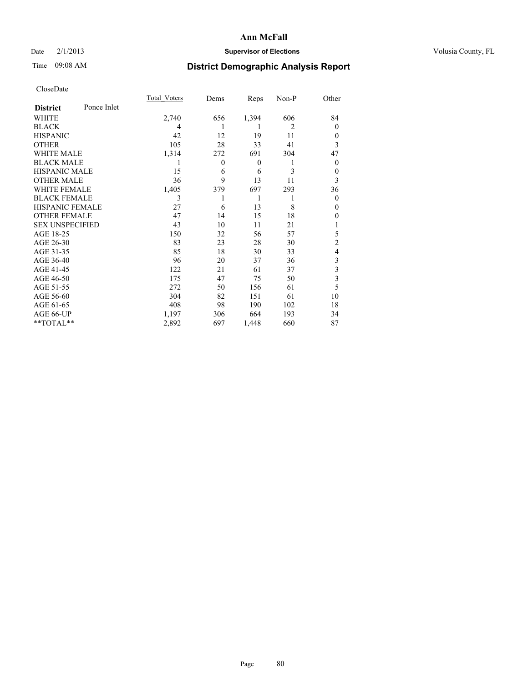### Date  $2/1/2013$  **Supervisor of Elections** Volusia County, FL

# Time 09:08 AM **District Demographic Analysis Report**

|                        |             | Total Voters | Dems         | Reps     | Non-P | Other          |
|------------------------|-------------|--------------|--------------|----------|-------|----------------|
| <b>District</b>        | Ponce Inlet |              |              |          |       |                |
| WHITE                  |             | 2,740        | 656          | 1,394    | 606   | 84             |
| <b>BLACK</b>           |             | 4            |              | 1        | 2     | $\Omega$       |
| <b>HISPANIC</b>        |             | 42           | 12           | 19       | 11    | $\Omega$       |
| <b>OTHER</b>           |             | 105          | 28           | 33       | 41    | 3              |
| WHITE MALE             |             | 1,314        | 272          | 691      | 304   | 47             |
| <b>BLACK MALE</b>      |             | 1            | $\mathbf{0}$ | $\theta$ | 1     | $\overline{0}$ |
| <b>HISPANIC MALE</b>   |             | 15           | 6            | 6        | 3     | 0              |
| <b>OTHER MALE</b>      |             | 36           | 9            | 13       | 11    | 3              |
| <b>WHITE FEMALE</b>    |             | 1,405        | 379          | 697      | 293   | 36             |
| <b>BLACK FEMALE</b>    |             | 3            |              | 1        | 1     | $\overline{0}$ |
| <b>HISPANIC FEMALE</b> |             | 27           | 6            | 13       | 8     | $\Omega$       |
| <b>OTHER FEMALE</b>    |             | 47           | 14           | 15       | 18    | $\theta$       |
| <b>SEX UNSPECIFIED</b> |             | 43           | 10           | 11       | 21    |                |
| AGE 18-25              |             | 150          | 32           | 56       | 57    | 5              |
| AGE 26-30              |             | 83           | 23           | 28       | 30    | $\overline{2}$ |
| AGE 31-35              |             | 85           | 18           | 30       | 33    | 4              |
| AGE 36-40              |             | 96           | 20           | 37       | 36    | 3              |
| AGE 41-45              |             | 122          | 21           | 61       | 37    | 3              |
| AGE 46-50              |             | 175          | 47           | 75       | 50    | 3              |
| AGE 51-55              |             | 272          | 50           | 156      | 61    | 5              |
| AGE 56-60              |             | 304          | 82           | 151      | 61    | 10             |
| AGE 61-65              |             | 408          | 98           | 190      | 102   | 18             |
| AGE 66-UP              |             | 1,197        | 306          | 664      | 193   | 34             |
| **TOTAL**              |             | 2,892        | 697          | 1,448    | 660   | 87             |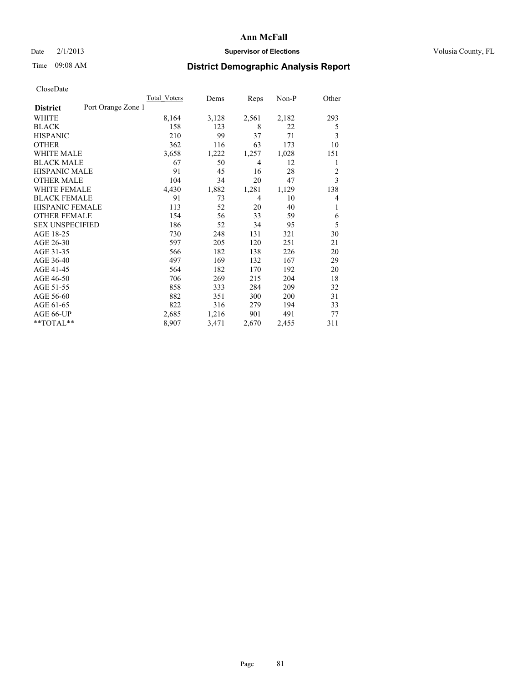### Date  $2/1/2013$  **Supervisor of Elections Supervisor of Elections** Volusia County, FL

## Time 09:08 AM **District Demographic Analysis Report**

|                        |                    | Total Voters | Dems  | Reps  | $Non-P$ | Other          |
|------------------------|--------------------|--------------|-------|-------|---------|----------------|
| <b>District</b>        | Port Orange Zone 1 |              |       |       |         |                |
| WHITE                  |                    | 8,164        | 3,128 | 2,561 | 2,182   | 293            |
| <b>BLACK</b>           |                    | 158          | 123   | 8     | 22      | 5              |
| <b>HISPANIC</b>        |                    | 210          | 99    | 37    | 71      | 3              |
| <b>OTHER</b>           |                    | 362          | 116   | 63    | 173     | 10             |
| <b>WHITE MALE</b>      |                    | 3,658        | 1,222 | 1,257 | 1,028   | 151            |
| <b>BLACK MALE</b>      |                    | 67           | 50    | 4     | 12      | 1              |
| <b>HISPANIC MALE</b>   |                    | 91           | 45    | 16    | 28      | $\overline{2}$ |
| <b>OTHER MALE</b>      |                    | 104          | 34    | 20    | 47      | 3              |
| <b>WHITE FEMALE</b>    |                    | 4,430        | 1,882 | 1,281 | 1,129   | 138            |
| <b>BLACK FEMALE</b>    |                    | 91           | 73    | 4     | 10      | $\overline{4}$ |
| <b>HISPANIC FEMALE</b> |                    | 113          | 52    | 20    | 40      | 1              |
| <b>OTHER FEMALE</b>    |                    | 154          | 56    | 33    | 59      | 6              |
| <b>SEX UNSPECIFIED</b> |                    | 186          | 52    | 34    | 95      | 5              |
| AGE 18-25              |                    | 730          | 248   | 131   | 321     | 30             |
| AGE 26-30              |                    | 597          | 205   | 120   | 251     | 21             |
| AGE 31-35              |                    | 566          | 182   | 138   | 226     | 20             |
| AGE 36-40              |                    | 497          | 169   | 132   | 167     | 29             |
| AGE 41-45              |                    | 564          | 182   | 170   | 192     | 20             |
| AGE 46-50              |                    | 706          | 269   | 215   | 204     | 18             |
| AGE 51-55              |                    | 858          | 333   | 284   | 209     | 32             |
| AGE 56-60              |                    | 882          | 351   | 300   | 200     | 31             |
| AGE 61-65              |                    | 822          | 316   | 279   | 194     | 33             |
| AGE 66-UP              |                    | 2,685        | 1,216 | 901   | 491     | 77             |
| **TOTAL**              |                    | 8,907        | 3,471 | 2,670 | 2,455   | 311            |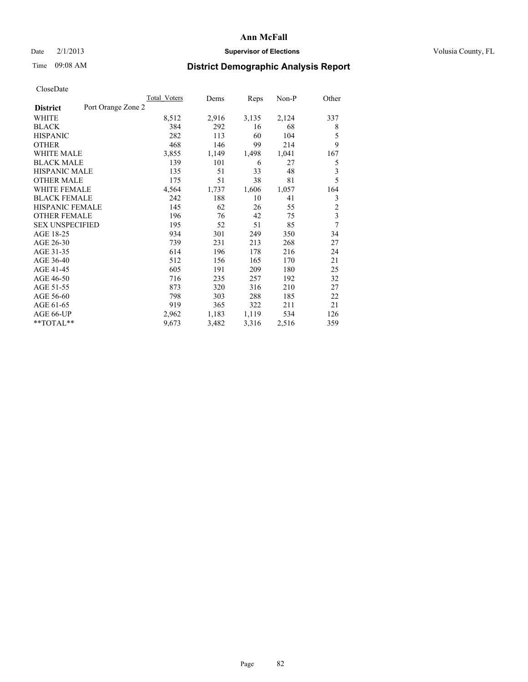### Date  $2/1/2013$  **Supervisor of Elections Supervisor of Elections** Volusia County, FL

## Time 09:08 AM **District Demographic Analysis Report**

|                                       | Total Voters | Dems  | Reps  | Non-P | Other                   |
|---------------------------------------|--------------|-------|-------|-------|-------------------------|
| Port Orange Zone 2<br><b>District</b> |              |       |       |       |                         |
| WHITE                                 | 8,512        | 2,916 | 3,135 | 2,124 | 337                     |
| <b>BLACK</b>                          | 384          | 292   | 16    | 68    | 8                       |
| <b>HISPANIC</b>                       | 282          | 113   | 60    | 104   | 5                       |
| <b>OTHER</b>                          | 468          | 146   | 99    | 214   | 9                       |
| <b>WHITE MALE</b>                     | 3,855        | 1,149 | 1,498 | 1,041 | 167                     |
| <b>BLACK MALE</b>                     | 139          | 101   | 6     | 27    | 5                       |
| <b>HISPANIC MALE</b>                  | 135          | 51    | 33    | 48    | 3                       |
| <b>OTHER MALE</b>                     | 175          | 51    | 38    | 81    | 5                       |
| <b>WHITE FEMALE</b>                   | 4,564        | 1,737 | 1,606 | 1,057 | 164                     |
| <b>BLACK FEMALE</b>                   | 242          | 188   | 10    | 41    | 3                       |
| HISPANIC FEMALE                       | 145          | 62    | 26    | 55    | $\overline{c}$          |
| <b>OTHER FEMALE</b>                   | 196          | 76    | 42    | 75    | $\overline{\mathbf{3}}$ |
| <b>SEX UNSPECIFIED</b>                | 195          | 52    | 51    | 85    | 7                       |
| AGE 18-25                             | 934          | 301   | 249   | 350   | 34                      |
| AGE 26-30                             | 739          | 231   | 213   | 268   | 27                      |
| AGE 31-35                             | 614          | 196   | 178   | 216   | 24                      |
| AGE 36-40                             | 512          | 156   | 165   | 170   | 21                      |
| AGE 41-45                             | 605          | 191   | 209   | 180   | 25                      |
| AGE 46-50                             | 716          | 235   | 257   | 192   | 32                      |
| AGE 51-55                             | 873          | 320   | 316   | 210   | 27                      |
| AGE 56-60                             | 798          | 303   | 288   | 185   | 22                      |
| AGE 61-65                             | 919          | 365   | 322   | 211   | 21                      |
| AGE 66-UP                             | 2,962        | 1,183 | 1,119 | 534   | 126                     |
| **TOTAL**                             | 9,673        | 3,482 | 3,316 | 2,516 | 359                     |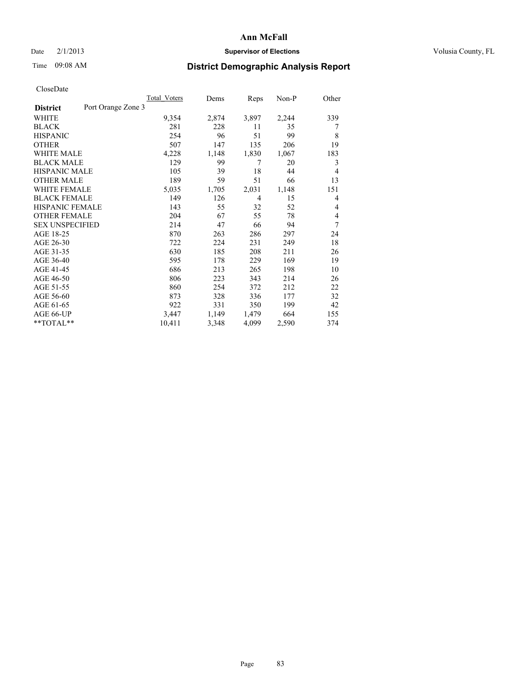### Date  $2/1/2013$  **Supervisor of Elections Supervisor of Elections** Volusia County, FL

## Time 09:08 AM **District Demographic Analysis Report**

|                                       | <b>Total Voters</b> | Dems  | Reps  | Non-P | Other |
|---------------------------------------|---------------------|-------|-------|-------|-------|
| Port Orange Zone 3<br><b>District</b> |                     |       |       |       |       |
| WHITE                                 | 9,354               | 2,874 | 3,897 | 2,244 | 339   |
| <b>BLACK</b>                          | 281                 | 228   | 11    | 35    | 7     |
| <b>HISPANIC</b>                       | 254                 | 96    | 51    | 99    | 8     |
| <b>OTHER</b>                          | 507                 | 147   | 135   | 206   | 19    |
| <b>WHITE MALE</b>                     | 4,228               | 1,148 | 1,830 | 1,067 | 183   |
| <b>BLACK MALE</b>                     | 129                 | 99    | 7     | 20    | 3     |
| <b>HISPANIC MALE</b>                  | 105                 | 39    | 18    | 44    | 4     |
| <b>OTHER MALE</b>                     | 189                 | 59    | 51    | 66    | 13    |
| <b>WHITE FEMALE</b>                   | 5,035               | 1,705 | 2,031 | 1,148 | 151   |
| <b>BLACK FEMALE</b>                   | 149                 | 126   | 4     | 15    | 4     |
| <b>HISPANIC FEMALE</b>                | 143                 | 55    | 32    | 52    | 4     |
| <b>OTHER FEMALE</b>                   | 204                 | 67    | 55    | 78    | 4     |
| <b>SEX UNSPECIFIED</b>                | 214                 | 47    | 66    | 94    | 7     |
| AGE 18-25                             | 870                 | 263   | 286   | 297   | 24    |
| AGE 26-30                             | 722                 | 224   | 231   | 249   | 18    |
| AGE 31-35                             | 630                 | 185   | 208   | 211   | 26    |
| AGE 36-40                             | 595                 | 178   | 229   | 169   | 19    |
| AGE 41-45                             | 686                 | 213   | 265   | 198   | 10    |
| AGE 46-50                             | 806                 | 223   | 343   | 214   | 26    |
| AGE 51-55                             | 860                 | 254   | 372   | 212   | 22    |
| AGE 56-60                             | 873                 | 328   | 336   | 177   | 32    |
| AGE 61-65                             | 922                 | 331   | 350   | 199   | 42    |
| AGE 66-UP                             | 3,447               | 1,149 | 1,479 | 664   | 155   |
| $*$ $TOTAL**$                         | 10,411              | 3,348 | 4,099 | 2,590 | 374   |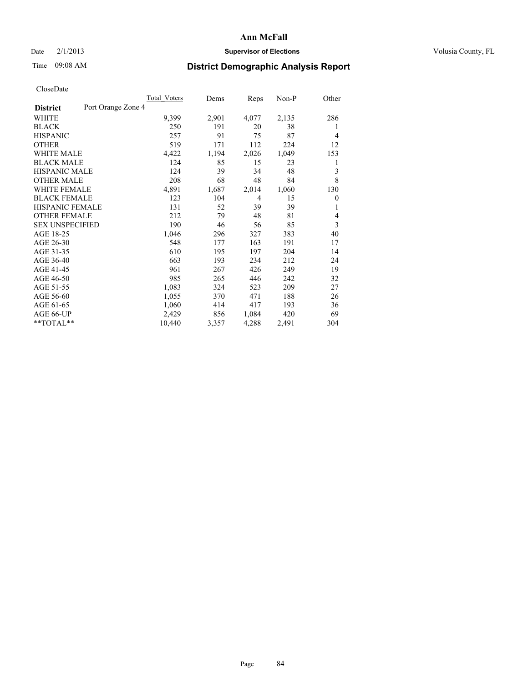### Date  $2/1/2013$  **Supervisor of Elections Supervisor of Elections** Volusia County, FL

## Time 09:08 AM **District Demographic Analysis Report**

|                                       | <b>Total Voters</b> | Dems  | Reps           | Non-P | Other          |
|---------------------------------------|---------------------|-------|----------------|-------|----------------|
| Port Orange Zone 4<br><b>District</b> |                     |       |                |       |                |
| WHITE                                 | 9,399               | 2,901 | 4,077          | 2,135 | 286            |
| <b>BLACK</b>                          | 250                 | 191   | 20             | 38    | 1              |
| <b>HISPANIC</b>                       | 257                 | 91    | 75             | 87    | $\overline{4}$ |
| <b>OTHER</b>                          | 519                 | 171   | 112            | 224   | 12             |
| <b>WHITE MALE</b>                     | 4,422               | 1,194 | 2,026          | 1,049 | 153            |
| <b>BLACK MALE</b>                     | 124                 | 85    | 15             | 23    | 1              |
| <b>HISPANIC MALE</b>                  | 124                 | 39    | 34             | 48    | 3              |
| <b>OTHER MALE</b>                     | 208                 | 68    | 48             | 84    | 8              |
| <b>WHITE FEMALE</b>                   | 4,891               | 1,687 | 2,014          | 1,060 | 130            |
| <b>BLACK FEMALE</b>                   | 123                 | 104   | $\overline{4}$ | 15    | $\mathbf{0}$   |
| <b>HISPANIC FEMALE</b>                | 131                 | 52    | 39             | 39    | 1              |
| <b>OTHER FEMALE</b>                   | 212                 | 79    | 48             | 81    | 4              |
| <b>SEX UNSPECIFIED</b>                | 190                 | 46    | 56             | 85    | 3              |
| AGE 18-25                             | 1,046               | 296   | 327            | 383   | 40             |
| AGE 26-30                             | 548                 | 177   | 163            | 191   | 17             |
| AGE 31-35                             | 610                 | 195   | 197            | 204   | 14             |
| AGE 36-40                             | 663                 | 193   | 234            | 212   | 24             |
| AGE 41-45                             | 961                 | 267   | 426            | 249   | 19             |
| AGE 46-50                             | 985                 | 265   | 446            | 242   | 32             |
| AGE 51-55                             | 1,083               | 324   | 523            | 209   | 27             |
| AGE 56-60                             | 1,055               | 370   | 471            | 188   | 26             |
| AGE 61-65                             | 1,060               | 414   | 417            | 193   | 36             |
| AGE 66-UP                             | 2,429               | 856   | 1,084          | 420   | 69             |
| **TOTAL**                             | 10,440              | 3,357 | 4,288          | 2,491 | 304            |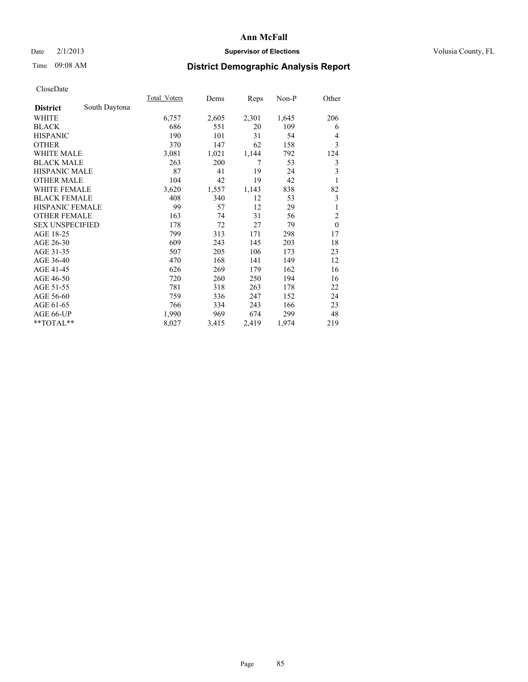### Date  $2/1/2013$  **Supervisor of Elections Supervisor of Elections** Volusia County, FL

# Time 09:08 AM **District Demographic Analysis Report**

|                        |               | Total Voters | Dems  | Reps  | $Non-P$ | Other          |
|------------------------|---------------|--------------|-------|-------|---------|----------------|
| <b>District</b>        | South Daytona |              |       |       |         |                |
| WHITE                  |               | 6,757        | 2,605 | 2,301 | 1,645   | 206            |
| <b>BLACK</b>           |               | 686          | 551   | 20    | 109     | 6              |
| <b>HISPANIC</b>        |               | 190          | 101   | 31    | 54      | 4              |
| <b>OTHER</b>           |               | 370          | 147   | 62    | 158     | 3              |
| <b>WHITE MALE</b>      |               | 3,081        | 1,021 | 1,144 | 792     | 124            |
| <b>BLACK MALE</b>      |               | 263          | 200   | 7     | 53      | 3              |
| <b>HISPANIC MALE</b>   |               | 87           | 41    | 19    | 24      | 3              |
| <b>OTHER MALE</b>      |               | 104          | 42    | 19    | 42      | 1              |
| <b>WHITE FEMALE</b>    |               | 3,620        | 1,557 | 1,143 | 838     | 82             |
| <b>BLACK FEMALE</b>    |               | 408          | 340   | 12    | 53      | 3              |
| <b>HISPANIC FEMALE</b> |               | 99           | 57    | 12    | 29      | 1              |
| <b>OTHER FEMALE</b>    |               | 163          | 74    | 31    | 56      | $\overline{2}$ |
| <b>SEX UNSPECIFIED</b> |               | 178          | 72    | 27    | 79      | $\mathbf{0}$   |
| AGE 18-25              |               | 799          | 313   | 171   | 298     | 17             |
| AGE 26-30              |               | 609          | 243   | 145   | 203     | 18             |
| AGE 31-35              |               | 507          | 205   | 106   | 173     | 23             |
| AGE 36-40              |               | 470          | 168   | 141   | 149     | 12             |
| AGE 41-45              |               | 626          | 269   | 179   | 162     | 16             |
| AGE 46-50              |               | 720          | 260   | 250   | 194     | 16             |
| AGE 51-55              |               | 781          | 318   | 263   | 178     | 22             |
| AGE 56-60              |               | 759          | 336   | 247   | 152     | 24             |
| AGE 61-65              |               | 766          | 334   | 243   | 166     | 23             |
| AGE 66-UP              |               | 1,990        | 969   | 674   | 299     | 48             |
| **TOTAL**              |               | 8,027        | 3,415 | 2,419 | 1,974   | 219            |